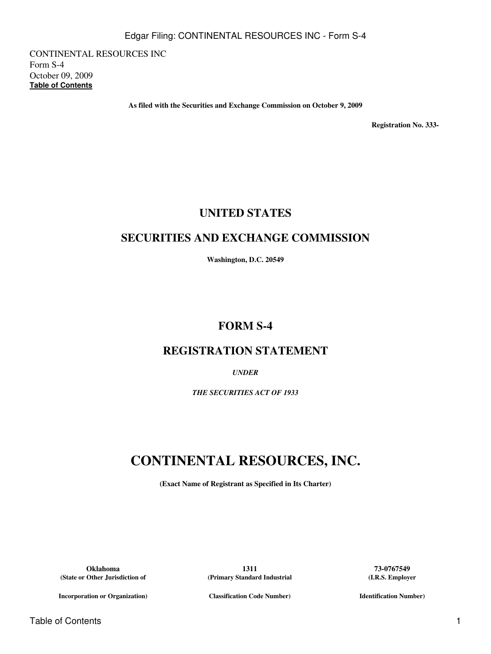CONTINENTAL RESOURCES INC Form S-4 October 09, 2009 **[Table of Contents](#page-6-0)**

**As filed with the Securities and Exchange Commission on October 9, 2009**

**Registration No. 333-** 

# **UNITED STATES**

# **SECURITIES AND EXCHANGE COMMISSION**

**Washington, D.C. 20549**

# **FORM S-4**

# **REGISTRATION STATEMENT**

*UNDER*

*THE SECURITIES ACT OF 1933*

# **CONTINENTAL RESOURCES, INC.**

**(Exact Name of Registrant as Specified in Its Charter)**

**(State or Other Jurisdiction of**

**Oklahoma 1311 73-0767549 (Primary Standard Industrial**

**(I.R.S. Employer**

**Identification Number)**

**Incorporation or Organization)**

**Classification Code Number)**

Table of Contents 1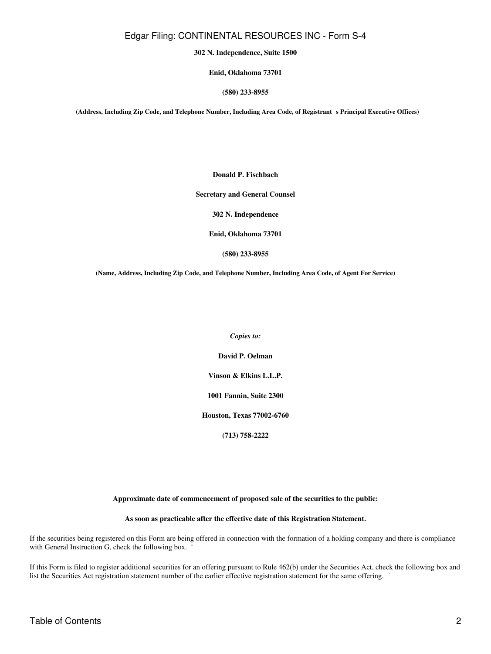# Edgar Filing: CONTINENTAL RESOURCES INC - Form S-4

**302 N. Independence, Suite 1500**

**Enid, Oklahoma 73701**

#### **(580) 233-8955**

**(Address, Including Zip Code, and Telephone Number, Including Area Code, of Registrants Principal Executive Offices)**

**Donald P. Fischbach**

**Secretary and General Counsel**

**302 N. Independence**

**Enid, Oklahoma 73701**

**(580) 233-8955**

**(Name, Address, Including Zip Code, and Telephone Number, Including Area Code, of Agent For Service)**

*Copies to:*

**David P. Oelman**

**Vinson & Elkins L.L.P.**

**1001 Fannin, Suite 2300**

**Houston, Texas 77002-6760**

**(713) 758-2222**

#### **Approximate date of commencement of proposed sale of the securities to the public:**

#### **As soon as practicable after the effective date of this Registration Statement.**

If the securities being registered on this Form are being offered in connection with the formation of a holding company and there is compliance with General Instruction G, check the following box.

If this Form is filed to register additional securities for an offering pursuant to Rule 462(b) under the Securities Act, check the following box and list the Securities Act registration statement number of the earlier effective registration statement for the same offering. ¨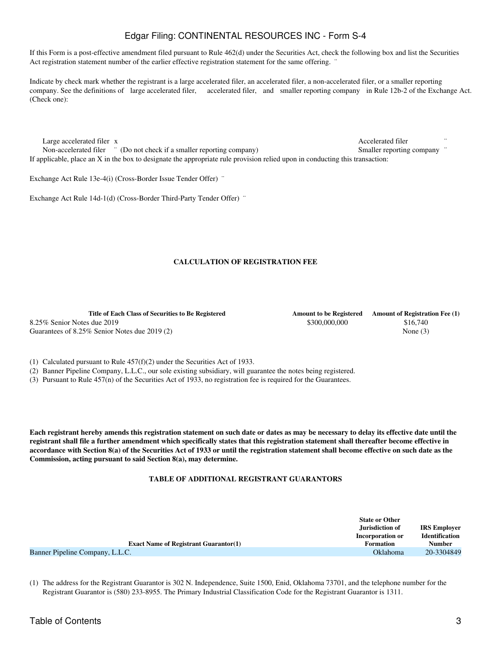# Edgar Filing: CONTINENTAL RESOURCES INC - Form S-4

If this Form is a post-effective amendment filed pursuant to Rule 462(d) under the Securities Act, check the following box and list the Securities Act registration statement number of the earlier effective registration statement for the same offering. ¨

Indicate by check mark whether the registrant is a large accelerated filer, an accelerated filer, a non-accelerated filer, or a smaller reporting company. See the definitions of large accelerated filer, accelerated filer, and smaller reporting company in Rule 12b-2 of the Exchange Act. (Check one):

Large accelerated filer x Accelerated filer  $\lambda$ Non-accelerated filer  $\therefore$  (Do not check if a smaller reporting company) Smaller reporting company If applicable, place an X in the box to designate the appropriate rule provision relied upon in conducting this transaction:

Exchange Act Rule 13e-4(i) (Cross-Border Issue Tender Offer) ¨

Exchange Act Rule 14d-1(d) (Cross-Border Third-Party Tender Offer) ¨

# **CALCULATION OF REGISTRATION FEE**

**Title of Each Class of Securities to Be Registered Amount to be Registered Amount of Registration Fee (1)** 8.25% Senior Notes due 2019 **\$16,740** \$300,000,000 \$16,740 Guarantees of 8.25% Senior Notes due 2019 (2) None (3)

(1) Calculated pursuant to Rule 457(f)(2) under the Securities Act of 1933.

(2) Banner Pipeline Company, L.L.C., our sole existing subsidiary, will guarantee the notes being registered.

(3) Pursuant to Rule 457(n) of the Securities Act of 1933, no registration fee is required for the Guarantees.

**Each registrant hereby amends this registration statement on such date or dates as may be necessary to delay its effective date until the registrant shall file a further amendment which specifically states that this registration statement shall thereafter become effective in accordance with Section 8(a) of the Securities Act of 1933 or until the registration statement shall become effective on such date as the Commission, acting pursuant to said Section 8(a), may determine.**

# **TABLE OF ADDITIONAL REGISTRANT GUARANTORS**

|                                              | <b>State or Other</b><br>Jurisdiction of<br>Incorporation or | <b>IRS Employer</b><br><b>Identification</b> |  |
|----------------------------------------------|--------------------------------------------------------------|----------------------------------------------|--|
| <b>Exact Name of Registrant Guarantor(1)</b> | <b>Formation</b>                                             | <b>Number</b>                                |  |
| Banner Pipeline Company, L.L.C.              | Oklahoma                                                     | 20-3304849                                   |  |

(1) The address for the Registrant Guarantor is 302 N. Independence, Suite 1500, Enid, Oklahoma 73701, and the telephone number for the Registrant Guarantor is (580) 233-8955. The Primary Industrial Classification Code for the Registrant Guarantor is 1311.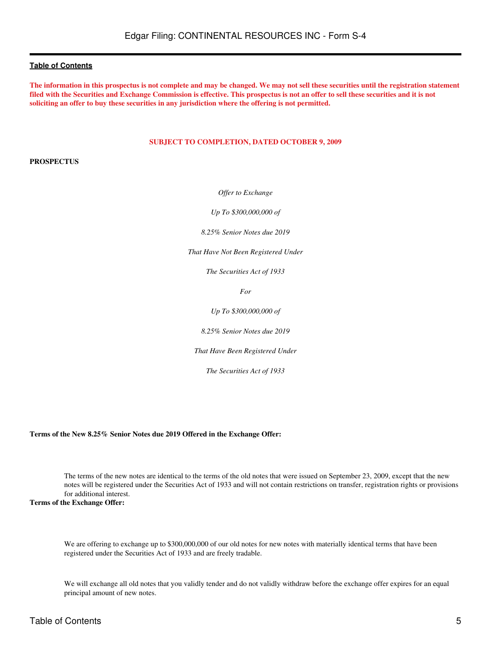**The information in this prospectus is not complete and may be changed. We may not sell these securities until the registration statement filed with the Securities and Exchange Commission is effective. This prospectus is not an offer to sell these securities and it is not soliciting an offer to buy these securities in any jurisdiction where the offering is not permitted.**

#### **SUBJECT TO COMPLETION, DATED OCTOBER 9, 2009**

#### **PROSPECTUS**

*Offer to Exchange*

*Up To \$300,000,000 of*

*8.25% Senior Notes due 2019*

*That Have Not Been Registered Under*

*The Securities Act of 1933*

*For*

*Up To \$300,000,000 of*

*8.25% Senior Notes due 2019*

*That Have Been Registered Under*

*The Securities Act of 1933*

**Terms of the New 8.25% Senior Notes due 2019 Offered in the Exchange Offer:**

The terms of the new notes are identical to the terms of the old notes that were issued on September 23, 2009, except that the new notes will be registered under the Securities Act of 1933 and will not contain restrictions on transfer, registration rights or provisions for additional interest.

#### **Terms of the Exchange Offer:**

We are offering to exchange up to \$300,000,000 of our old notes for new notes with materially identical terms that have been registered under the Securities Act of 1933 and are freely tradable.

We will exchange all old notes that you validly tender and do not validly withdraw before the exchange offer expires for an equal principal amount of new notes.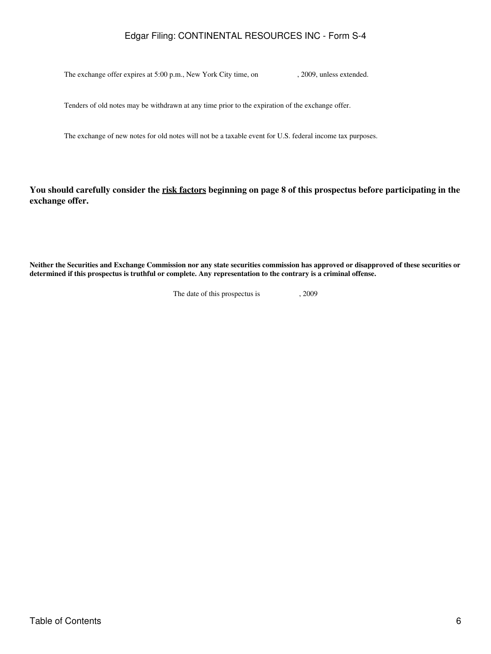# Edgar Filing: CONTINENTAL RESOURCES INC - Form S-4

The exchange offer expires at 5:00 p.m., New York City time, on , 2009, unless extended.

Tenders of old notes may be withdrawn at any time prior to the expiration of the exchange offer.

The exchange of new notes for old notes will not be a taxable event for U.S. federal income tax purposes.

**You should carefully consider the [risk factors](#page-20-0) beginning on page 8 of this prospectus before participating in the exchange offer.**

**Neither the Securities and Exchange Commission nor any state securities commission has approved or disapproved of these securities or determined if this prospectus is truthful or complete. Any representation to the contrary is a criminal offense.**

The date of this prospectus is  $, 2009$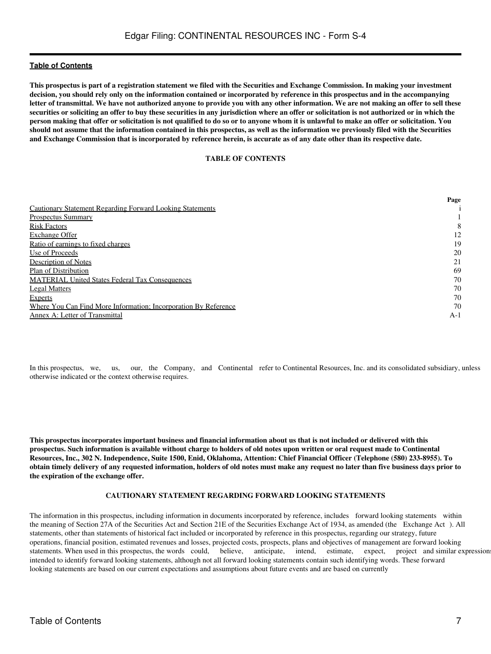**This prospectus is part of a registration statement we filed with the Securities and Exchange Commission. In making your investment decision, you should rely only on the information contained or incorporated by reference in this prospectus and in the accompanying letter of transmittal. We have not authorized anyone to provide you with any other information. We are not making an offer to sell these securities or soliciting an offer to buy these securities in any jurisdiction where an offer or solicitation is not authorized or in which the person making that offer or solicitation is not qualified to do so or to anyone whom it is unlawful to make an offer or solicitation. You should not assume that the information contained in this prospectus, as well as the information we previously filed with the Securities and Exchange Commission that is incorporated by reference herein, is accurate as of any date other than its respective date.**

#### **TABLE OF CONTENTS**

<span id="page-6-0"></span>

|                                                                 | Page |
|-----------------------------------------------------------------|------|
| Cautionary Statement Regarding Forward Looking Statements       |      |
| Prospectus Summary                                              |      |
| <b>Risk Factors</b>                                             | 8    |
| <b>Exchange Offer</b>                                           | 12   |
| Ratio of earnings to fixed charges                              | 19   |
| Use of Proceeds                                                 | 20   |
| Description of Notes                                            | 21   |
| Plan of Distribution                                            | 69   |
| <b>MATERIAL United States Federal Tax Consequences</b>          | 70   |
| <b>Legal Matters</b>                                            | 70   |
| <b>Experts</b>                                                  | 70   |
| Where You Can Find More Information: Incorporation By Reference | 70   |
| Annex A: Letter of Transmittal                                  | A-1  |

In this prospectus, we, us, our, the Company, and Continental refer to Continental Resources, Inc. and its consolidated subsidiary, unless otherwise indicated or the context otherwise requires.

**This prospectus incorporates important business and financial information about us that is not included or delivered with this prospectus. Such information is available without charge to holders of old notes upon written or oral request made to Continental Resources, Inc., 302 N. Independence, Suite 1500, Enid, Oklahoma, Attention: Chief Financial Officer (Telephone (580) 233-8955). To obtain timely delivery of any requested information, holders of old notes must make any request no later than five business days prior to the expiration of the exchange offer.**

## **CAUTIONARY STATEMENT REGARDING FORWARD LOOKING STATEMENTS**

<span id="page-6-1"></span>The information in this prospectus, including information in documents incorporated by reference, includes forward looking statements within the meaning of Section 27A of the Securities Act and Section 21E of the Securities Exchange Act of 1934, as amended (the Exchange Act). All statements, other than statements of historical fact included or incorporated by reference in this prospectus, regarding our strategy, future operations, financial position, estimated revenues and losses, projected costs, prospects, plans and objectives of management are forward looking statements. When used in this prospectus, the words could, believe, anticipate, intend, estimate, expect, project and similar expression intended to identify forward looking statements, although not all forward looking statements contain such identifying words. These forward looking statements are based on our current expectations and assumptions about future events and are based on currently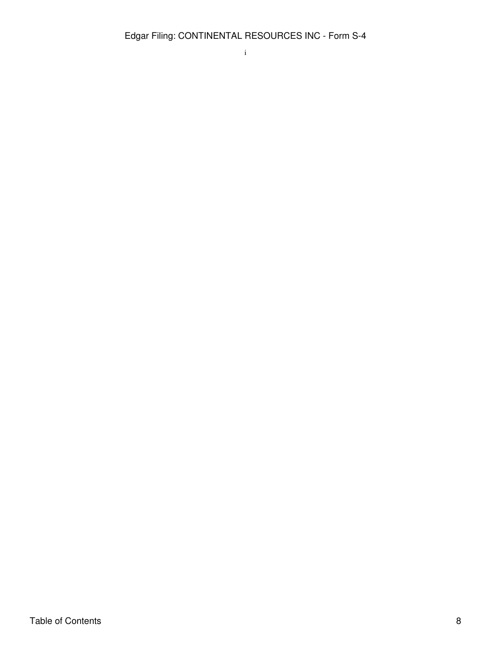i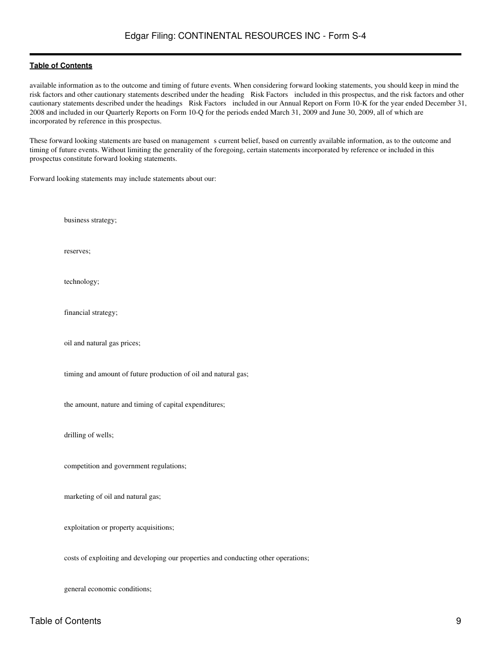available information as to the outcome and timing of future events. When considering forward looking statements, you should keep in mind the risk factors and other cautionary statements described under the heading Risk Factors included in this prospectus, and the risk factors and other cautionary statements described under the headings Risk Factors included in our Annual Report on Form 10-K for the year ended December 31, 2008 and included in our Quarterly Reports on Form 10-Q for the periods ended March 31, 2009 and June 30, 2009, all of which are incorporated by reference in this prospectus.

These forward looking statements are based on management s current belief, based on currently available information, as to the outcome and timing of future events. Without limiting the generality of the foregoing, certain statements incorporated by reference or included in this prospectus constitute forward looking statements.

Forward looking statements may include statements about our:

business strategy;

reserves;

technology;

financial strategy;

oil and natural gas prices;

timing and amount of future production of oil and natural gas;

the amount, nature and timing of capital expenditures;

drilling of wells;

competition and government regulations;

marketing of oil and natural gas;

exploitation or property acquisitions;

costs of exploiting and developing our properties and conducting other operations;

general economic conditions;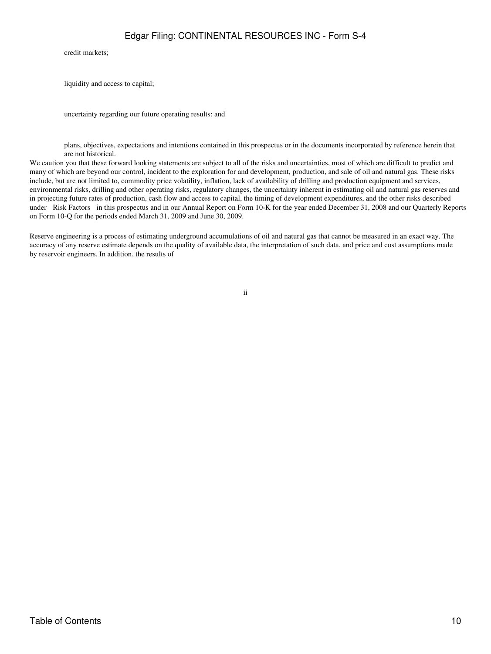credit markets;

liquidity and access to capital;

uncertainty regarding our future operating results; and

plans, objectives, expectations and intentions contained in this prospectus or in the documents incorporated by reference herein that are not historical.

We caution you that these forward looking statements are subject to all of the risks and uncertainties, most of which are difficult to predict and many of which are beyond our control, incident to the exploration for and development, production, and sale of oil and natural gas. These risks include, but are not limited to, commodity price volatility, inflation, lack of availability of drilling and production equipment and services, environmental risks, drilling and other operating risks, regulatory changes, the uncertainty inherent in estimating oil and natural gas reserves and in projecting future rates of production, cash flow and access to capital, the timing of development expenditures, and the other risks described under Risk Factors in this prospectus and in our Annual Report on Form 10-K for the year ended December 31, 2008 and our Quarterly Reports on Form 10-Q for the periods ended March 31, 2009 and June 30, 2009.

Reserve engineering is a process of estimating underground accumulations of oil and natural gas that cannot be measured in an exact way. The accuracy of any reserve estimate depends on the quality of available data, the interpretation of such data, and price and cost assumptions made by reservoir engineers. In addition, the results of

ii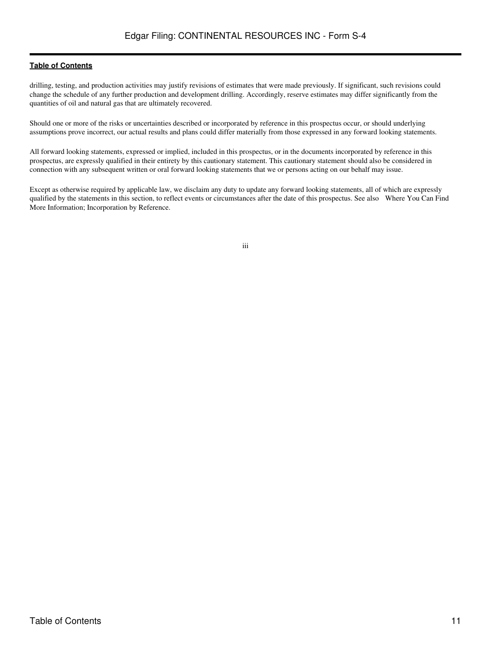drilling, testing, and production activities may justify revisions of estimates that were made previously. If significant, such revisions could change the schedule of any further production and development drilling. Accordingly, reserve estimates may differ significantly from the quantities of oil and natural gas that are ultimately recovered.

Should one or more of the risks or uncertainties described or incorporated by reference in this prospectus occur, or should underlying assumptions prove incorrect, our actual results and plans could differ materially from those expressed in any forward looking statements.

All forward looking statements, expressed or implied, included in this prospectus, or in the documents incorporated by reference in this prospectus, are expressly qualified in their entirety by this cautionary statement. This cautionary statement should also be considered in connection with any subsequent written or oral forward looking statements that we or persons acting on our behalf may issue.

Except as otherwise required by applicable law, we disclaim any duty to update any forward looking statements, all of which are expressly qualified by the statements in this section, to reflect events or circumstances after the date of this prospectus. See also Where You Can Find More Information; Incorporation by Reference.

iii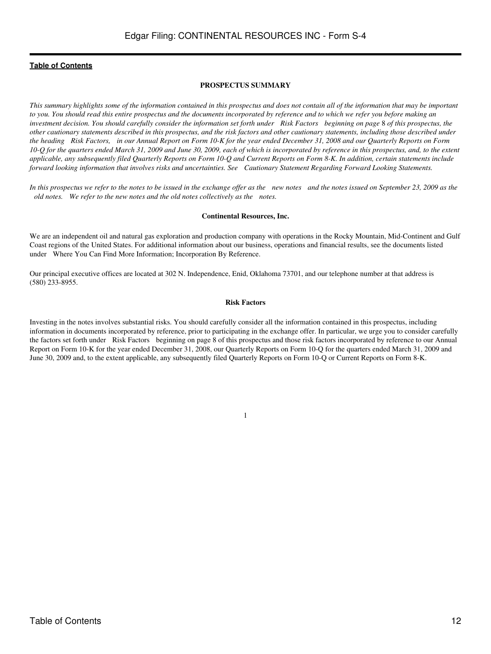## **PROSPECTUS SUMMARY**

<span id="page-11-0"></span>*This summary highlights some of the information contained in this prospectus and does not contain all of the information that may be important to you. You should read this entire prospectus and the documents incorporated by reference and to which we refer you before making an investment decision. You should carefully consider the information set forth under Risk Factors beginning on page* 8 *of this prospectus, the other cautionary statements described in this prospectus, and the risk factors and other cautionary statements, including those described under the heading Risk Factors, in our Annual Report on Form 10-K for the year ended December 31, 2008 and our Quarterly Reports on Form 10-Q for the quarters ended March 31, 2009 and June 30, 2009, each of which is incorporated by reference in this prospectus, and, to the extent applicable, any subsequently filed Quarterly Reports on Form 10-Q and Current Reports on Form 8-K. In addition, certain statements include forward looking information that involves risks and uncertainties. See Cautionary Statement Regarding Forward Looking Statements.*

In this prospectus we refer to the notes to be issued in the exchange offer as the new notes and the notes issued on September 23, 2009 as the *old notes. We refer to the new notes and the old notes collectively as the notes.*

#### **Continental Resources, Inc.**

We are an independent oil and natural gas exploration and production company with operations in the Rocky Mountain, Mid-Continent and Gulf Coast regions of the United States. For additional information about our business, operations and financial results, see the documents listed under Where You Can Find More Information; Incorporation By Reference.

Our principal executive offices are located at 302 N. Independence, Enid, Oklahoma 73701, and our telephone number at that address is (580) 233-8955.

#### **Risk Factors**

Investing in the notes involves substantial risks. You should carefully consider all the information contained in this prospectus, including information in documents incorporated by reference, prior to participating in the exchange offer. In particular, we urge you to consider carefully the factors set forth under Risk Factors beginning on page 8 of this prospectus and those risk factors incorporated by reference to our Annual Report on Form 10-K for the year ended December 31, 2008, our Quarterly Reports on Form 10-Q for the quarters ended March 31, 2009 and June 30, 2009 and, to the extent applicable, any subsequently filed Quarterly Reports on Form 10-Q or Current Reports on Form 8-K.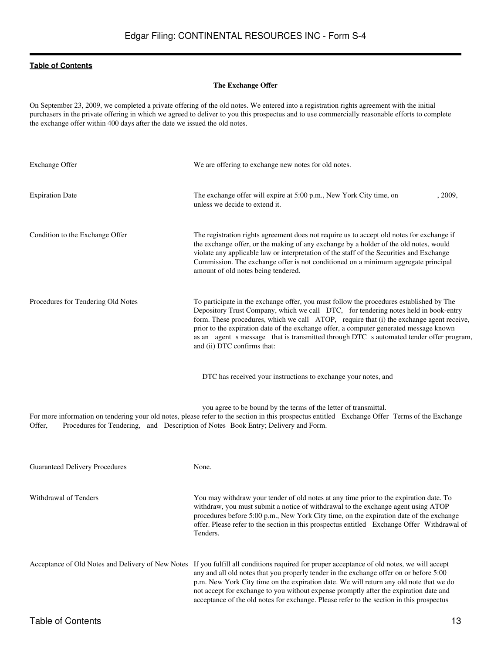# **The Exchange Offer**

On September 23, 2009, we completed a private offering of the old notes. We entered into a registration rights agreement with the initial purchasers in the private offering in which we agreed to deliver to you this prospectus and to use commercially reasonable efforts to complete the exchange offer within 400 days after the date we issued the old notes.

| Exchange Offer                                    | We are offering to exchange new notes for old notes.                                                                                                                                                                                                                                                                                                                                                                                                                                           |
|---------------------------------------------------|------------------------------------------------------------------------------------------------------------------------------------------------------------------------------------------------------------------------------------------------------------------------------------------------------------------------------------------------------------------------------------------------------------------------------------------------------------------------------------------------|
| <b>Expiration Date</b>                            | , 2009,<br>The exchange offer will expire at 5:00 p.m., New York City time, on<br>unless we decide to extend it.                                                                                                                                                                                                                                                                                                                                                                               |
| Condition to the Exchange Offer                   | The registration rights agreement does not require us to accept old notes for exchange if<br>the exchange offer, or the making of any exchange by a holder of the old notes, would<br>violate any applicable law or interpretation of the staff of the Securities and Exchange<br>Commission. The exchange offer is not conditioned on a minimum aggregate principal<br>amount of old notes being tendered.                                                                                    |
| Procedures for Tendering Old Notes                | To participate in the exchange offer, you must follow the procedures established by The<br>Depository Trust Company, which we call DTC, for tendering notes held in book-entry<br>form. These procedures, which we call ATOP, require that (i) the exchange agent receive,<br>prior to the expiration date of the exchange offer, a computer generated message known<br>as an agent s message that is transmitted through DTC s automated tender offer program,<br>and (ii) DTC confirms that: |
|                                                   | DTC has received your instructions to exchange your notes, and                                                                                                                                                                                                                                                                                                                                                                                                                                 |
| Offer,                                            | you agree to be bound by the terms of the letter of transmittal.<br>For more information on tendering your old notes, please refer to the section in this prospectus entitled Exchange Offer Terms of the Exchange<br>Procedures for Tendering, and Description of Notes Book Entry; Delivery and Form.                                                                                                                                                                                        |
| <b>Guaranteed Delivery Procedures</b>             | None.                                                                                                                                                                                                                                                                                                                                                                                                                                                                                          |
| Withdrawal of Tenders                             | You may withdraw your tender of old notes at any time prior to the expiration date. To<br>withdraw, you must submit a notice of withdrawal to the exchange agent using ATOP<br>procedures before 5:00 p.m., New York City time, on the expiration date of the exchange<br>offer. Please refer to the section in this prospectus entitled Exchange Offer Withdrawal of<br>Tenders.                                                                                                              |
| Acceptance of Old Notes and Delivery of New Notes | If you fulfill all conditions required for proper acceptance of old notes, we will accept<br>any and all old notes that you properly tender in the exchange offer on or before 5:00<br>p.m. New York City time on the expiration date. We will return any old note that we do<br>not accept for exchange to you without expense promptly after the expiration date and<br>acceptance of the old notes for exchange. Please refer to the section in this prospectus                             |
| <b>Table of Contents</b>                          | 13                                                                                                                                                                                                                                                                                                                                                                                                                                                                                             |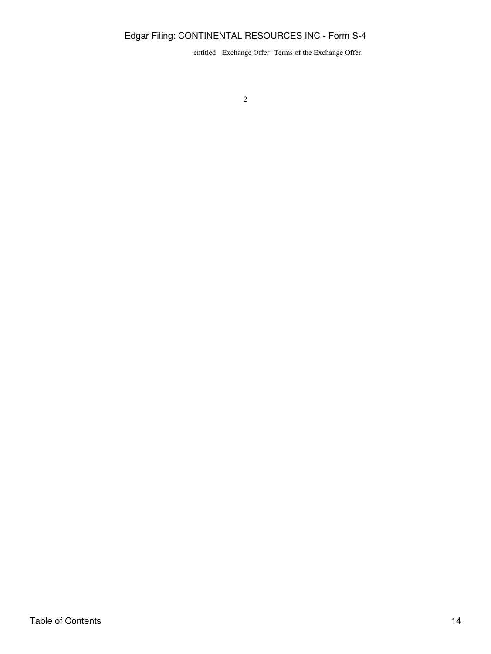# Edgar Filing: CONTINENTAL RESOURCES INC - Form S-4

entitled Exchange Offer Terms of the Exchange Offer.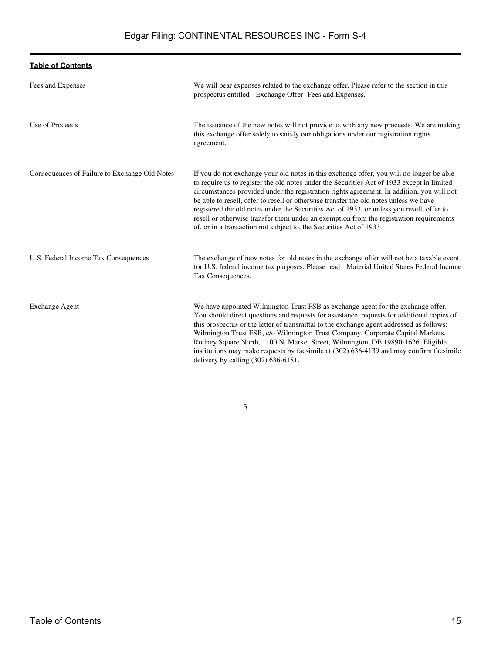| <b>Table of Contents</b>                      |                                                                                                                                                                                                                                                                                                                                                                                                                                                                                                                                                                                                                                             |
|-----------------------------------------------|---------------------------------------------------------------------------------------------------------------------------------------------------------------------------------------------------------------------------------------------------------------------------------------------------------------------------------------------------------------------------------------------------------------------------------------------------------------------------------------------------------------------------------------------------------------------------------------------------------------------------------------------|
| Fees and Expenses                             | We will bear expenses related to the exchange offer. Please refer to the section in this<br>prospectus entitled Exchange Offer Fees and Expenses.                                                                                                                                                                                                                                                                                                                                                                                                                                                                                           |
| Use of Proceeds                               | The issuance of the new notes will not provide us with any new proceeds. We are making<br>this exchange offer solely to satisfy our obligations under our registration rights<br>agreement.                                                                                                                                                                                                                                                                                                                                                                                                                                                 |
| Consequences of Failure to Exchange Old Notes | If you do not exchange your old notes in this exchange offer, you will no longer be able<br>to require us to register the old notes under the Securities Act of 1933 except in limited<br>circumstances provided under the registration rights agreement. In addition, you will not<br>be able to resell, offer to resell or otherwise transfer the old notes unless we have<br>registered the old notes under the Securities Act of 1933, or unless you resell, offer to<br>resell or otherwise transfer them under an exemption from the registration requirements<br>of, or in a transaction not subject to, the Securities Act of 1933. |
| U.S. Federal Income Tax Consequences          | The exchange of new notes for old notes in the exchange offer will not be a taxable event<br>for U.S. federal income tax purposes. Please read Material United States Federal Income<br>Tax Consequences.                                                                                                                                                                                                                                                                                                                                                                                                                                   |
| <b>Exchange Agent</b>                         | We have appointed Wilmington Trust FSB as exchange agent for the exchange offer.<br>You should direct questions and requests for assistance, requests for additional copies of<br>this prospectus or the letter of transmittal to the exchange agent addressed as follows:<br>Wilmington Trust FSB, c/o Wilmington Trust Company, Corporate Capital Markets,<br>Rodney Square North, 1100 N. Market Street, Wilmington, DE 19890-1626. Eligible<br>institutions may make requests by facsimile at (302) 636-4139 and may confirm facsimile<br>delivery by calling (302) 636-6181.                                                           |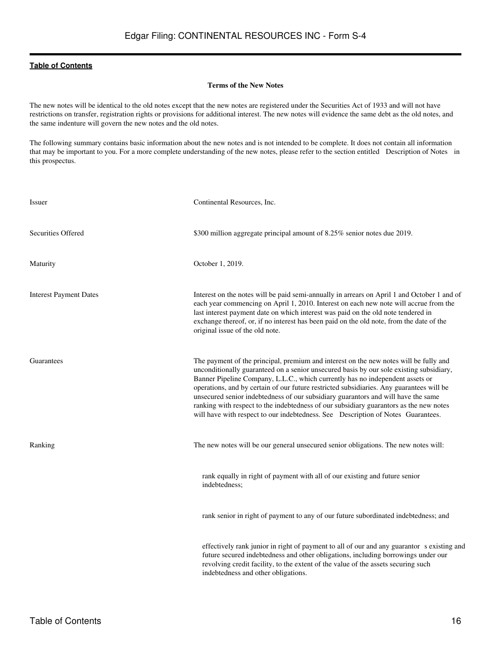#### **Terms of the New Notes**

The new notes will be identical to the old notes except that the new notes are registered under the Securities Act of 1933 and will not have restrictions on transfer, registration rights or provisions for additional interest. The new notes will evidence the same debt as the old notes, and the same indenture will govern the new notes and the old notes.

The following summary contains basic information about the new notes and is not intended to be complete. It does not contain all information that may be important to you. For a more complete understanding of the new notes, please refer to the section entitled Description of Notes in this prospectus.

| <b>Issuer</b>                 | Continental Resources, Inc.                                                                                                                                                                                                                                                                                                                                                                                                                                                                                                                                                                                                      |
|-------------------------------|----------------------------------------------------------------------------------------------------------------------------------------------------------------------------------------------------------------------------------------------------------------------------------------------------------------------------------------------------------------------------------------------------------------------------------------------------------------------------------------------------------------------------------------------------------------------------------------------------------------------------------|
| Securities Offered            | \$300 million aggregate principal amount of 8.25% senior notes due 2019.                                                                                                                                                                                                                                                                                                                                                                                                                                                                                                                                                         |
| Maturity                      | October 1, 2019.                                                                                                                                                                                                                                                                                                                                                                                                                                                                                                                                                                                                                 |
| <b>Interest Payment Dates</b> | Interest on the notes will be paid semi-annually in arrears on April 1 and October 1 and of<br>each year commencing on April 1, 2010. Interest on each new note will accrue from the<br>last interest payment date on which interest was paid on the old note tendered in<br>exchange thereof, or, if no interest has been paid on the old note, from the date of the<br>original issue of the old note.                                                                                                                                                                                                                         |
| Guarantees                    | The payment of the principal, premium and interest on the new notes will be fully and<br>unconditionally guaranteed on a senior unsecured basis by our sole existing subsidiary,<br>Banner Pipeline Company, L.L.C., which currently has no independent assets or<br>operations, and by certain of our future restricted subsidiaries. Any guarantees will be<br>unsecured senior indebtedness of our subsidiary guarantors and will have the same<br>ranking with respect to the indebtedness of our subsidiary guarantors as the new notes<br>will have with respect to our indebtedness. See Description of Notes Guarantees. |
| Ranking                       | The new notes will be our general unsecured senior obligations. The new notes will:                                                                                                                                                                                                                                                                                                                                                                                                                                                                                                                                              |
|                               | rank equally in right of payment with all of our existing and future senior<br>indebtedness;                                                                                                                                                                                                                                                                                                                                                                                                                                                                                                                                     |
|                               | rank senior in right of payment to any of our future subordinated indebtedness; and                                                                                                                                                                                                                                                                                                                                                                                                                                                                                                                                              |
|                               | effectively rank junior in right of payment to all of our and any guarantor s existing and<br>future secured indebtedness and other obligations, including borrowings under our<br>revolving credit facility, to the extent of the value of the assets securing such<br>indebtedness and other obligations.                                                                                                                                                                                                                                                                                                                      |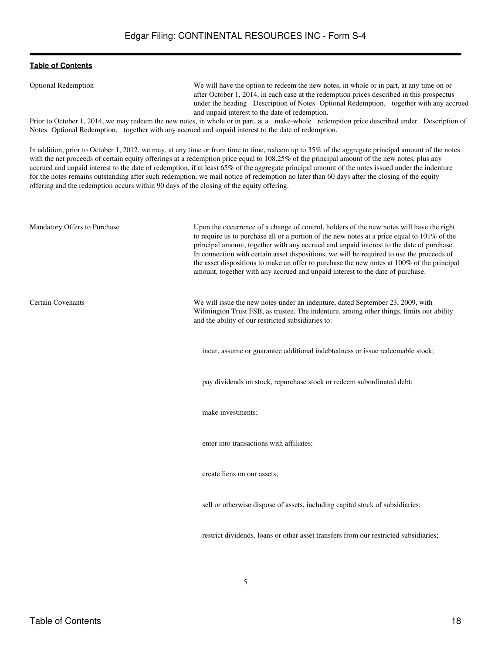# **Table of C**

| <u>Table of Contents</u>     |                                                                                                                                                                                                                                                                                                                                                                                                                                                                                                                                                                                                                                                                                                |
|------------------------------|------------------------------------------------------------------------------------------------------------------------------------------------------------------------------------------------------------------------------------------------------------------------------------------------------------------------------------------------------------------------------------------------------------------------------------------------------------------------------------------------------------------------------------------------------------------------------------------------------------------------------------------------------------------------------------------------|
| <b>Optional Redemption</b>   | We will have the option to redeem the new notes, in whole or in part, at any time on or<br>after October 1, 2014, in each case at the redemption prices described in this prospectus<br>under the heading Description of Notes Optional Redemption, together with any accrued<br>and unpaid interest to the date of redemption.                                                                                                                                                                                                                                                                                                                                                                |
|                              | Prior to October 1, 2014, we may redeem the new notes, in whole or in part, at a make-whole redemption price described under Description of<br>Notes Optional Redemption, together with any accrued and unpaid interest to the date of redemption.                                                                                                                                                                                                                                                                                                                                                                                                                                             |
|                              | In addition, prior to October 1, 2012, we may, at any time or from time to time, redeem up to 35% of the aggregate principal amount of the notes<br>with the net proceeds of certain equity offerings at a redemption price equal to 108.25% of the principal amount of the new notes, plus any<br>accrued and unpaid interest to the date of redemption, if at least 65% of the aggregate principal amount of the notes issued under the indenture<br>for the notes remains outstanding after such redemption, we mail notice of redemption no later than 60 days after the closing of the equity<br>offering and the redemption occurs within 90 days of the closing of the equity offering. |
| Mandatory Offers to Purchase | Upon the occurrence of a change of control, holders of the new notes will have the right<br>to require us to purchase all or a portion of the new notes at a price equal to $101\%$ of the<br>principal amount, together with any accrued and unpaid interest to the date of purchase.<br>In connection with certain asset dispositions, we will be required to use the proceeds of<br>the asset dispositions to make an offer to purchase the new notes at $100\%$ of the principal<br>amount, together with any accrued and unpaid interest to the date of purchase.                                                                                                                         |
| Certain Covenants            | We will issue the new notes under an indenture, dated September 23, 2009, with<br>Wilmington Trust FSB, as trustee. The indenture, among other things, limits our ability<br>and the ability of our restricted subsidiaries to:                                                                                                                                                                                                                                                                                                                                                                                                                                                                |
|                              | incur, assume or guarantee additional indebtedness or issue redeemable stock;                                                                                                                                                                                                                                                                                                                                                                                                                                                                                                                                                                                                                  |
|                              | pay dividends on stock, repurchase stock or redeem subordinated debt;                                                                                                                                                                                                                                                                                                                                                                                                                                                                                                                                                                                                                          |
|                              | make investments;                                                                                                                                                                                                                                                                                                                                                                                                                                                                                                                                                                                                                                                                              |
|                              | enter into transactions with affiliates;                                                                                                                                                                                                                                                                                                                                                                                                                                                                                                                                                                                                                                                       |
|                              | create liens on our assets;                                                                                                                                                                                                                                                                                                                                                                                                                                                                                                                                                                                                                                                                    |
|                              | sell or otherwise dispose of assets, including capital stock of subsidiaries;                                                                                                                                                                                                                                                                                                                                                                                                                                                                                                                                                                                                                  |
|                              | restrict dividends, loans or other asset transfers from our restricted subsidiaries;                                                                                                                                                                                                                                                                                                                                                                                                                                                                                                                                                                                                           |
|                              |                                                                                                                                                                                                                                                                                                                                                                                                                                                                                                                                                                                                                                                                                                |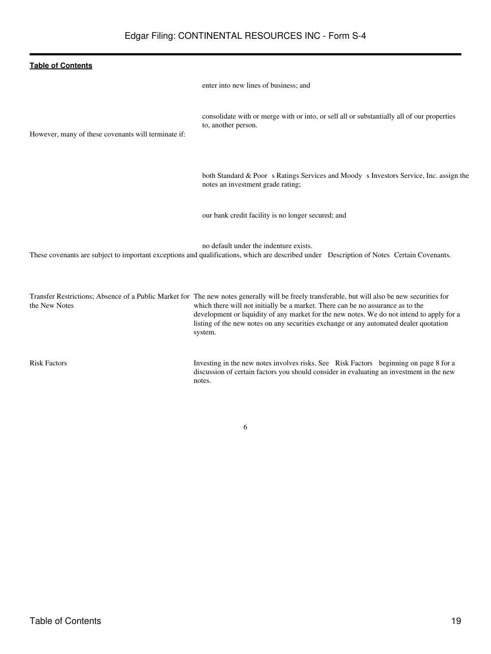| <b>Table of Contents</b>                                                                                                                                                            |                                                                                                                                                                                                                                                                                                                                                                                                                                    |  |  |  |  |
|-------------------------------------------------------------------------------------------------------------------------------------------------------------------------------------|------------------------------------------------------------------------------------------------------------------------------------------------------------------------------------------------------------------------------------------------------------------------------------------------------------------------------------------------------------------------------------------------------------------------------------|--|--|--|--|
|                                                                                                                                                                                     | enter into new lines of business; and                                                                                                                                                                                                                                                                                                                                                                                              |  |  |  |  |
| However, many of these covenants will terminate if:                                                                                                                                 | consolidate with or merge with or into, or sell all or substantially all of our properties<br>to, another person.                                                                                                                                                                                                                                                                                                                  |  |  |  |  |
|                                                                                                                                                                                     | both Standard & Poor s Ratings Services and Moody s Investors Service, Inc. assign the<br>notes an investment grade rating;                                                                                                                                                                                                                                                                                                        |  |  |  |  |
|                                                                                                                                                                                     | our bank credit facility is no longer secured; and                                                                                                                                                                                                                                                                                                                                                                                 |  |  |  |  |
| no default under the indenture exists.<br>These covenants are subject to important exceptions and qualifications, which are described under Description of Notes Certain Covenants. |                                                                                                                                                                                                                                                                                                                                                                                                                                    |  |  |  |  |
| the New Notes                                                                                                                                                                       | Transfer Restrictions; Absence of a Public Market for The new notes generally will be freely transferable, but will also be new securities for<br>which there will not initially be a market. There can be no assurance as to the<br>development or liquidity of any market for the new notes. We do not intend to apply for a<br>listing of the new notes on any securities exchange or any automated dealer quotation<br>system. |  |  |  |  |
| <b>Risk Factors</b>                                                                                                                                                                 | Investing in the new notes involves risks. See Risk Factors beginning on page 8 for a<br>discussion of certain factors you should consider in evaluating an investment in the new<br>notes.                                                                                                                                                                                                                                        |  |  |  |  |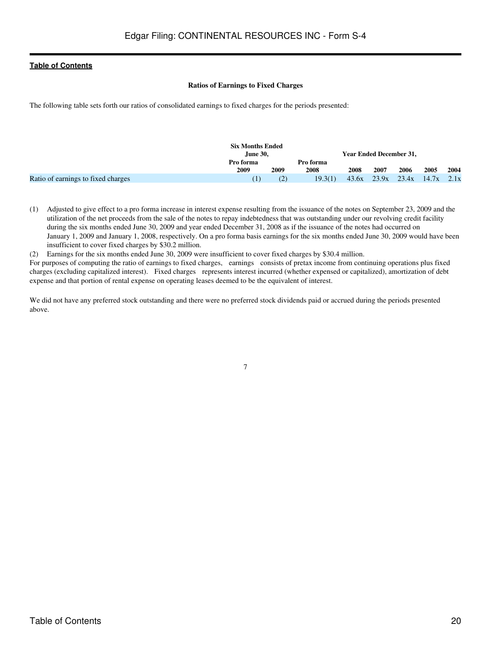## **Ratios of Earnings to Fixed Charges**

The following table sets forth our ratios of consolidated earnings to fixed charges for the periods presented:

|                                    | <b>Six Months Ended</b><br><b>June 30.</b> |      |                   | <b>Year Ended December 31.</b> |      |                         |      |      |
|------------------------------------|--------------------------------------------|------|-------------------|--------------------------------|------|-------------------------|------|------|
|                                    | Pro forma<br>2009                          | 2009 | Pro forma<br>2008 | 2008                           | 2007 | 2006                    | 2005 | 2004 |
| Ratio of earnings to fixed charges |                                            |      | 19.3(1)           | 43.6x                          |      | $23.9x$ $23.4x$ $14.7x$ |      | 2.1x |

(1) Adjusted to give effect to a pro forma increase in interest expense resulting from the issuance of the notes on September 23, 2009 and the utilization of the net proceeds from the sale of the notes to repay indebtedness that was outstanding under our revolving credit facility during the six months ended June 30, 2009 and year ended December 31, 2008 as if the issuance of the notes had occurred on January 1, 2009 and January 1, 2008, respectively. On a pro forma basis earnings for the six months ended June 30, 2009 would have been insufficient to cover fixed charges by \$30.2 million.

(2) Earnings for the six months ended June 30, 2009 were insufficient to cover fixed charges by \$30.4 million.

For purposes of computing the ratio of earnings to fixed charges, earnings consists of pretax income from continuing operations plus fixed charges (excluding capitalized interest). Fixed charges represents interest incurred (whether expensed or capitalized), amortization of debt expense and that portion of rental expense on operating leases deemed to be the equivalent of interest.

We did not have any preferred stock outstanding and there were no preferred stock dividends paid or accrued during the periods presented above.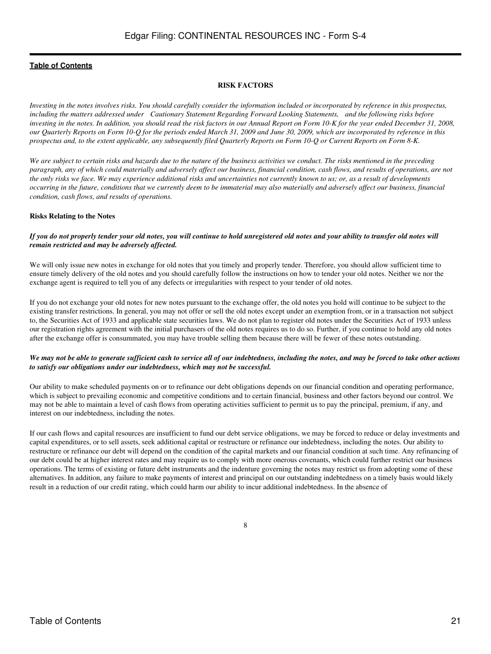## **RISK FACTORS**

<span id="page-20-0"></span>*Investing in the notes involves risks. You should carefully consider the information included or incorporated by reference in this prospectus, including the matters addressed under Cautionary Statement Regarding Forward Looking Statements, and the following risks before investing in the notes. In addition, you should read the risk factors in our Annual Report on Form 10-K for the year ended December 31, 2008, our Quarterly Reports on Form 10-Q for the periods ended March 31, 2009 and June 30, 2009, which are incorporated by reference in this prospectus and, to the extent applicable, any subsequently filed Quarterly Reports on Form 10-Q or Current Reports on Form 8-K.*

*We are subject to certain risks and hazards due to the nature of the business activities we conduct. The risks mentioned in the preceding paragraph, any of which could materially and adversely affect our business, financial condition, cash flows, and results of operations, are not the only risks we face. We may experience additional risks and uncertainties not currently known to us; or, as a result of developments occurring in the future, conditions that we currently deem to be immaterial may also materially and adversely affect our business, financial condition, cash flows, and results of operations.*

#### **Risks Relating to the Notes**

#### *If you do not properly tender your old notes, you will continue to hold unregistered old notes and your ability to transfer old notes will remain restricted and may be adversely affected.*

We will only issue new notes in exchange for old notes that you timely and properly tender. Therefore, you should allow sufficient time to ensure timely delivery of the old notes and you should carefully follow the instructions on how to tender your old notes. Neither we nor the exchange agent is required to tell you of any defects or irregularities with respect to your tender of old notes.

If you do not exchange your old notes for new notes pursuant to the exchange offer, the old notes you hold will continue to be subject to the existing transfer restrictions. In general, you may not offer or sell the old notes except under an exemption from, or in a transaction not subject to, the Securities Act of 1933 and applicable state securities laws. We do not plan to register old notes under the Securities Act of 1933 unless our registration rights agreement with the initial purchasers of the old notes requires us to do so. Further, if you continue to hold any old notes after the exchange offer is consummated, you may have trouble selling them because there will be fewer of these notes outstanding.

#### *We may not be able to generate sufficient cash to service all of our indebtedness, including the notes, and may be forced to take other actions to satisfy our obligations under our indebtedness, which may not be successful.*

Our ability to make scheduled payments on or to refinance our debt obligations depends on our financial condition and operating performance, which is subject to prevailing economic and competitive conditions and to certain financial, business and other factors beyond our control. We may not be able to maintain a level of cash flows from operating activities sufficient to permit us to pay the principal, premium, if any, and interest on our indebtedness, including the notes.

If our cash flows and capital resources are insufficient to fund our debt service obligations, we may be forced to reduce or delay investments and capital expenditures, or to sell assets, seek additional capital or restructure or refinance our indebtedness, including the notes. Our ability to restructure or refinance our debt will depend on the condition of the capital markets and our financial condition at such time. Any refinancing of our debt could be at higher interest rates and may require us to comply with more onerous covenants, which could further restrict our business operations. The terms of existing or future debt instruments and the indenture governing the notes may restrict us from adopting some of these alternatives. In addition, any failure to make payments of interest and principal on our outstanding indebtedness on a timely basis would likely result in a reduction of our credit rating, which could harm our ability to incur additional indebtedness. In the absence of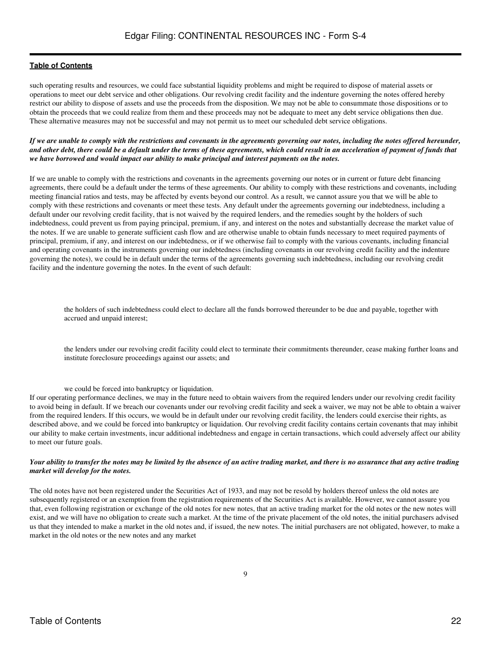such operating results and resources, we could face substantial liquidity problems and might be required to dispose of material assets or operations to meet our debt service and other obligations. Our revolving credit facility and the indenture governing the notes offered hereby restrict our ability to dispose of assets and use the proceeds from the disposition. We may not be able to consummate those dispositions or to obtain the proceeds that we could realize from them and these proceeds may not be adequate to meet any debt service obligations then due. These alternative measures may not be successful and may not permit us to meet our scheduled debt service obligations.

*If we are unable to comply with the restrictions and covenants in the agreements governing our notes, including the notes offered hereunder, and other debt, there could be a default under the terms of these agreements, which could result in an acceleration of payment of funds that we have borrowed and would impact our ability to make principal and interest payments on the notes.*

If we are unable to comply with the restrictions and covenants in the agreements governing our notes or in current or future debt financing agreements, there could be a default under the terms of these agreements. Our ability to comply with these restrictions and covenants, including meeting financial ratios and tests, may be affected by events beyond our control. As a result, we cannot assure you that we will be able to comply with these restrictions and covenants or meet these tests. Any default under the agreements governing our indebtedness, including a default under our revolving credit facility, that is not waived by the required lenders, and the remedies sought by the holders of such indebtedness, could prevent us from paying principal, premium, if any, and interest on the notes and substantially decrease the market value of the notes. If we are unable to generate sufficient cash flow and are otherwise unable to obtain funds necessary to meet required payments of principal, premium, if any, and interest on our indebtedness, or if we otherwise fail to comply with the various covenants, including financial and operating covenants in the instruments governing our indebtedness (including covenants in our revolving credit facility and the indenture governing the notes), we could be in default under the terms of the agreements governing such indebtedness, including our revolving credit facility and the indenture governing the notes. In the event of such default:

the holders of such indebtedness could elect to declare all the funds borrowed thereunder to be due and payable, together with accrued and unpaid interest;

the lenders under our revolving credit facility could elect to terminate their commitments thereunder, cease making further loans and institute foreclosure proceedings against our assets; and

#### we could be forced into bankruptcy or liquidation.

If our operating performance declines, we may in the future need to obtain waivers from the required lenders under our revolving credit facility to avoid being in default. If we breach our covenants under our revolving credit facility and seek a waiver, we may not be able to obtain a waiver from the required lenders. If this occurs, we would be in default under our revolving credit facility, the lenders could exercise their rights, as described above, and we could be forced into bankruptcy or liquidation. Our revolving credit facility contains certain covenants that may inhibit our ability to make certain investments, incur additional indebtedness and engage in certain transactions, which could adversely affect our ability to meet our future goals.

#### *Your ability to transfer the notes may be limited by the absence of an active trading market, and there is no assurance that any active trading market will develop for the notes.*

The old notes have not been registered under the Securities Act of 1933, and may not be resold by holders thereof unless the old notes are subsequently registered or an exemption from the registration requirements of the Securities Act is available. However, we cannot assure you that, even following registration or exchange of the old notes for new notes, that an active trading market for the old notes or the new notes will exist, and we will have no obligation to create such a market. At the time of the private placement of the old notes, the initial purchasers advised us that they intended to make a market in the old notes and, if issued, the new notes. The initial purchasers are not obligated, however, to make a market in the old notes or the new notes and any market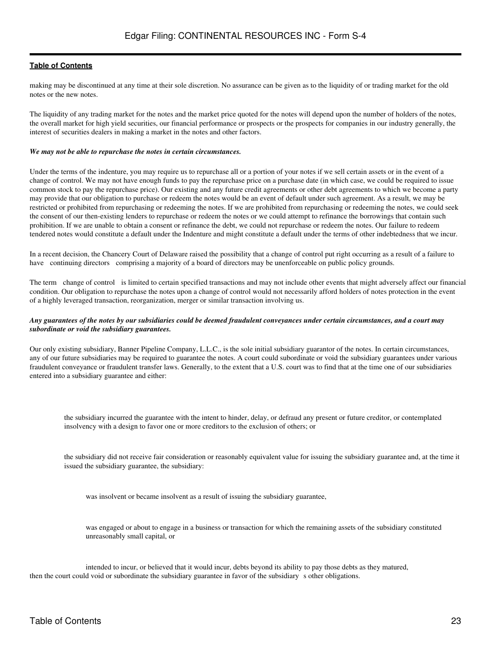making may be discontinued at any time at their sole discretion. No assurance can be given as to the liquidity of or trading market for the old notes or the new notes.

The liquidity of any trading market for the notes and the market price quoted for the notes will depend upon the number of holders of the notes, the overall market for high yield securities, our financial performance or prospects or the prospects for companies in our industry generally, the interest of securities dealers in making a market in the notes and other factors.

#### *We may not be able to repurchase the notes in certain circumstances.*

Under the terms of the indenture, you may require us to repurchase all or a portion of your notes if we sell certain assets or in the event of a change of control. We may not have enough funds to pay the repurchase price on a purchase date (in which case, we could be required to issue common stock to pay the repurchase price). Our existing and any future credit agreements or other debt agreements to which we become a party may provide that our obligation to purchase or redeem the notes would be an event of default under such agreement. As a result, we may be restricted or prohibited from repurchasing or redeeming the notes. If we are prohibited from repurchasing or redeeming the notes, we could seek the consent of our then-existing lenders to repurchase or redeem the notes or we could attempt to refinance the borrowings that contain such prohibition. If we are unable to obtain a consent or refinance the debt, we could not repurchase or redeem the notes. Our failure to redeem tendered notes would constitute a default under the Indenture and might constitute a default under the terms of other indebtedness that we incur.

In a recent decision, the Chancery Court of Delaware raised the possibility that a change of control put right occurring as a result of a failure to have continuing directors comprising a majority of a board of directors may be unenforceable on public policy grounds.

The term change of control is limited to certain specified transactions and may not include other events that might adversely affect our financial condition. Our obligation to repurchase the notes upon a change of control would not necessarily afford holders of notes protection in the event of a highly leveraged transaction, reorganization, merger or similar transaction involving us.

#### *Any guarantees of the notes by our subsidiaries could be deemed fraudulent conveyances under certain circumstances, and a court may subordinate or void the subsidiary guarantees.*

Our only existing subsidiary, Banner Pipeline Company, L.L.C., is the sole initial subsidiary guarantor of the notes. In certain circumstances, any of our future subsidiaries may be required to guarantee the notes. A court could subordinate or void the subsidiary guarantees under various fraudulent conveyance or fraudulent transfer laws. Generally, to the extent that a U.S. court was to find that at the time one of our subsidiaries entered into a subsidiary guarantee and either:

the subsidiary incurred the guarantee with the intent to hinder, delay, or defraud any present or future creditor, or contemplated insolvency with a design to favor one or more creditors to the exclusion of others; or

the subsidiary did not receive fair consideration or reasonably equivalent value for issuing the subsidiary guarantee and, at the time it issued the subsidiary guarantee, the subsidiary:

was insolvent or became insolvent as a result of issuing the subsidiary guarantee,

was engaged or about to engage in a business or transaction for which the remaining assets of the subsidiary constituted unreasonably small capital, or

intended to incur, or believed that it would incur, debts beyond its ability to pay those debts as they matured, then the court could void or subordinate the subsidiary guarantee in favor of the subsidiary s other obligations.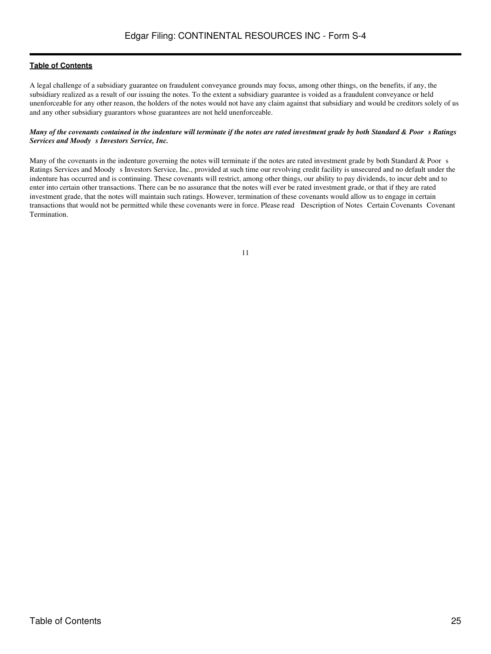A legal challenge of a subsidiary guarantee on fraudulent conveyance grounds may focus, among other things, on the benefits, if any, the subsidiary realized as a result of our issuing the notes. To the extent a subsidiary guarantee is voided as a fraudulent conveyance or held unenforceable for any other reason, the holders of the notes would not have any claim against that subsidiary and would be creditors solely of us and any other subsidiary guarantors whose guarantees are not held unenforceable.

# *Many of the covenants contained in the indenture will terminate if the notes are rated investment grade by both Standard & Poor s Ratings* **Services and Moody s Investors Service, Inc.**

Many of the covenants in the indenture governing the notes will terminate if the notes are rated investment grade by both Standard & Poor s Ratings Services and Moody s Investors Service, Inc., provided at such time our revolving credit facility is unsecured and no default under the indenture has occurred and is continuing. These covenants will restrict, among other things, our ability to pay dividends, to incur debt and to enter into certain other transactions. There can be no assurance that the notes will ever be rated investment grade, or that if they are rated investment grade, that the notes will maintain such ratings. However, termination of these covenants would allow us to engage in certain transactions that would not be permitted while these covenants were in force. Please read Description of Notes Certain Covenants Covenant Termination.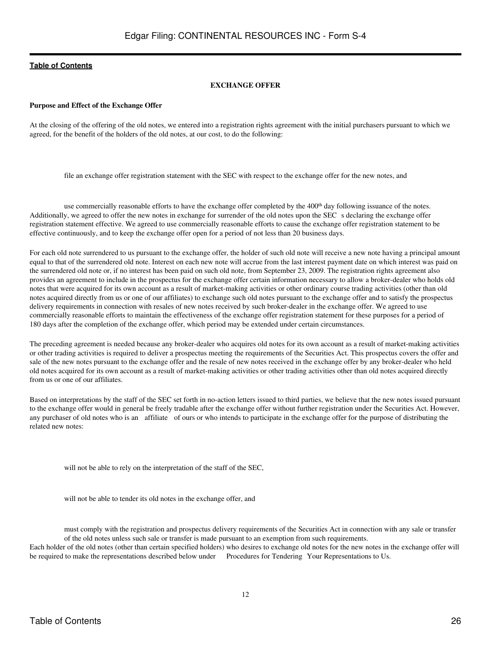#### **EXCHANGE OFFER**

#### <span id="page-25-0"></span>**Purpose and Effect of the Exchange Offer**

At the closing of the offering of the old notes, we entered into a registration rights agreement with the initial purchasers pursuant to which we agreed, for the benefit of the holders of the old notes, at our cost, to do the following:

file an exchange offer registration statement with the SEC with respect to the exchange offer for the new notes, and

use commercially reasonable efforts to have the exchange offer completed by the  $400<sup>th</sup>$  day following issuance of the notes. Additionally, we agreed to offer the new notes in exchange for surrender of the old notes upon the SEC s declaring the exchange offer registration statement effective. We agreed to use commercially reasonable efforts to cause the exchange offer registration statement to be effective continuously, and to keep the exchange offer open for a period of not less than 20 business days.

For each old note surrendered to us pursuant to the exchange offer, the holder of such old note will receive a new note having a principal amount equal to that of the surrendered old note. Interest on each new note will accrue from the last interest payment date on which interest was paid on the surrendered old note or, if no interest has been paid on such old note, from September 23, 2009. The registration rights agreement also provides an agreement to include in the prospectus for the exchange offer certain information necessary to allow a broker-dealer who holds old notes that were acquired for its own account as a result of market-making activities or other ordinary course trading activities (other than old notes acquired directly from us or one of our affiliates) to exchange such old notes pursuant to the exchange offer and to satisfy the prospectus delivery requirements in connection with resales of new notes received by such broker-dealer in the exchange offer. We agreed to use commercially reasonable efforts to maintain the effectiveness of the exchange offer registration statement for these purposes for a period of 180 days after the completion of the exchange offer, which period may be extended under certain circumstances.

The preceding agreement is needed because any broker-dealer who acquires old notes for its own account as a result of market-making activities or other trading activities is required to deliver a prospectus meeting the requirements of the Securities Act. This prospectus covers the offer and sale of the new notes pursuant to the exchange offer and the resale of new notes received in the exchange offer by any broker-dealer who held old notes acquired for its own account as a result of market-making activities or other trading activities other than old notes acquired directly from us or one of our affiliates.

Based on interpretations by the staff of the SEC set forth in no-action letters issued to third parties, we believe that the new notes issued pursuant to the exchange offer would in general be freely tradable after the exchange offer without further registration under the Securities Act. However, any purchaser of old notes who is an affiliate of ours or who intends to participate in the exchange offer for the purpose of distributing the related new notes:

will not be able to rely on the interpretation of the staff of the SEC,

will not be able to tender its old notes in the exchange offer, and

must comply with the registration and prospectus delivery requirements of the Securities Act in connection with any sale or transfer of the old notes unless such sale or transfer is made pursuant to an exemption from such requirements.

Each holder of the old notes (other than certain specified holders) who desires to exchange old notes for the new notes in the exchange offer will be required to make the representations described below under Procedures for Tendering Your Representations to Us.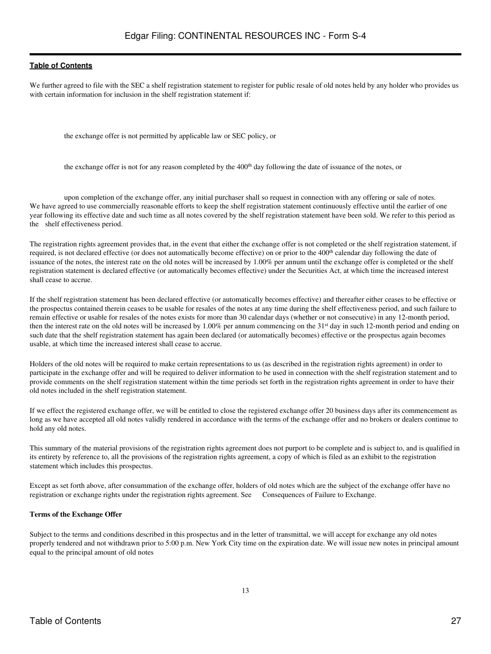We further agreed to file with the SEC a shelf registration statement to register for public resale of old notes held by any holder who provides us with certain information for inclusion in the shelf registration statement if:

the exchange offer is not permitted by applicable law or SEC policy, or

the exchange offer is not for any reason completed by the 400<sup>th</sup> day following the date of issuance of the notes, or

upon completion of the exchange offer, any initial purchaser shall so request in connection with any offering or sale of notes. We have agreed to use commercially reasonable efforts to keep the shelf registration statement continuously effective until the earlier of one year following its effective date and such time as all notes covered by the shelf registration statement have been sold. We refer to this period as the shelf effectiveness period.

The registration rights agreement provides that, in the event that either the exchange offer is not completed or the shelf registration statement, if required, is not declared effective (or does not automatically become effective) on or prior to the 400<sup>th</sup> calendar day following the date of issuance of the notes, the interest rate on the old notes will be increased by 1.00% per annum until the exchange offer is completed or the shelf registration statement is declared effective (or automatically becomes effective) under the Securities Act, at which time the increased interest shall cease to accrue.

If the shelf registration statement has been declared effective (or automatically becomes effective) and thereafter either ceases to be effective or the prospectus contained therein ceases to be usable for resales of the notes at any time during the shelf effectiveness period, and such failure to remain effective or usable for resales of the notes exists for more than 30 calendar days (whether or not consecutive) in any 12-month period, then the interest rate on the old notes will be increased by 1.00% per annum commencing on the 31<sup>st</sup> day in such 12-month period and ending on such date that the shelf registration statement has again been declared (or automatically becomes) effective or the prospectus again becomes usable, at which time the increased interest shall cease to accrue.

Holders of the old notes will be required to make certain representations to us (as described in the registration rights agreement) in order to participate in the exchange offer and will be required to deliver information to be used in connection with the shelf registration statement and to provide comments on the shelf registration statement within the time periods set forth in the registration rights agreement in order to have their old notes included in the shelf registration statement.

If we effect the registered exchange offer, we will be entitled to close the registered exchange offer 20 business days after its commencement as long as we have accepted all old notes validly rendered in accordance with the terms of the exchange offer and no brokers or dealers continue to hold any old notes.

This summary of the material provisions of the registration rights agreement does not purport to be complete and is subject to, and is qualified in its entirety by reference to, all the provisions of the registration rights agreement, a copy of which is filed as an exhibit to the registration statement which includes this prospectus.

Except as set forth above, after consummation of the exchange offer, holders of old notes which are the subject of the exchange offer have no registration or exchange rights under the registration rights agreement. See Consequences of Failure to Exchange.

# **Terms of the Exchange Offer**

Subject to the terms and conditions described in this prospectus and in the letter of transmittal, we will accept for exchange any old notes properly tendered and not withdrawn prior to 5:00 p.m. New York City time on the expiration date. We will issue new notes in principal amount equal to the principal amount of old notes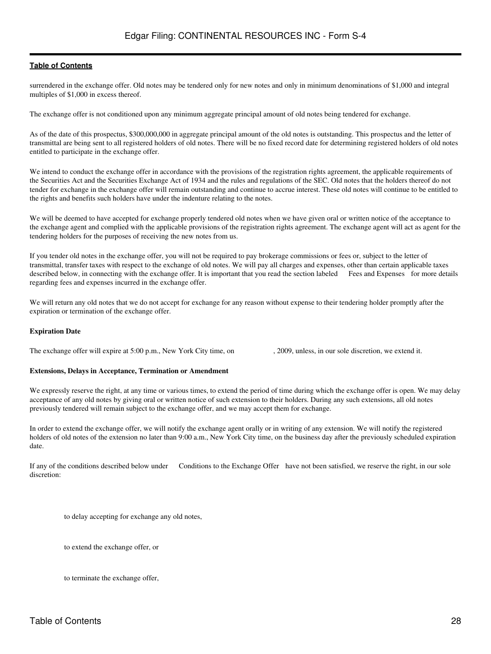surrendered in the exchange offer. Old notes may be tendered only for new notes and only in minimum denominations of \$1,000 and integral multiples of \$1,000 in excess thereof.

The exchange offer is not conditioned upon any minimum aggregate principal amount of old notes being tendered for exchange.

As of the date of this prospectus, \$300,000,000 in aggregate principal amount of the old notes is outstanding. This prospectus and the letter of transmittal are being sent to all registered holders of old notes. There will be no fixed record date for determining registered holders of old notes entitled to participate in the exchange offer.

We intend to conduct the exchange offer in accordance with the provisions of the registration rights agreement, the applicable requirements of the Securities Act and the Securities Exchange Act of 1934 and the rules and regulations of the SEC. Old notes that the holders thereof do not tender for exchange in the exchange offer will remain outstanding and continue to accrue interest. These old notes will continue to be entitled to the rights and benefits such holders have under the indenture relating to the notes.

We will be deemed to have accepted for exchange properly tendered old notes when we have given oral or written notice of the acceptance to the exchange agent and complied with the applicable provisions of the registration rights agreement. The exchange agent will act as agent for the tendering holders for the purposes of receiving the new notes from us.

If you tender old notes in the exchange offer, you will not be required to pay brokerage commissions or fees or, subject to the letter of transmittal, transfer taxes with respect to the exchange of old notes. We will pay all charges and expenses, other than certain applicable taxes described below, in connecting with the exchange offer. It is important that you read the section labeled Fees and Expenses for more details regarding fees and expenses incurred in the exchange offer.

We will return any old notes that we do not accept for exchange for any reason without expense to their tendering holder promptly after the expiration or termination of the exchange offer.

## **Expiration Date**

The exchange offer will expire at 5:00 p.m., New York City time, on , 2009, unless, in our sole discretion, we extend it.

#### **Extensions, Delays in Acceptance, Termination or Amendment**

We expressly reserve the right, at any time or various times, to extend the period of time during which the exchange offer is open. We may delay acceptance of any old notes by giving oral or written notice of such extension to their holders. During any such extensions, all old notes previously tendered will remain subject to the exchange offer, and we may accept them for exchange.

In order to extend the exchange offer, we will notify the exchange agent orally or in writing of any extension. We will notify the registered holders of old notes of the extension no later than 9:00 a.m., New York City time, on the business day after the previously scheduled expiration date.

If any of the conditions described below under Conditions to the Exchange Offer have not been satisfied, we reserve the right, in our sole discretion:

to delay accepting for exchange any old notes,

to extend the exchange offer, or

to terminate the exchange offer,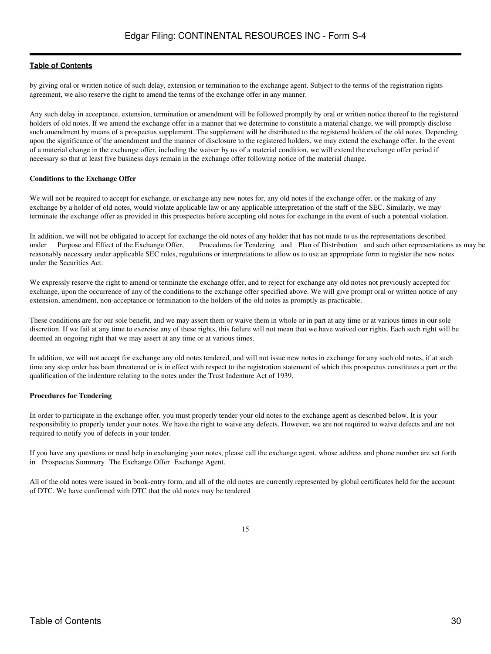by giving oral or written notice of such delay, extension or termination to the exchange agent. Subject to the terms of the registration rights agreement, we also reserve the right to amend the terms of the exchange offer in any manner.

Any such delay in acceptance, extension, termination or amendment will be followed promptly by oral or written notice thereof to the registered holders of old notes. If we amend the exchange offer in a manner that we determine to constitute a material change, we will promptly disclose such amendment by means of a prospectus supplement. The supplement will be distributed to the registered holders of the old notes. Depending upon the significance of the amendment and the manner of disclosure to the registered holders, we may extend the exchange offer. In the event of a material change in the exchange offer, including the waiver by us of a material condition, we will extend the exchange offer period if necessary so that at least five business days remain in the exchange offer following notice of the material change.

## **Conditions to the Exchange Offer**

We will not be required to accept for exchange, or exchange any new notes for, any old notes if the exchange offer, or the making of any exchange by a holder of old notes, would violate applicable law or any applicable interpretation of the staff of the SEC. Similarly, we may terminate the exchange offer as provided in this prospectus before accepting old notes for exchange in the event of such a potential violation.

In addition, we will not be obligated to accept for exchange the old notes of any holder that has not made to us the representations described under Purpose and Effect of the Exchange Offer, Procedures for Tendering and Plan of Distribution and such other representations as may be reasonably necessary under applicable SEC rules, regulations or interpretations to allow us to use an appropriate form to register the new notes under the Securities Act.

We expressly reserve the right to amend or terminate the exchange offer, and to reject for exchange any old notes not previously accepted for exchange, upon the occurrence of any of the conditions to the exchange offer specified above. We will give prompt oral or written notice of any extension, amendment, non-acceptance or termination to the holders of the old notes as promptly as practicable.

These conditions are for our sole benefit, and we may assert them or waive them in whole or in part at any time or at various times in our sole discretion. If we fail at any time to exercise any of these rights, this failure will not mean that we have waived our rights. Each such right will be deemed an ongoing right that we may assert at any time or at various times.

In addition, we will not accept for exchange any old notes tendered, and will not issue new notes in exchange for any such old notes, if at such time any stop order has been threatened or is in effect with respect to the registration statement of which this prospectus constitutes a part or the qualification of the indenture relating to the notes under the Trust Indenture Act of 1939.

## **Procedures for Tendering**

In order to participate in the exchange offer, you must properly tender your old notes to the exchange agent as described below. It is your responsibility to properly tender your notes. We have the right to waive any defects. However, we are not required to waive defects and are not required to notify you of defects in your tender.

If you have any questions or need help in exchanging your notes, please call the exchange agent, whose address and phone number are set forth in Prospectus Summary The Exchange Offer Exchange Agent.

All of the old notes were issued in book-entry form, and all of the old notes are currently represented by global certificates held for the account of DTC. We have confirmed with DTC that the old notes may be tendered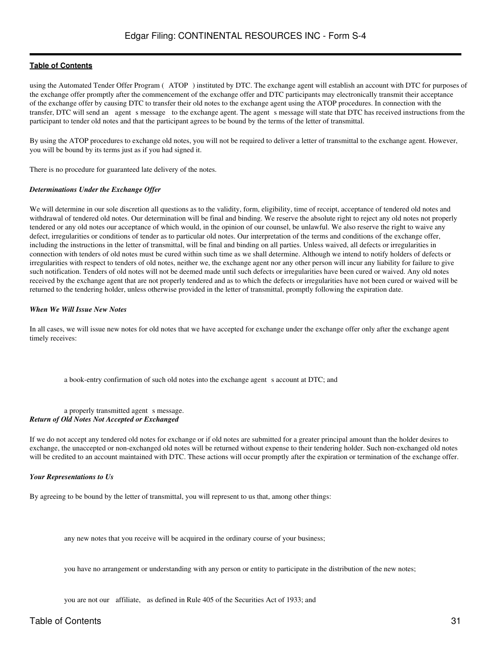using the Automated Tender Offer Program (ATOP) instituted by DTC. The exchange agent will establish an account with DTC for purposes of the exchange offer promptly after the commencement of the exchange offer and DTC participants may electronically transmit their acceptance of the exchange offer by causing DTC to transfer their old notes to the exchange agent using the ATOP procedures. In connection with the transfer, DTC will send an agent s message to the exchange agent. The agent s message will state that DTC has received instructions from the participant to tender old notes and that the participant agrees to be bound by the terms of the letter of transmittal.

By using the ATOP procedures to exchange old notes, you will not be required to deliver a letter of transmittal to the exchange agent. However, you will be bound by its terms just as if you had signed it.

There is no procedure for guaranteed late delivery of the notes.

#### *Determinations Under the Exchange Offer*

We will determine in our sole discretion all questions as to the validity, form, eligibility, time of receipt, acceptance of tendered old notes and withdrawal of tendered old notes. Our determination will be final and binding. We reserve the absolute right to reject any old notes not properly tendered or any old notes our acceptance of which would, in the opinion of our counsel, be unlawful. We also reserve the right to waive any defect, irregularities or conditions of tender as to particular old notes. Our interpretation of the terms and conditions of the exchange offer, including the instructions in the letter of transmittal, will be final and binding on all parties. Unless waived, all defects or irregularities in connection with tenders of old notes must be cured within such time as we shall determine. Although we intend to notify holders of defects or irregularities with respect to tenders of old notes, neither we, the exchange agent nor any other person will incur any liability for failure to give such notification. Tenders of old notes will not be deemed made until such defects or irregularities have been cured or waived. Any old notes received by the exchange agent that are not properly tendered and as to which the defects or irregularities have not been cured or waived will be returned to the tendering holder, unless otherwise provided in the letter of transmittal, promptly following the expiration date.

#### *When We Will Issue New Notes*

In all cases, we will issue new notes for old notes that we have accepted for exchange under the exchange offer only after the exchange agent timely receives:

a book-entry confirmation of such old notes into the exchange agents account at DTC; and

a properly transmitted agent s message. *Return of Old Notes Not Accepted or Exchanged*

If we do not accept any tendered old notes for exchange or if old notes are submitted for a greater principal amount than the holder desires to exchange, the unaccepted or non-exchanged old notes will be returned without expense to their tendering holder. Such non-exchanged old notes will be credited to an account maintained with DTC. These actions will occur promptly after the expiration or termination of the exchange offer.

## *Your Representations to Us*

By agreeing to be bound by the letter of transmittal, you will represent to us that, among other things:

any new notes that you receive will be acquired in the ordinary course of your business;

you have no arrangement or understanding with any person or entity to participate in the distribution of the new notes;

you are not our affiliate, as defined in Rule 405 of the Securities Act of 1933; and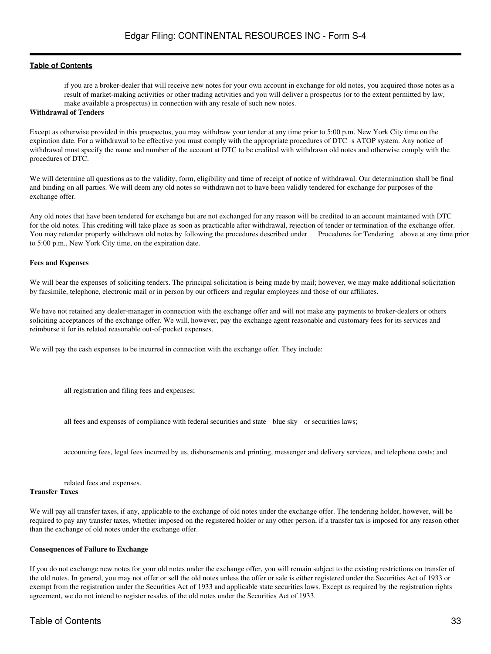if you are a broker-dealer that will receive new notes for your own account in exchange for old notes, you acquired those notes as a result of market-making activities or other trading activities and you will deliver a prospectus (or to the extent permitted by law, make available a prospectus) in connection with any resale of such new notes.

# **Withdrawal of Tenders**

Except as otherwise provided in this prospectus, you may withdraw your tender at any time prior to 5:00 p.m. New York City time on the expiration date. For a withdrawal to be effective you must comply with the appropriate procedures of DTC s ATOP system. Any notice of withdrawal must specify the name and number of the account at DTC to be credited with withdrawn old notes and otherwise comply with the procedures of DTC.

We will determine all questions as to the validity, form, eligibility and time of receipt of notice of withdrawal. Our determination shall be final and binding on all parties. We will deem any old notes so withdrawn not to have been validly tendered for exchange for purposes of the exchange offer.

Any old notes that have been tendered for exchange but are not exchanged for any reason will be credited to an account maintained with DTC for the old notes. This crediting will take place as soon as practicable after withdrawal, rejection of tender or termination of the exchange offer. You may retender properly withdrawn old notes by following the procedures described under Procedures for Tendering above at any time prior to 5:00 p.m., New York City time, on the expiration date.

#### **Fees and Expenses**

We will bear the expenses of soliciting tenders. The principal solicitation is being made by mail; however, we may make additional solicitation by facsimile, telephone, electronic mail or in person by our officers and regular employees and those of our affiliates.

We have not retained any dealer-manager in connection with the exchange offer and will not make any payments to broker-dealers or others soliciting acceptances of the exchange offer. We will, however, pay the exchange agent reasonable and customary fees for its services and reimburse it for its related reasonable out-of-pocket expenses.

We will pay the cash expenses to be incurred in connection with the exchange offer. They include:

all registration and filing fees and expenses;

all fees and expenses of compliance with federal securities and state blue sky or securities laws;

accounting fees, legal fees incurred by us, disbursements and printing, messenger and delivery services, and telephone costs; and

related fees and expenses.

# **Transfer Taxes**

We will pay all transfer taxes, if any, applicable to the exchange of old notes under the exchange offer. The tendering holder, however, will be required to pay any transfer taxes, whether imposed on the registered holder or any other person, if a transfer tax is imposed for any reason other than the exchange of old notes under the exchange offer.

# **Consequences of Failure to Exchange**

If you do not exchange new notes for your old notes under the exchange offer, you will remain subject to the existing restrictions on transfer of the old notes. In general, you may not offer or sell the old notes unless the offer or sale is either registered under the Securities Act of 1933 or exempt from the registration under the Securities Act of 1933 and applicable state securities laws. Except as required by the registration rights agreement, we do not intend to register resales of the old notes under the Securities Act of 1933.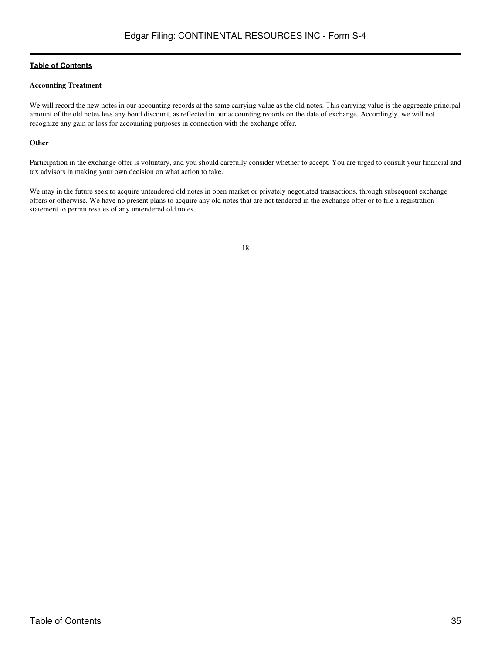# **Accounting Treatment**

We will record the new notes in our accounting records at the same carrying value as the old notes. This carrying value is the aggregate principal amount of the old notes less any bond discount, as reflected in our accounting records on the date of exchange. Accordingly, we will not recognize any gain or loss for accounting purposes in connection with the exchange offer.

# **Other**

Participation in the exchange offer is voluntary, and you should carefully consider whether to accept. You are urged to consult your financial and tax advisors in making your own decision on what action to take.

We may in the future seek to acquire untendered old notes in open market or privately negotiated transactions, through subsequent exchange offers or otherwise. We have no present plans to acquire any old notes that are not tendered in the exchange offer or to file a registration statement to permit resales of any untendered old notes.

| ı<br>۰.<br>$\sim$ |
|-------------------|
|                   |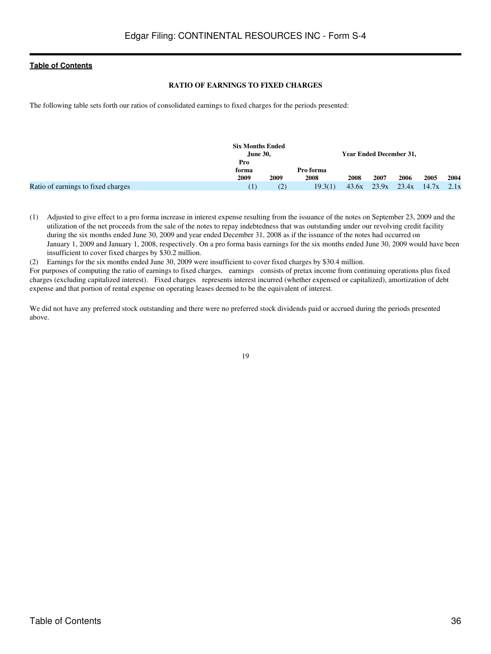# **RATIO OF EARNINGS TO FIXED CHARGES**

<span id="page-35-0"></span>The following table sets forth our ratios of consolidated earnings to fixed charges for the periods presented:

|                                    |                  | <b>Six Months Ended</b><br>June 30, |                   | <b>Year Ended December 31,</b> |       |       |       |      |
|------------------------------------|------------------|-------------------------------------|-------------------|--------------------------------|-------|-------|-------|------|
|                                    | Pro              |                                     |                   |                                |       |       |       |      |
|                                    | forma<br>2009    | 2009                                | Pro forma<br>2008 | 2008                           | 2007  | 2006  | 2005  | 2004 |
| Ratio of earnings to fixed charges | $\left(1\right)$ | (2)                                 | 19.3(1)           | 43.6x                          | 23.9x | 23.4x | 14.7x | 2.1x |

- (1) Adjusted to give effect to a pro forma increase in interest expense resulting from the issuance of the notes on September 23, 2009 and the utilization of the net proceeds from the sale of the notes to repay indebtedness that was outstanding under our revolving credit facility during the six months ended June 30, 2009 and year ended December 31, 2008 as if the issuance of the notes had occurred on January 1, 2009 and January 1, 2008, respectively. On a pro forma basis earnings for the six months ended June 30, 2009 would have been insufficient to cover fixed charges by \$30.2 million.
- (2) Earnings for the six months ended June 30, 2009 were insufficient to cover fixed charges by \$30.4 million.

For purposes of computing the ratio of earnings to fixed charges, earnings consists of pretax income from continuing operations plus fixed charges (excluding capitalized interest). Fixed charges represents interest incurred (whether expensed or capitalized), amortization of debt expense and that portion of rental expense on operating leases deemed to be the equivalent of interest.

We did not have any preferred stock outstanding and there were no preferred stock dividends paid or accrued during the periods presented above.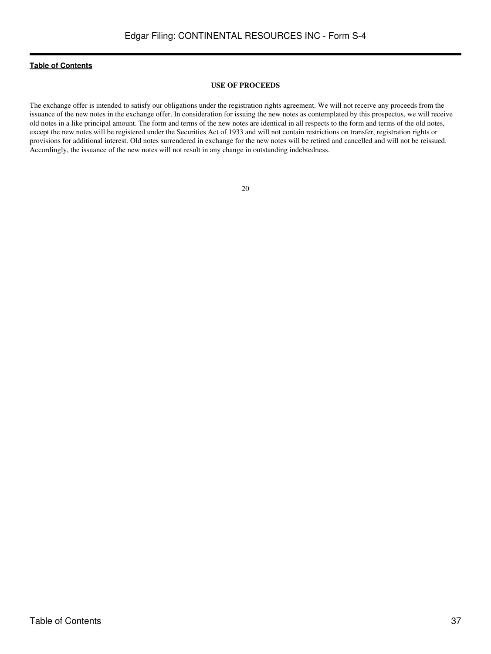#### **USE OF PROCEEDS**

The exchange offer is intended to satisfy our obligations under the registration rights agreement. We will not receive any proceeds from the issuance of the new notes in the exchange offer. In consideration for issuing the new notes as contemplated by this prospectus, we will receive old notes in a like principal amount. The form and terms of the new notes are identical in all respects to the form and terms of the old notes, except the new notes will be registered under the Securities Act of 1933 and will not contain restrictions on transfer, registration rights or provisions for additional interest. Old notes surrendered in exchange for the new notes will be retired and cancelled and will not be reissued. Accordingly, the issuance of the new notes will not result in any change in outstanding indebtedness.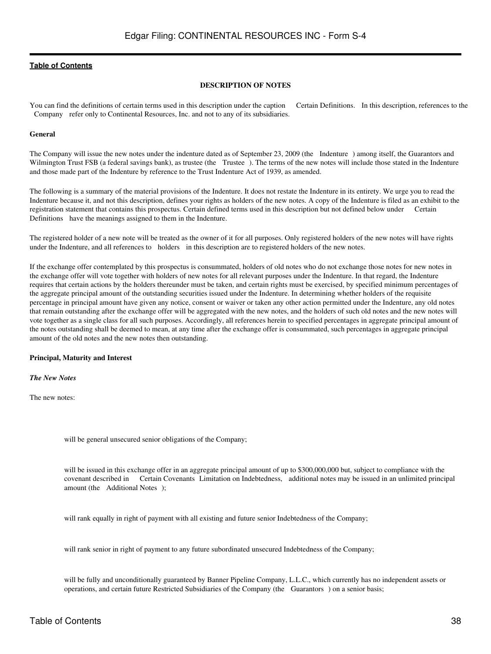#### **DESCRIPTION OF NOTES**

You can find the definitions of certain terms used in this description under the caption Certain Definitions. In this description, references to the Company refer only to Continental Resources, Inc. and not to any of its subsidiaries.

### **General**

The Company will issue the new notes under the indenture dated as of September 23, 2009 (the Indenture) among itself, the Guarantors and Wilmington Trust FSB (a federal savings bank), as trustee (the Trustee). The terms of the new notes will include those stated in the Indenture and those made part of the Indenture by reference to the Trust Indenture Act of 1939, as amended.

The following is a summary of the material provisions of the Indenture. It does not restate the Indenture in its entirety. We urge you to read the Indenture because it, and not this description, defines your rights as holders of the new notes. A copy of the Indenture is filed as an exhibit to the registration statement that contains this prospectus. Certain defined terms used in this description but not defined below under Certain Definitions have the meanings assigned to them in the Indenture.

The registered holder of a new note will be treated as the owner of it for all purposes. Only registered holders of the new notes will have rights under the Indenture, and all references to holders in this description are to registered holders of the new notes.

If the exchange offer contemplated by this prospectus is consummated, holders of old notes who do not exchange those notes for new notes in the exchange offer will vote together with holders of new notes for all relevant purposes under the Indenture. In that regard, the Indenture requires that certain actions by the holders thereunder must be taken, and certain rights must be exercised, by specified minimum percentages of the aggregate principal amount of the outstanding securities issued under the Indenture. In determining whether holders of the requisite percentage in principal amount have given any notice, consent or waiver or taken any other action permitted under the Indenture, any old notes that remain outstanding after the exchange offer will be aggregated with the new notes, and the holders of such old notes and the new notes will vote together as a single class for all such purposes. Accordingly, all references herein to specified percentages in aggregate principal amount of the notes outstanding shall be deemed to mean, at any time after the exchange offer is consummated, such percentages in aggregate principal amount of the old notes and the new notes then outstanding.

### **Principal, Maturity and Interest**

*The New Notes*

The new notes:

will be general unsecured senior obligations of the Company;

will be issued in this exchange offer in an aggregate principal amount of up to \$300,000,000 but, subject to compliance with the covenant described in Certain CovenantsLimitation on Indebtedness, additional notes may be issued in an unlimited principal amount (the Additional Notes);

will rank equally in right of payment with all existing and future senior Indebtedness of the Company;

will rank senior in right of payment to any future subordinated unsecured Indebtedness of the Company;

will be fully and unconditionally guaranteed by Banner Pipeline Company, L.L.C., which currently has no independent assets or operations, and certain future Restricted Subsidiaries of the Company (the Guarantors) on a senior basis;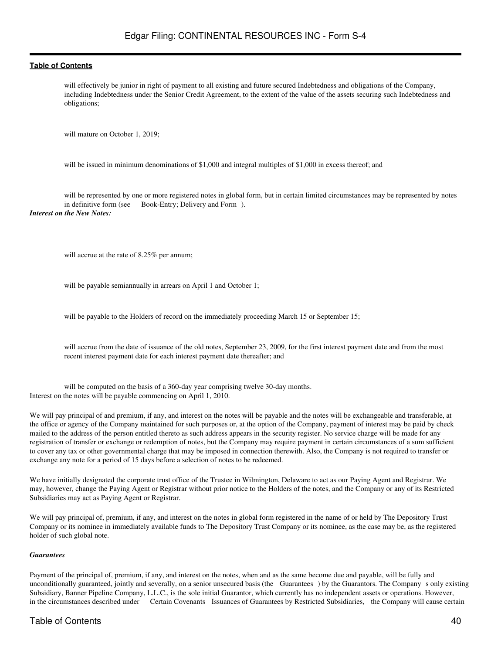will effectively be junior in right of payment to all existing and future secured Indebtedness and obligations of the Company, including Indebtedness under the Senior Credit Agreement, to the extent of the value of the assets securing such Indebtedness and obligations;

will mature on October 1, 2019;

will be issued in minimum denominations of \$1,000 and integral multiples of \$1,000 in excess thereof; and

will be represented by one or more registered notes in global form, but in certain limited circumstances may be represented by notes in definitive form (see Book-Entry; Delivery and Form). *Interest on the New Notes:*

will accrue at the rate of 8.25% per annum;

will be payable semiannually in arrears on April 1 and October 1;

will be payable to the Holders of record on the immediately proceeding March 15 or September 15;

will accrue from the date of issuance of the old notes, September 23, 2009, for the first interest payment date and from the most recent interest payment date for each interest payment date thereafter; and

will be computed on the basis of a 360-day year comprising twelve 30-day months. Interest on the notes will be payable commencing on April 1, 2010.

We will pay principal of and premium, if any, and interest on the notes will be payable and the notes will be exchangeable and transferable, at the office or agency of the Company maintained for such purposes or, at the option of the Company, payment of interest may be paid by check mailed to the address of the person entitled thereto as such address appears in the security register. No service charge will be made for any registration of transfer or exchange or redemption of notes, but the Company may require payment in certain circumstances of a sum sufficient to cover any tax or other governmental charge that may be imposed in connection therewith. Also, the Company is not required to transfer or exchange any note for a period of 15 days before a selection of notes to be redeemed.

We have initially designated the corporate trust office of the Trustee in Wilmington, Delaware to act as our Paying Agent and Registrar. We may, however, change the Paying Agent or Registrar without prior notice to the Holders of the notes, and the Company or any of its Restricted Subsidiaries may act as Paying Agent or Registrar.

We will pay principal of, premium, if any, and interest on the notes in global form registered in the name of or held by The Depository Trust Company or its nominee in immediately available funds to The Depository Trust Company or its nominee, as the case may be, as the registered holder of such global note.

### *Guarantees*

Payment of the principal of, premium, if any, and interest on the notes, when and as the same become due and payable, will be fully and unconditionally guaranteed, jointly and severally, on a senior unsecured basis (the Guarantees) by the Guarantors. The Companys only existing Subsidiary, Banner Pipeline Company, L.L.C., is the sole initial Guarantor, which currently has no independent assets or operations. However, in the circumstances described under Certain Covenants Issuances of Guarantees by Restricted Subsidiaries, the Company will cause certain

## Table of Contents 40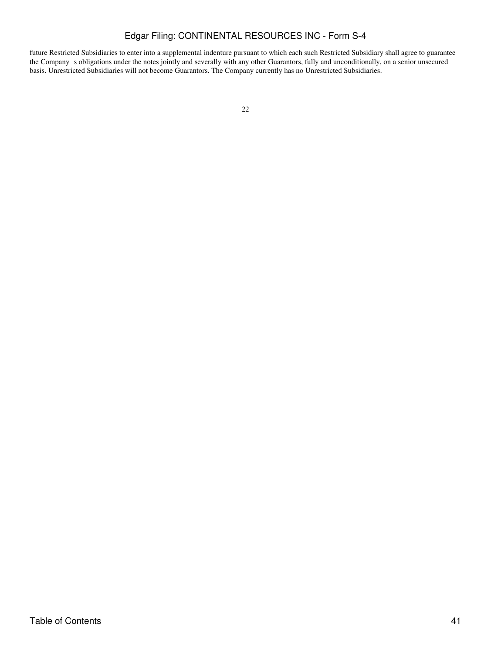# Edgar Filing: CONTINENTAL RESOURCES INC - Form S-4

future Restricted Subsidiaries to enter into a supplemental indenture pursuant to which each such Restricted Subsidiary shall agree to guarantee the Company s obligations under the notes jointly and severally with any other Guarantors, fully and unconditionally, on a senior unsecured basis. Unrestricted Subsidiaries will not become Guarantors. The Company currently has no Unrestricted Subsidiaries.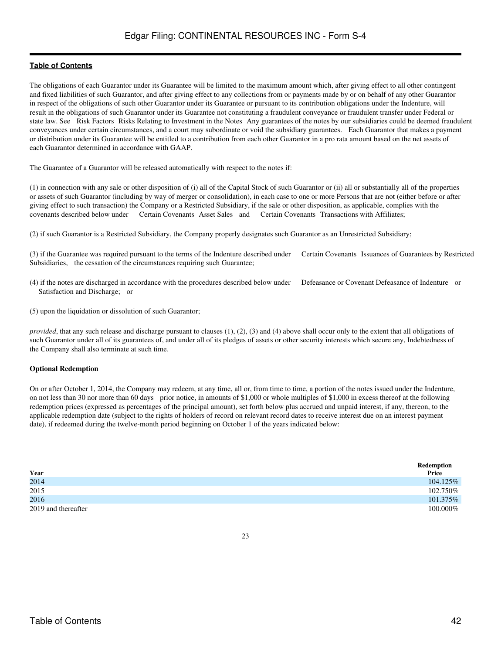The obligations of each Guarantor under its Guarantee will be limited to the maximum amount which, after giving effect to all other contingent and fixed liabilities of such Guarantor, and after giving effect to any collections from or payments made by or on behalf of any other Guarantor in respect of the obligations of such other Guarantor under its Guarantee or pursuant to its contribution obligations under the Indenture, will result in the obligations of such Guarantor under its Guarantee not constituting a fraudulent conveyance or fraudulent transfer under Federal or state law. See Risk Factors Risks Relating to Investment in the Notes Any guarantees of the notes by our subsidiaries could be deemed fraudulent conveyances under certain circumstances, and a court may subordinate or void the subsidiary guarantees. Each Guarantor that makes a payment or distribution under its Guarantee will be entitled to a contribution from each other Guarantor in a pro rata amount based on the net assets of each Guarantor determined in accordance with GAAP.

The Guarantee of a Guarantor will be released automatically with respect to the notes if:

(1) in connection with any sale or other disposition of (i) all of the Capital Stock of such Guarantor or (ii) all or substantially all of the properties or assets of such Guarantor (including by way of merger or consolidation), in each case to one or more Persons that are not (either before or after giving effect to such transaction) the Company or a Restricted Subsidiary, if the sale or other disposition, as applicable, complies with the covenants described below under Certain Covenants Asset Sales and Certain Covenants Transactions with Affiliates;

(2) if such Guarantor is a Restricted Subsidiary, the Company properly designates such Guarantor as an Unrestricted Subsidiary;

(3) if the Guarantee was required pursuant to the terms of the Indenture described under Certain Covenants Issuances of Guarantees by Restricted Subsidiaries, the cessation of the circumstances requiring such Guarantee;

- (4) if the notes are discharged in accordance with the procedures described below under Defeasance or Covenant Defeasance of Indenture or Satisfaction and Discharge; or
- (5) upon the liquidation or dissolution of such Guarantor;

*provided*, that any such release and discharge pursuant to clauses (1), (2), (3) and (4) above shall occur only to the extent that all obligations of such Guarantor under all of its guarantees of, and under all of its pledges of assets or other security interests which secure any, Indebtedness of the Company shall also terminate at such time.

### **Optional Redemption**

On or after October 1, 2014, the Company may redeem, at any time, all or, from time to time, a portion of the notes issued under the Indenture, on not less than 30 nor more than 60 days prior notice, in amounts of \$1,000 or whole multiples of \$1,000 in excess thereof at the following redemption prices (expressed as percentages of the principal amount), set forth below plus accrued and unpaid interest, if any, thereon, to the applicable redemption date (subject to the rights of holders of record on relevant record dates to receive interest due on an interest payment date), if redeemed during the twelve-month period beginning on October 1 of the years indicated below:

|                     | <b>Redemption</b> |
|---------------------|-------------------|
| Year                | Price             |
| 2014                | 104.125\%         |
| 2015                | 102.750%          |
| 2016                | 101.375\%         |
| 2019 and thereafter | 100.000%          |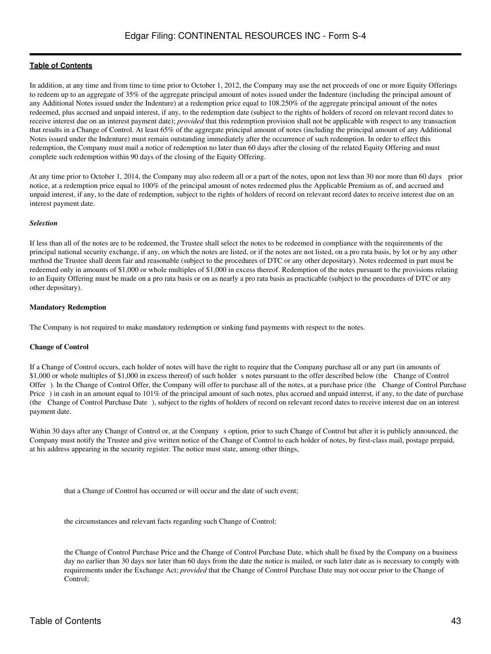In addition, at any time and from time to time prior to October 1, 2012, the Company may use the net proceeds of one or more Equity Offerings to redeem up to an aggregate of 35% of the aggregate principal amount of notes issued under the Indenture (including the principal amount of any Additional Notes issued under the Indenture) at a redemption price equal to 108.250% of the aggregate principal amount of the notes redeemed, plus accrued and unpaid interest, if any, to the redemption date (subject to the rights of holders of record on relevant record dates to receive interest due on an interest payment date); *provided* that this redemption provision shall not be applicable with respect to any transaction that results in a Change of Control. At least 65% of the aggregate principal amount of notes (including the principal amount of any Additional Notes issued under the Indenture) must remain outstanding immediately after the occurrence of such redemption. In order to effect this redemption, the Company must mail a notice of redemption no later than 60 days after the closing of the related Equity Offering and must complete such redemption within 90 days of the closing of the Equity Offering.

At any time prior to October 1, 2014, the Company may also redeem all or a part of the notes, upon not less than 30 nor more than 60 days prior notice, at a redemption price equal to 100% of the principal amount of notes redeemed plus the Applicable Premium as of, and accrued and unpaid interest, if any, to the date of redemption, subject to the rights of holders of record on relevant record dates to receive interest due on an interest payment date.

### *Selection*

If less than all of the notes are to be redeemed, the Trustee shall select the notes to be redeemed in compliance with the requirements of the principal national security exchange, if any, on which the notes are listed, or if the notes are not listed, on a pro rata basis, by lot or by any other method the Trustee shall deem fair and reasonable (subject to the procedures of DTC or any other depositary). Notes redeemed in part must be redeemed only in amounts of \$1,000 or whole multiples of \$1,000 in excess thereof. Redemption of the notes pursuant to the provisions relating to an Equity Offering must be made on a pro rata basis or on as nearly a pro rata basis as practicable (subject to the procedures of DTC or any other depositary).

### **Mandatory Redemption**

The Company is not required to make mandatory redemption or sinking fund payments with respect to the notes.

### **Change of Control**

If a Change of Control occurs, each holder of notes will have the right to require that the Company purchase all or any part (in amounts of \$1,000 or whole multiples of \$1,000 in excess thereof) of such holder s notes pursuant to the offer described below (the Change of Control Offer). In the Change of Control Offer, the Company will offer to purchase all of the notes, at a purchase price (the Change of Control Purchase Price ) in cash in an amount equal to 101% of the principal amount of such notes, plus accrued and unpaid interest, if any, to the date of purchase (the Change of Control Purchase Date), subject to the rights of holders of record on relevant record dates to receive interest due on an interest payment date.

Within 30 days after any Change of Control or, at the Company s option, prior to such Change of Control but after it is publicly announced, the Company must notify the Trustee and give written notice of the Change of Control to each holder of notes, by first-class mail, postage prepaid, at his address appearing in the security register. The notice must state, among other things,

that a Change of Control has occurred or will occur and the date of such event;

the circumstances and relevant facts regarding such Change of Control;

the Change of Control Purchase Price and the Change of Control Purchase Date, which shall be fixed by the Company on a business day no earlier than 30 days nor later than 60 days from the date the notice is mailed, or such later date as is necessary to comply with requirements under the Exchange Act; *provided* that the Change of Control Purchase Date may not occur prior to the Change of Control;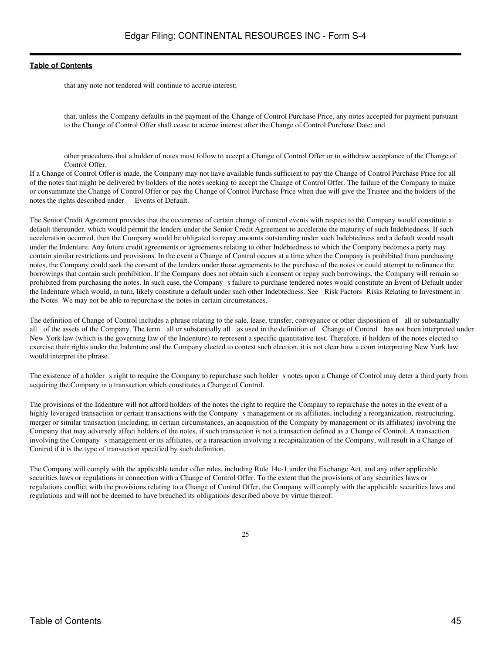that any note not tendered will continue to accrue interest;

that, unless the Company defaults in the payment of the Change of Control Purchase Price, any notes accepted for payment pursuant to the Change of Control Offer shall cease to accrue interest after the Change of Control Purchase Date; and

other procedures that a holder of notes must follow to accept a Change of Control Offer or to withdraw acceptance of the Change of Control Offer.

If a Change of Control Offer is made, the Company may not have available funds sufficient to pay the Change of Control Purchase Price for all of the notes that might be delivered by holders of the notes seeking to accept the Change of Control Offer. The failure of the Company to make or consummate the Change of Control Offer or pay the Change of Control Purchase Price when due will give the Trustee and the holders of the notes the rights described under Events of Default.

The Senior Credit Agreement provides that the occurrence of certain change of control events with respect to the Company would constitute a default thereunder, which would permit the lenders under the Senior Credit Agreement to accelerate the maturity of such Indebtedness. If such acceleration occurred, then the Company would be obligated to repay amounts outstanding under such Indebtedness and a default would result under the Indenture. Any future credit agreements or agreements relating to other Indebtedness to which the Company becomes a party may contain similar restrictions and provisions. In the event a Change of Control occurs at a time when the Company is prohibited from purchasing notes, the Company could seek the consent of the lenders under those agreements to the purchase of the notes or could attempt to refinance the borrowings that contain such prohibition. If the Company does not obtain such a consent or repay such borrowings, the Company will remain so prohibited from purchasing the notes. In such case, the Company s failure to purchase tendered notes would constitute an Event of Default under the Indenture which would, in turn, likely constitute a default under such other Indebtedness. See Risk Factors Risks Relating to Investment in the Notes We may not be able to repurchase the notes in certain circumstances.

The definition of Change of Control includes a phrase relating to the sale, lease, transfer, conveyance or other disposition of all or substantially all of the assets of the Company. The term all or substantially all as used in the definition of Change of Control has not been interpreted under New York law (which is the governing law of the Indenture) to represent a specific quantitative test. Therefore, if holders of the notes elected to exercise their rights under the Indenture and the Company elected to contest such election, it is not clear how a court interpreting New York law would interpret the phrase.

The existence of a holder s right to require the Company to repurchase such holder s notes upon a Change of Control may deter a third party from acquiring the Company in a transaction which constitutes a Change of Control.

The provisions of the Indenture will not afford holders of the notes the right to require the Company to repurchase the notes in the event of a highly leveraged transaction or certain transactions with the Company s management or its affiliates, including a reorganization, restructuring, merger or similar transaction (including, in certain circumstances, an acquisition of the Company by management or its affiliates) involving the Company that may adversely affect holders of the notes, if such transaction is not a transaction defined as a Change of Control. A transaction involving the Company s management or its affiliates, or a transaction involving a recapitalization of the Company, will result in a Change of Control if it is the type of transaction specified by such definition.

The Company will comply with the applicable tender offer rules, including Rule 14e-1 under the Exchange Act, and any other applicable securities laws or regulations in connection with a Change of Control Offer. To the extent that the provisions of any securities laws or regulations conflict with the provisions relating to a Change of Control Offer, the Company will comply with the applicable securities laws and regulations and will not be deemed to have breached its obligations described above by virtue thereof.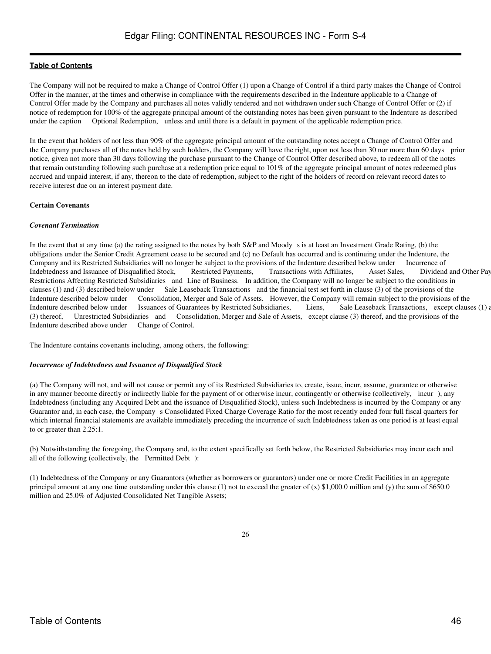The Company will not be required to make a Change of Control Offer (1) upon a Change of Control if a third party makes the Change of Control Offer in the manner, at the times and otherwise in compliance with the requirements described in the Indenture applicable to a Change of Control Offer made by the Company and purchases all notes validly tendered and not withdrawn under such Change of Control Offer or (2) if notice of redemption for 100% of the aggregate principal amount of the outstanding notes has been given pursuant to the Indenture as described under the caption Optional Redemption, unless and until there is a default in payment of the applicable redemption price.

In the event that holders of not less than 90% of the aggregate principal amount of the outstanding notes accept a Change of Control Offer and the Company purchases all of the notes held by such holders, the Company will have the right, upon not less than 30 nor more than 60 days prior notice, given not more than 30 days following the purchase pursuant to the Change of Control Offer described above, to redeem all of the notes that remain outstanding following such purchase at a redemption price equal to 101% of the aggregate principal amount of notes redeemed plus accrued and unpaid interest, if any, thereon to the date of redemption, subject to the right of the holders of record on relevant record dates to receive interest due on an interest payment date.

### **Certain Covenants**

#### *Covenant Termination*

In the event that at any time (a) the rating assigned to the notes by both S&P and Moody s is at least an Investment Grade Rating, (b) the obligations under the Senior Credit Agreement cease to be secured and (c) no Default has occurred and is continuing under the Indenture, the Company and its Restricted Subsidiaries will no longer be subject to the provisions of the Indenture described below under Incurrence of Indebtedness and Issuance of Disqualified Stock, Restricted Payments, Transactions with Affiliates, Asset Sales, Dividend and Other Payment Restrictions Affecting Restricted Subsidiaries and Line of Business. In addition, the Company will no longer be subject to the conditions in clauses (1) and (3) described below under Sale Leaseback Transactions and the financial test set forth in clause (3) of the provisions of the Indenture described below under Consolidation, Merger and Sale of Assets. However, the Company will remain subject to the provisions of the Indenture described below under Issuances of Guarantees by Restricted Subsidiaries, Liens, Sale Leaseback Transactions, except clauses (1) and and the United Subsidiaries and Sale Leaseback Transactions, except clauses (1) (3) thereof, Unrestricted Subsidiaries and Consolidation, Merger and Sale of Assets, except clause (3) thereof, and the provisions of the Indenture described above under Change of Control.

The Indenture contains covenants including, among others, the following:

### *Incurrence of Indebtedness and Issuance of Disqualified Stock*

(a) The Company will not, and will not cause or permit any of its Restricted Subsidiaries to, create, issue, incur, assume, guarantee or otherwise in any manner become directly or indirectly liable for the payment of or otherwise incur, contingently or otherwise (collectively, incur), any Indebtedness (including any Acquired Debt and the issuance of Disqualified Stock), unless such Indebtedness is incurred by the Company or any Guarantor and, in each case, the Company s Consolidated Fixed Charge Coverage Ratio for the most recently ended four full fiscal quarters for which internal financial statements are available immediately preceding the incurrence of such Indebtedness taken as one period is at least equal to or greater than 2.25:1.

(b) Notwithstanding the foregoing, the Company and, to the extent specifically set forth below, the Restricted Subsidiaries may incur each and all of the following (collectively, the Permitted Debt):

(1) Indebtedness of the Company or any Guarantors (whether as borrowers or guarantors) under one or more Credit Facilities in an aggregate principal amount at any one time outstanding under this clause (1) not to exceed the greater of  $(x)$  \$1,000.0 million and  $(y)$  the sum of \$650.0 million and 25.0% of Adjusted Consolidated Net Tangible Assets;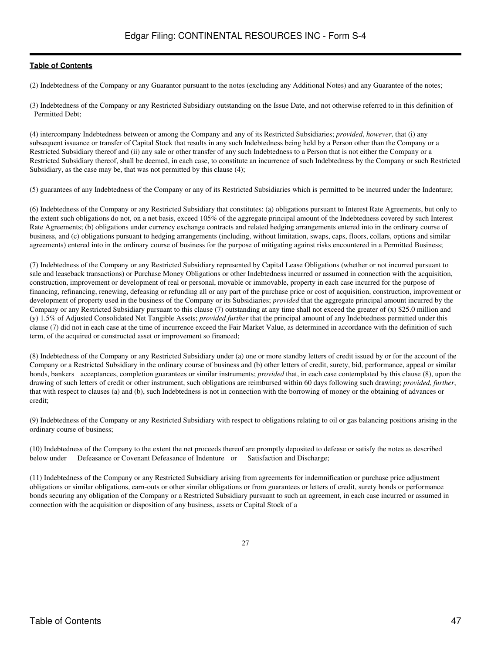(2) Indebtedness of the Company or any Guarantor pursuant to the notes (excluding any Additional Notes) and any Guarantee of the notes;

(3) Indebtedness of the Company or any Restricted Subsidiary outstanding on the Issue Date, and not otherwise referred to in this definition of Permitted Debt;

(4) intercompany Indebtedness between or among the Company and any of its Restricted Subsidiaries; *provided*, *however*, that (i) any subsequent issuance or transfer of Capital Stock that results in any such Indebtedness being held by a Person other than the Company or a Restricted Subsidiary thereof and (ii) any sale or other transfer of any such Indebtedness to a Person that is not either the Company or a Restricted Subsidiary thereof, shall be deemed, in each case, to constitute an incurrence of such Indebtedness by the Company or such Restricted Subsidiary, as the case may be, that was not permitted by this clause (4);

(5) guarantees of any Indebtedness of the Company or any of its Restricted Subsidiaries which is permitted to be incurred under the Indenture;

(6) Indebtedness of the Company or any Restricted Subsidiary that constitutes: (a) obligations pursuant to Interest Rate Agreements, but only to the extent such obligations do not, on a net basis, exceed 105% of the aggregate principal amount of the Indebtedness covered by such Interest Rate Agreements; (b) obligations under currency exchange contracts and related hedging arrangements entered into in the ordinary course of business, and (c) obligations pursuant to hedging arrangements (including, without limitation, swaps, caps, floors, collars, options and similar agreements) entered into in the ordinary course of business for the purpose of mitigating against risks encountered in a Permitted Business;

(7) Indebtedness of the Company or any Restricted Subsidiary represented by Capital Lease Obligations (whether or not incurred pursuant to sale and leaseback transactions) or Purchase Money Obligations or other Indebtedness incurred or assumed in connection with the acquisition, construction, improvement or development of real or personal, movable or immovable, property in each case incurred for the purpose of financing, refinancing, renewing, defeasing or refunding all or any part of the purchase price or cost of acquisition, construction, improvement or development of property used in the business of the Company or its Subsidiaries; *provided* that the aggregate principal amount incurred by the Company or any Restricted Subsidiary pursuant to this clause (7) outstanding at any time shall not exceed the greater of (x) \$25.0 million and (y) 1.5% of Adjusted Consolidated Net Tangible Assets; *provided further* that the principal amount of any Indebtedness permitted under this clause (7) did not in each case at the time of incurrence exceed the Fair Market Value, as determined in accordance with the definition of such term, of the acquired or constructed asset or improvement so financed;

(8) Indebtedness of the Company or any Restricted Subsidiary under (a) one or more standby letters of credit issued by or for the account of the Company or a Restricted Subsidiary in the ordinary course of business and (b) other letters of credit, surety, bid, performance, appeal or similar bonds, bankers acceptances, completion guarantees or similar instruments; *provided* that, in each case contemplated by this clause (8), upon the drawing of such letters of credit or other instrument, such obligations are reimbursed within 60 days following such drawing; *provided*, *further*, that with respect to clauses (a) and (b), such Indebtedness is not in connection with the borrowing of money or the obtaining of advances or credit;

(9) Indebtedness of the Company or any Restricted Subsidiary with respect to obligations relating to oil or gas balancing positions arising in the ordinary course of business;

(10) Indebtedness of the Company to the extent the net proceeds thereof are promptly deposited to defease or satisfy the notes as described below under Defeasance or Covenant Defeasance of Indenture or Satisfaction and Discharge;

(11) Indebtedness of the Company or any Restricted Subsidiary arising from agreements for indemnification or purchase price adjustment obligations or similar obligations, earn-outs or other similar obligations or from guarantees or letters of credit, surety bonds or performance bonds securing any obligation of the Company or a Restricted Subsidiary pursuant to such an agreement, in each case incurred or assumed in connection with the acquisition or disposition of any business, assets or Capital Stock of a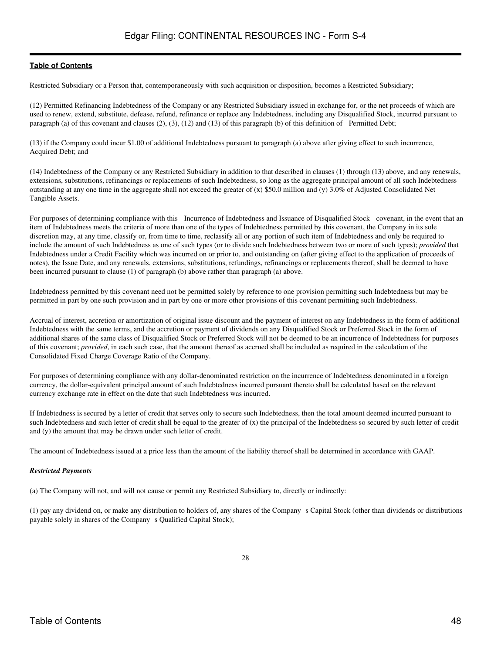Restricted Subsidiary or a Person that, contemporaneously with such acquisition or disposition, becomes a Restricted Subsidiary;

(12) Permitted Refinancing Indebtedness of the Company or any Restricted Subsidiary issued in exchange for, or the net proceeds of which are used to renew, extend, substitute, defease, refund, refinance or replace any Indebtedness, including any Disqualified Stock, incurred pursuant to paragraph (a) of this covenant and clauses (2), (3), (12) and (13) of this paragraph (b) of this definition of Permitted Debt;

(13) if the Company could incur \$1.00 of additional Indebtedness pursuant to paragraph (a) above after giving effect to such incurrence, Acquired Debt; and

(14) Indebtedness of the Company or any Restricted Subsidiary in addition to that described in clauses (1) through (13) above, and any renewals, extensions, substitutions, refinancings or replacements of such Indebtedness, so long as the aggregate principal amount of all such Indebtedness outstanding at any one time in the aggregate shall not exceed the greater of (x) \$50.0 million and (y) 3.0% of Adjusted Consolidated Net Tangible Assets.

For purposes of determining compliance with this Incurrence of Indebtedness and Issuance of Disqualified Stock covenant, in the event that an item of Indebtedness meets the criteria of more than one of the types of Indebtedness permitted by this covenant, the Company in its sole discretion may, at any time, classify or, from time to time, reclassify all or any portion of such item of Indebtedness and only be required to include the amount of such Indebtedness as one of such types (or to divide such Indebtedness between two or more of such types); *provided* that Indebtedness under a Credit Facility which was incurred on or prior to, and outstanding on (after giving effect to the application of proceeds of notes), the Issue Date, and any renewals, extensions, substitutions, refundings, refinancings or replacements thereof, shall be deemed to have been incurred pursuant to clause (1) of paragraph (b) above rather than paragraph (a) above.

Indebtedness permitted by this covenant need not be permitted solely by reference to one provision permitting such Indebtedness but may be permitted in part by one such provision and in part by one or more other provisions of this covenant permitting such Indebtedness.

Accrual of interest, accretion or amortization of original issue discount and the payment of interest on any Indebtedness in the form of additional Indebtedness with the same terms, and the accretion or payment of dividends on any Disqualified Stock or Preferred Stock in the form of additional shares of the same class of Disqualified Stock or Preferred Stock will not be deemed to be an incurrence of Indebtedness for purposes of this covenant; *provided*, in each such case, that the amount thereof as accrued shall be included as required in the calculation of the Consolidated Fixed Charge Coverage Ratio of the Company.

For purposes of determining compliance with any dollar-denominated restriction on the incurrence of Indebtedness denominated in a foreign currency, the dollar-equivalent principal amount of such Indebtedness incurred pursuant thereto shall be calculated based on the relevant currency exchange rate in effect on the date that such Indebtedness was incurred.

If Indebtedness is secured by a letter of credit that serves only to secure such Indebtedness, then the total amount deemed incurred pursuant to such Indebtedness and such letter of credit shall be equal to the greater of (x) the principal of the Indebtedness so secured by such letter of credit and (y) the amount that may be drawn under such letter of credit.

The amount of Indebtedness issued at a price less than the amount of the liability thereof shall be determined in accordance with GAAP.

### *Restricted Payments*

(a) The Company will not, and will not cause or permit any Restricted Subsidiary to, directly or indirectly:

(1) pay any dividend on, or make any distribution to holders of, any shares of the Companys Capital Stock (other than dividends or distributions payable solely in shares of the Company s Qualified Capital Stock);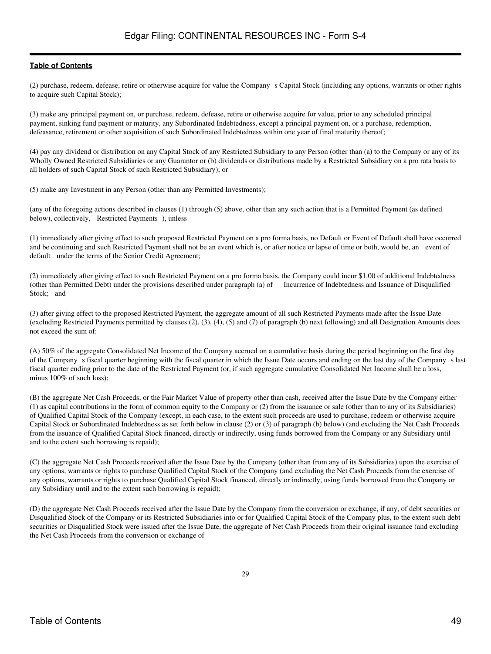(2) purchase, redeem, defease, retire or otherwise acquire for value the Companys Capital Stock (including any options, warrants or other rights to acquire such Capital Stock);

(3) make any principal payment on, or purchase, redeem, defease, retire or otherwise acquire for value, prior to any scheduled principal payment, sinking fund payment or maturity, any Subordinated Indebtedness, except a principal payment on, or a purchase, redemption, defeasance, retirement or other acquisition of such Subordinated Indebtedness within one year of final maturity thereof;

(4) pay any dividend or distribution on any Capital Stock of any Restricted Subsidiary to any Person (other than (a) to the Company or any of its Wholly Owned Restricted Subsidiaries or any Guarantor or (b) dividends or distributions made by a Restricted Subsidiary on a pro rata basis to all holders of such Capital Stock of such Restricted Subsidiary); or

(5) make any Investment in any Person (other than any Permitted Investments);

(any of the foregoing actions described in clauses (1) through (5) above, other than any such action that is a Permitted Payment (as defined below), collectively, Restricted Payments ), unless

(1) immediately after giving effect to such proposed Restricted Payment on a pro forma basis, no Default or Event of Default shall have occurred and be continuing and such Restricted Payment shall not be an event which is, or after notice or lapse of time or both, would be, an event of default under the terms of the Senior Credit Agreement;

(2) immediately after giving effect to such Restricted Payment on a pro forma basis, the Company could incur \$1.00 of additional Indebtedness (other than Permitted Debt) under the provisions described under paragraph (a) of Incurrence of Indebtedness and Issuance of Disqualified Stock: and

(3) after giving effect to the proposed Restricted Payment, the aggregate amount of all such Restricted Payments made after the Issue Date (excluding Restricted Payments permitted by clauses (2), (3), (4), (5) and (7) of paragraph (b) next following) and all Designation Amounts does not exceed the sum of:

(A) 50% of the aggregate Consolidated Net Income of the Company accrued on a cumulative basis during the period beginning on the first day of the Companys fiscal quarter beginning with the fiscal quarter in which the Issue Date occurs and ending on the last day of the Companys last fiscal quarter ending prior to the date of the Restricted Payment (or, if such aggregate cumulative Consolidated Net Income shall be a loss, minus 100% of such loss);

(B) the aggregate Net Cash Proceeds, or the Fair Market Value of property other than cash, received after the Issue Date by the Company either (1) as capital contributions in the form of common equity to the Company or (2) from the issuance or sale (other than to any of its Subsidiaries) of Qualified Capital Stock of the Company (except, in each case, to the extent such proceeds are used to purchase, redeem or otherwise acquire Capital Stock or Subordinated Indebtedness as set forth below in clause (2) or (3) of paragraph (b) below) (and excluding the Net Cash Proceeds from the issuance of Qualified Capital Stock financed, directly or indirectly, using funds borrowed from the Company or any Subsidiary until and to the extent such borrowing is repaid);

(C) the aggregate Net Cash Proceeds received after the Issue Date by the Company (other than from any of its Subsidiaries) upon the exercise of any options, warrants or rights to purchase Qualified Capital Stock of the Company (and excluding the Net Cash Proceeds from the exercise of any options, warrants or rights to purchase Qualified Capital Stock financed, directly or indirectly, using funds borrowed from the Company or any Subsidiary until and to the extent such borrowing is repaid);

(D) the aggregate Net Cash Proceeds received after the Issue Date by the Company from the conversion or exchange, if any, of debt securities or Disqualified Stock of the Company or its Restricted Subsidiaries into or for Qualified Capital Stock of the Company plus, to the extent such debt securities or Disqualified Stock were issued after the Issue Date, the aggregate of Net Cash Proceeds from their original issuance (and excluding the Net Cash Proceeds from the conversion or exchange of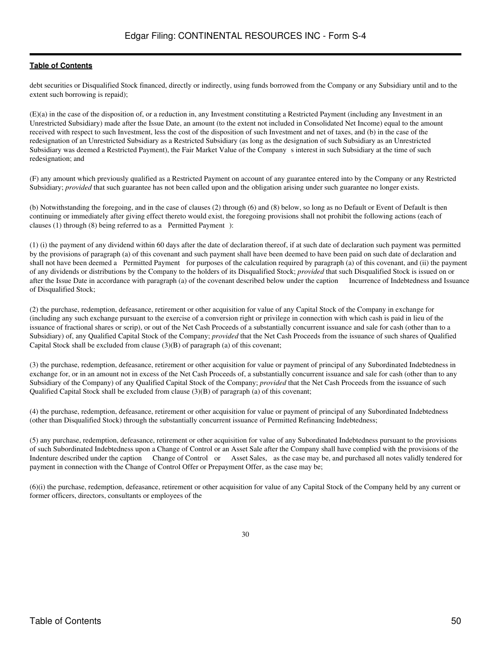debt securities or Disqualified Stock financed, directly or indirectly, using funds borrowed from the Company or any Subsidiary until and to the extent such borrowing is repaid);

(E)(a) in the case of the disposition of, or a reduction in, any Investment constituting a Restricted Payment (including any Investment in an Unrestricted Subsidiary) made after the Issue Date, an amount (to the extent not included in Consolidated Net Income) equal to the amount received with respect to such Investment, less the cost of the disposition of such Investment and net of taxes, and (b) in the case of the redesignation of an Unrestricted Subsidiary as a Restricted Subsidiary (as long as the designation of such Subsidiary as an Unrestricted Subsidiary was deemed a Restricted Payment), the Fair Market Value of the Company s interest in such Subsidiary at the time of such redesignation; and

(F) any amount which previously qualified as a Restricted Payment on account of any guarantee entered into by the Company or any Restricted Subsidiary; *provided* that such guarantee has not been called upon and the obligation arising under such guarantee no longer exists.

(b) Notwithstanding the foregoing, and in the case of clauses (2) through (6) and (8) below, so long as no Default or Event of Default is then continuing or immediately after giving effect thereto would exist, the foregoing provisions shall not prohibit the following actions (each of clauses (1) through (8) being referred to as a Permitted Payment):

(1) (i) the payment of any dividend within 60 days after the date of declaration thereof, if at such date of declaration such payment was permitted by the provisions of paragraph (a) of this covenant and such payment shall have been deemed to have been paid on such date of declaration and shall not have been deemed a Permitted Payment for purposes of the calculation required by paragraph (a) of this covenant, and (ii) the payment of any dividends or distributions by the Company to the holders of its Disqualified Stock; *provided* that such Disqualified Stock is issued on or after the Issue Date in accordance with paragraph (a) of the covenant described below under the caption Incurrence of Indebtedness and Issuance of Disqualified Stock;

(2) the purchase, redemption, defeasance, retirement or other acquisition for value of any Capital Stock of the Company in exchange for (including any such exchange pursuant to the exercise of a conversion right or privilege in connection with which cash is paid in lieu of the issuance of fractional shares or scrip), or out of the Net Cash Proceeds of a substantially concurrent issuance and sale for cash (other than to a Subsidiary) of, any Qualified Capital Stock of the Company; *provided* that the Net Cash Proceeds from the issuance of such shares of Qualified Capital Stock shall be excluded from clause (3)(B) of paragraph (a) of this covenant;

(3) the purchase, redemption, defeasance, retirement or other acquisition for value or payment of principal of any Subordinated Indebtedness in exchange for, or in an amount not in excess of the Net Cash Proceeds of, a substantially concurrent issuance and sale for cash (other than to any Subsidiary of the Company) of any Qualified Capital Stock of the Company; *provided* that the Net Cash Proceeds from the issuance of such Qualified Capital Stock shall be excluded from clause  $(3)(B)$  of paragraph (a) of this covenant;

(4) the purchase, redemption, defeasance, retirement or other acquisition for value or payment of principal of any Subordinated Indebtedness (other than Disqualified Stock) through the substantially concurrent issuance of Permitted Refinancing Indebtedness;

(5) any purchase, redemption, defeasance, retirement or other acquisition for value of any Subordinated Indebtedness pursuant to the provisions of such Subordinated Indebtedness upon a Change of Control or an Asset Sale after the Company shall have complied with the provisions of the Indenture described under the caption Change of Control or Asset Sales, as the case may be, and purchased all notes validly tendered for payment in connection with the Change of Control Offer or Prepayment Offer, as the case may be;

(6)(i) the purchase, redemption, defeasance, retirement or other acquisition for value of any Capital Stock of the Company held by any current or former officers, directors, consultants or employees of the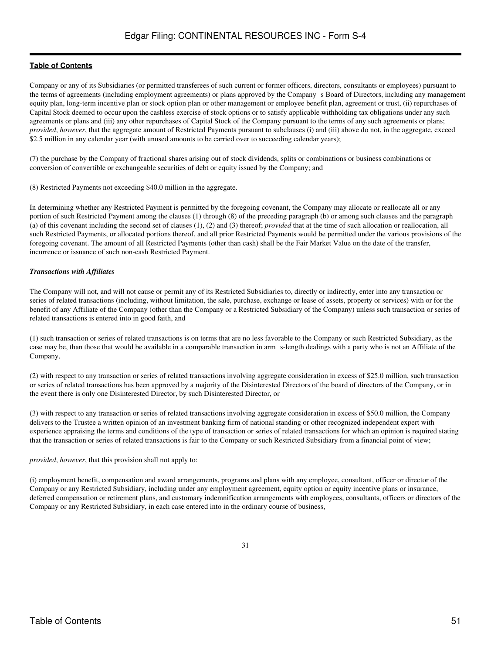Company or any of its Subsidiaries (or permitted transferees of such current or former officers, directors, consultants or employees) pursuant to the terms of agreements (including employment agreements) or plans approved by the Companys Board of Directors, including any management equity plan, long-term incentive plan or stock option plan or other management or employee benefit plan, agreement or trust, (ii) repurchases of Capital Stock deemed to occur upon the cashless exercise of stock options or to satisfy applicable withholding tax obligations under any such agreements or plans and (iii) any other repurchases of Capital Stock of the Company pursuant to the terms of any such agreements or plans; *provided*, *however*, that the aggregate amount of Restricted Payments pursuant to subclauses (i) and (iii) above do not, in the aggregate, exceed \$2.5 million in any calendar year (with unused amounts to be carried over to succeeding calendar years);

(7) the purchase by the Company of fractional shares arising out of stock dividends, splits or combinations or business combinations or conversion of convertible or exchangeable securities of debt or equity issued by the Company; and

(8) Restricted Payments not exceeding \$40.0 million in the aggregate.

In determining whether any Restricted Payment is permitted by the foregoing covenant, the Company may allocate or reallocate all or any portion of such Restricted Payment among the clauses (1) through (8) of the preceding paragraph (b) or among such clauses and the paragraph (a) of this covenant including the second set of clauses (1), (2) and (3) thereof; *provided* that at the time of such allocation or reallocation, all such Restricted Payments, or allocated portions thereof, and all prior Restricted Payments would be permitted under the various provisions of the foregoing covenant. The amount of all Restricted Payments (other than cash) shall be the Fair Market Value on the date of the transfer, incurrence or issuance of such non-cash Restricted Payment.

### *Transactions with Affiliates*

The Company will not, and will not cause or permit any of its Restricted Subsidiaries to, directly or indirectly, enter into any transaction or series of related transactions (including, without limitation, the sale, purchase, exchange or lease of assets, property or services) with or for the benefit of any Affiliate of the Company (other than the Company or a Restricted Subsidiary of the Company) unless such transaction or series of related transactions is entered into in good faith, and

(1) such transaction or series of related transactions is on terms that are no less favorable to the Company or such Restricted Subsidiary, as the case may be, than those that would be available in a comparable transaction in arms-length dealings with a party who is not an Affiliate of the Company,

(2) with respect to any transaction or series of related transactions involving aggregate consideration in excess of \$25.0 million, such transaction or series of related transactions has been approved by a majority of the Disinterested Directors of the board of directors of the Company, or in the event there is only one Disinterested Director, by such Disinterested Director, or

(3) with respect to any transaction or series of related transactions involving aggregate consideration in excess of \$50.0 million, the Company delivers to the Trustee a written opinion of an investment banking firm of national standing or other recognized independent expert with experience appraising the terms and conditions of the type of transaction or series of related transactions for which an opinion is required stating that the transaction or series of related transactions is fair to the Company or such Restricted Subsidiary from a financial point of view;

### *provided*, *however*, that this provision shall not apply to:

(i) employment benefit, compensation and award arrangements, programs and plans with any employee, consultant, officer or director of the Company or any Restricted Subsidiary, including under any employment agreement, equity option or equity incentive plans or insurance, deferred compensation or retirement plans, and customary indemnification arrangements with employees, consultants, officers or directors of the Company or any Restricted Subsidiary, in each case entered into in the ordinary course of business,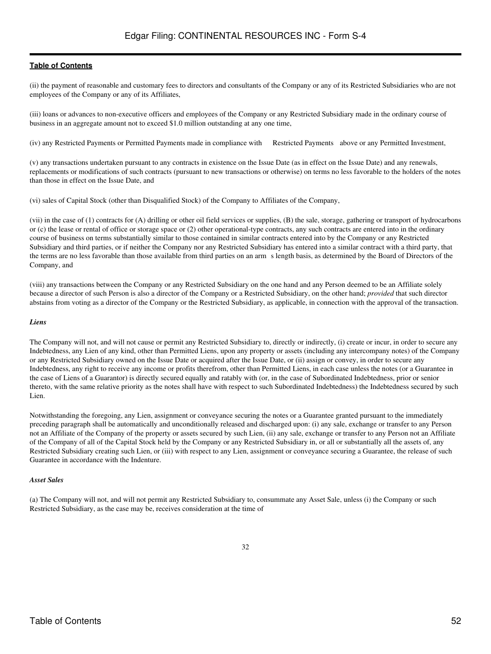(ii) the payment of reasonable and customary fees to directors and consultants of the Company or any of its Restricted Subsidiaries who are not employees of the Company or any of its Affiliates,

(iii) loans or advances to non-executive officers and employees of the Company or any Restricted Subsidiary made in the ordinary course of business in an aggregate amount not to exceed \$1.0 million outstanding at any one time,

(iv) any Restricted Payments or Permitted Payments made in compliance with Restricted Payments above or any Permitted Investment,

(v) any transactions undertaken pursuant to any contracts in existence on the Issue Date (as in effect on the Issue Date) and any renewals, replacements or modifications of such contracts (pursuant to new transactions or otherwise) on terms no less favorable to the holders of the notes than those in effect on the Issue Date, and

(vi) sales of Capital Stock (other than Disqualified Stock) of the Company to Affiliates of the Company,

(vii) in the case of (1) contracts for (A) drilling or other oil field services or supplies, (B) the sale, storage, gathering or transport of hydrocarbons or (c) the lease or rental of office or storage space or (2) other operational-type contracts, any such contracts are entered into in the ordinary course of business on terms substantially similar to those contained in similar contracts entered into by the Company or any Restricted Subsidiary and third parties, or if neither the Company nor any Restricted Subsidiary has entered into a similar contract with a third party, that the terms are no less favorable than those available from third parties on an arms length basis, as determined by the Board of Directors of the Company, and

(viii) any transactions between the Company or any Restricted Subsidiary on the one hand and any Person deemed to be an Affiliate solely because a director of such Person is also a director of the Company or a Restricted Subsidiary, on the other hand; *provided* that such director abstains from voting as a director of the Company or the Restricted Subsidiary, as applicable, in connection with the approval of the transaction.

#### *Liens*

The Company will not, and will not cause or permit any Restricted Subsidiary to, directly or indirectly, (i) create or incur, in order to secure any Indebtedness, any Lien of any kind, other than Permitted Liens, upon any property or assets (including any intercompany notes) of the Company or any Restricted Subsidiary owned on the Issue Date or acquired after the Issue Date, or (ii) assign or convey, in order to secure any Indebtedness, any right to receive any income or profits therefrom, other than Permitted Liens, in each case unless the notes (or a Guarantee in the case of Liens of a Guarantor) is directly secured equally and ratably with (or, in the case of Subordinated Indebtedness, prior or senior thereto, with the same relative priority as the notes shall have with respect to such Subordinated Indebtedness) the Indebtedness secured by such Lien.

Notwithstanding the foregoing, any Lien, assignment or conveyance securing the notes or a Guarantee granted pursuant to the immediately preceding paragraph shall be automatically and unconditionally released and discharged upon: (i) any sale, exchange or transfer to any Person not an Affiliate of the Company of the property or assets secured by such Lien, (ii) any sale, exchange or transfer to any Person not an Affiliate of the Company of all of the Capital Stock held by the Company or any Restricted Subsidiary in, or all or substantially all the assets of, any Restricted Subsidiary creating such Lien, or (iii) with respect to any Lien, assignment or conveyance securing a Guarantee, the release of such Guarantee in accordance with the Indenture.

#### *Asset Sales*

(a) The Company will not, and will not permit any Restricted Subsidiary to, consummate any Asset Sale, unless (i) the Company or such Restricted Subsidiary, as the case may be, receives consideration at the time of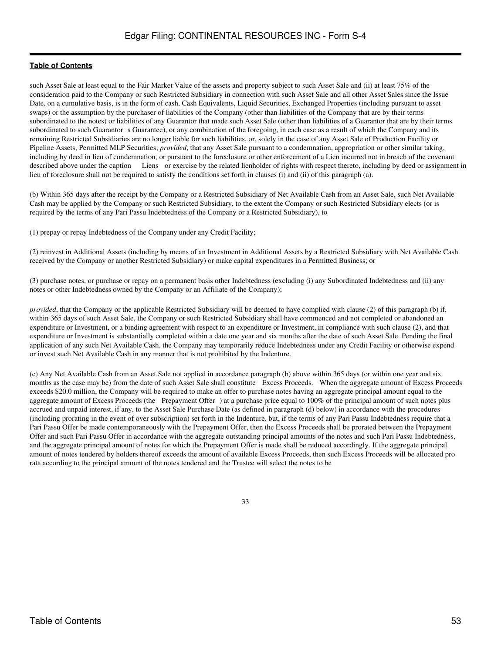such Asset Sale at least equal to the Fair Market Value of the assets and property subject to such Asset Sale and (ii) at least 75% of the consideration paid to the Company or such Restricted Subsidiary in connection with such Asset Sale and all other Asset Sales since the Issue Date, on a cumulative basis, is in the form of cash, Cash Equivalents, Liquid Securities, Exchanged Properties (including pursuant to asset swaps) or the assumption by the purchaser of liabilities of the Company (other than liabilities of the Company that are by their terms subordinated to the notes) or liabilities of any Guarantor that made such Asset Sale (other than liabilities of a Guarantor that are by their terms subordinated to such Guarantor s Guarantee), or any combination of the foregoing, in each case as a result of which the Company and its remaining Restricted Subsidiaries are no longer liable for such liabilities, or, solely in the case of any Asset Sale of Production Facility or Pipeline Assets, Permitted MLP Securities; *provided*, that any Asset Sale pursuant to a condemnation, appropriation or other similar taking, including by deed in lieu of condemnation, or pursuant to the foreclosure or other enforcement of a Lien incurred not in breach of the covenant described above under the caption Liens or exercise by the related lienholder of rights with respect thereto, including by deed or assignment in lieu of foreclosure shall not be required to satisfy the conditions set forth in clauses (i) and (ii) of this paragraph (a).

(b) Within 365 days after the receipt by the Company or a Restricted Subsidiary of Net Available Cash from an Asset Sale, such Net Available Cash may be applied by the Company or such Restricted Subsidiary, to the extent the Company or such Restricted Subsidiary elects (or is required by the terms of any Pari Passu Indebtedness of the Company or a Restricted Subsidiary), to

(1) prepay or repay Indebtedness of the Company under any Credit Facility;

(2) reinvest in Additional Assets (including by means of an Investment in Additional Assets by a Restricted Subsidiary with Net Available Cash received by the Company or another Restricted Subsidiary) or make capital expenditures in a Permitted Business; or

(3) purchase notes, or purchase or repay on a permanent basis other Indebtedness (excluding (i) any Subordinated Indebtedness and (ii) any notes or other Indebtedness owned by the Company or an Affiliate of the Company);

*provided*, that the Company or the applicable Restricted Subsidiary will be deemed to have complied with clause (2) of this paragraph (b) if, within 365 days of such Asset Sale, the Company or such Restricted Subsidiary shall have commenced and not completed or abandoned an expenditure or Investment, or a binding agreement with respect to an expenditure or Investment, in compliance with such clause (2), and that expenditure or Investment is substantially completed within a date one year and six months after the date of such Asset Sale. Pending the final application of any such Net Available Cash, the Company may temporarily reduce Indebtedness under any Credit Facility or otherwise expend or invest such Net Available Cash in any manner that is not prohibited by the Indenture.

(c) Any Net Available Cash from an Asset Sale not applied in accordance paragraph (b) above within 365 days (or within one year and six months as the case may be) from the date of such Asset Sale shall constitute Excess Proceeds. When the aggregate amount of Excess Proceeds exceeds \$20.0 million, the Company will be required to make an offer to purchase notes having an aggregate principal amount equal to the aggregate amount of Excess Proceeds (the Prepayment Offer) at a purchase price equal to 100% of the principal amount of such notes plus accrued and unpaid interest, if any, to the Asset Sale Purchase Date (as defined in paragraph (d) below) in accordance with the procedures (including prorating in the event of over subscription) set forth in the Indenture, but, if the terms of any Pari Passu Indebtedness require that a Pari Passu Offer be made contemporaneously with the Prepayment Offer, then the Excess Proceeds shall be prorated between the Prepayment Offer and such Pari Passu Offer in accordance with the aggregate outstanding principal amounts of the notes and such Pari Passu Indebtedness, and the aggregate principal amount of notes for which the Prepayment Offer is made shall be reduced accordingly. If the aggregate principal amount of notes tendered by holders thereof exceeds the amount of available Excess Proceeds, then such Excess Proceeds will be allocated pro rata according to the principal amount of the notes tendered and the Trustee will select the notes to be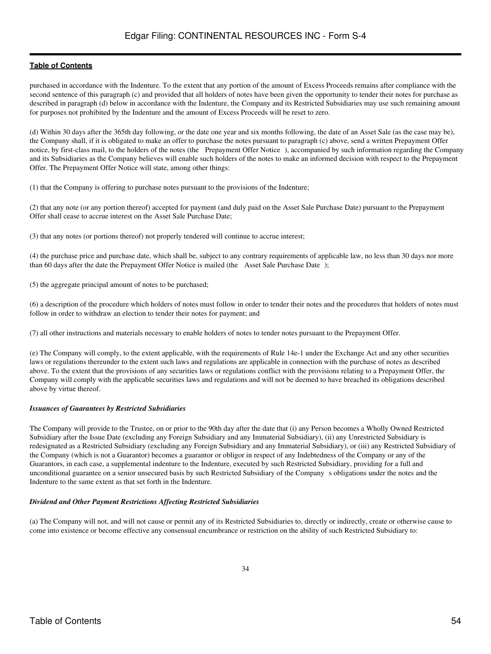purchased in accordance with the Indenture. To the extent that any portion of the amount of Excess Proceeds remains after compliance with the second sentence of this paragraph (c) and provided that all holders of notes have been given the opportunity to tender their notes for purchase as described in paragraph (d) below in accordance with the Indenture, the Company and its Restricted Subsidiaries may use such remaining amount for purposes not prohibited by the Indenture and the amount of Excess Proceeds will be reset to zero.

(d) Within 30 days after the 365th day following, or the date one year and six months following, the date of an Asset Sale (as the case may be), the Company shall, if it is obligated to make an offer to purchase the notes pursuant to paragraph (c) above, send a written Prepayment Offer notice, by first-class mail, to the holders of the notes (the Prepayment Offer Notice), accompanied by such information regarding the Company and its Subsidiaries as the Company believes will enable such holders of the notes to make an informed decision with respect to the Prepayment Offer. The Prepayment Offer Notice will state, among other things:

(1) that the Company is offering to purchase notes pursuant to the provisions of the Indenture;

(2) that any note (or any portion thereof) accepted for payment (and duly paid on the Asset Sale Purchase Date) pursuant to the Prepayment Offer shall cease to accrue interest on the Asset Sale Purchase Date;

(3) that any notes (or portions thereof) not properly tendered will continue to accrue interest;

(4) the purchase price and purchase date, which shall be, subject to any contrary requirements of applicable law, no less than 30 days nor more than 60 days after the date the Prepayment Offer Notice is mailed (the Asset Sale Purchase Date);

(5) the aggregate principal amount of notes to be purchased;

(6) a description of the procedure which holders of notes must follow in order to tender their notes and the procedures that holders of notes must follow in order to withdraw an election to tender their notes for payment; and

(7) all other instructions and materials necessary to enable holders of notes to tender notes pursuant to the Prepayment Offer.

(e) The Company will comply, to the extent applicable, with the requirements of Rule 14e-1 under the Exchange Act and any other securities laws or regulations thereunder to the extent such laws and regulations are applicable in connection with the purchase of notes as described above. To the extent that the provisions of any securities laws or regulations conflict with the provisions relating to a Prepayment Offer, the Company will comply with the applicable securities laws and regulations and will not be deemed to have breached its obligations described above by virtue thereof.

### *Issuances of Guarantees by Restricted Subsidiaries*

The Company will provide to the Trustee, on or prior to the 90th day after the date that (i) any Person becomes a Wholly Owned Restricted Subsidiary after the Issue Date (excluding any Foreign Subsidiary and any Immaterial Subsidiary), (ii) any Unrestricted Subsidiary is redesignated as a Restricted Subsidiary (excluding any Foreign Subsidiary and any Immaterial Subsidiary), or (iii) any Restricted Subsidiary of the Company (which is not a Guarantor) becomes a guarantor or obligor in respect of any Indebtedness of the Company or any of the Guarantors, in each case, a supplemental indenture to the Indenture, executed by such Restricted Subsidiary, providing for a full and unconditional guarantee on a senior unsecured basis by such Restricted Subsidiary of the Companys obligations under the notes and the Indenture to the same extent as that set forth in the Indenture.

### *Dividend and Other Payment Restrictions Affecting Restricted Subsidiaries*

(a) The Company will not, and will not cause or permit any of its Restricted Subsidiaries to, directly or indirectly, create or otherwise cause to come into existence or become effective any consensual encumbrance or restriction on the ability of such Restricted Subsidiary to: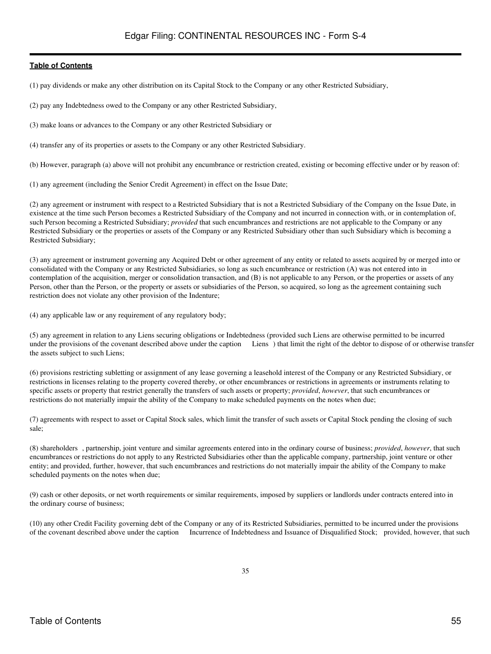(1) pay dividends or make any other distribution on its Capital Stock to the Company or any other Restricted Subsidiary,

(2) pay any Indebtedness owed to the Company or any other Restricted Subsidiary,

(3) make loans or advances to the Company or any other Restricted Subsidiary or

(4) transfer any of its properties or assets to the Company or any other Restricted Subsidiary.

(b) However, paragraph (a) above will not prohibit any encumbrance or restriction created, existing or becoming effective under or by reason of:

(1) any agreement (including the Senior Credit Agreement) in effect on the Issue Date;

(2) any agreement or instrument with respect to a Restricted Subsidiary that is not a Restricted Subsidiary of the Company on the Issue Date, in existence at the time such Person becomes a Restricted Subsidiary of the Company and not incurred in connection with, or in contemplation of, such Person becoming a Restricted Subsidiary; *provided* that such encumbrances and restrictions are not applicable to the Company or any Restricted Subsidiary or the properties or assets of the Company or any Restricted Subsidiary other than such Subsidiary which is becoming a Restricted Subsidiary;

(3) any agreement or instrument governing any Acquired Debt or other agreement of any entity or related to assets acquired by or merged into or consolidated with the Company or any Restricted Subsidiaries, so long as such encumbrance or restriction (A) was not entered into in contemplation of the acquisition, merger or consolidation transaction, and (B) is not applicable to any Person, or the properties or assets of any Person, other than the Person, or the property or assets or subsidiaries of the Person, so acquired, so long as the agreement containing such restriction does not violate any other provision of the Indenture;

(4) any applicable law or any requirement of any regulatory body;

(5) any agreement in relation to any Liens securing obligations or Indebtedness (provided such Liens are otherwise permitted to be incurred under the provisions of the covenant described above under the caption Liens) that limit the right of the debtor to dispose of or otherwise transfer the assets subject to such Liens;

(6) provisions restricting subletting or assignment of any lease governing a leasehold interest of the Company or any Restricted Subsidiary, or restrictions in licenses relating to the property covered thereby, or other encumbrances or restrictions in agreements or instruments relating to specific assets or property that restrict generally the transfers of such assets or property; *provided*, *however*, that such encumbrances or restrictions do not materially impair the ability of the Company to make scheduled payments on the notes when due;

(7) agreements with respect to asset or Capital Stock sales, which limit the transfer of such assets or Capital Stock pending the closing of such sale;

(8) shareholders, partnership, joint venture and similar agreements entered into in the ordinary course of business; *provided*, *however*, that such encumbrances or restrictions do not apply to any Restricted Subsidiaries other than the applicable company, partnership, joint venture or other entity; and provided, further, however, that such encumbrances and restrictions do not materially impair the ability of the Company to make scheduled payments on the notes when due;

(9) cash or other deposits, or net worth requirements or similar requirements, imposed by suppliers or landlords under contracts entered into in the ordinary course of business;

(10) any other Credit Facility governing debt of the Company or any of its Restricted Subsidiaries, permitted to be incurred under the provisions of the covenant described above under the caption Incurrence of Indebtedness and Issuance of Disqualified Stock; provided, however, that such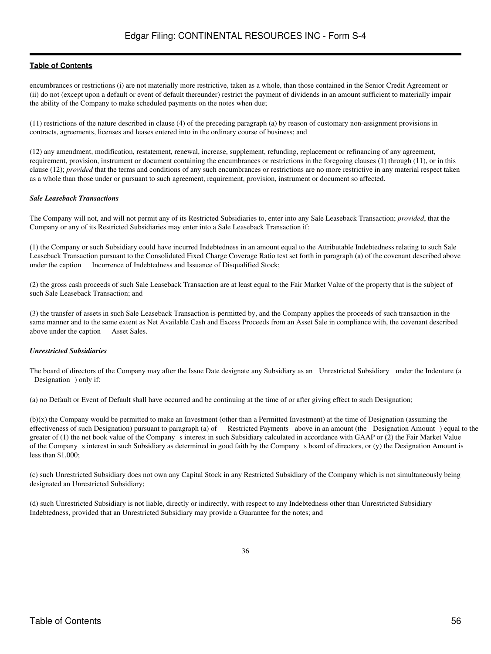encumbrances or restrictions (i) are not materially more restrictive, taken as a whole, than those contained in the Senior Credit Agreement or (ii) do not (except upon a default or event of default thereunder) restrict the payment of dividends in an amount sufficient to materially impair the ability of the Company to make scheduled payments on the notes when due;

(11) restrictions of the nature described in clause (4) of the preceding paragraph (a) by reason of customary non-assignment provisions in contracts, agreements, licenses and leases entered into in the ordinary course of business; and

(12) any amendment, modification, restatement, renewal, increase, supplement, refunding, replacement or refinancing of any agreement, requirement, provision, instrument or document containing the encumbrances or restrictions in the foregoing clauses (1) through (11), or in this clause (12); *provided* that the terms and conditions of any such encumbrances or restrictions are no more restrictive in any material respect taken as a whole than those under or pursuant to such agreement, requirement, provision, instrument or document so affected.

#### *Sale Leaseback Transactions*

The Company will not, and will not permit any of its Restricted Subsidiaries to, enter into any Sale Leaseback Transaction; *provided*, that the Company or any of its Restricted Subsidiaries may enter into a Sale Leaseback Transaction if:

(1) the Company or such Subsidiary could have incurred Indebtedness in an amount equal to the Attributable Indebtedness relating to such Sale Leaseback Transaction pursuant to the Consolidated Fixed Charge Coverage Ratio test set forth in paragraph (a) of the covenant described above under the caption Incurrence of Indebtedness and Issuance of Disqualified Stock;

(2) the gross cash proceeds of such Sale Leaseback Transaction are at least equal to the Fair Market Value of the property that is the subject of such Sale Leaseback Transaction; and

(3) the transfer of assets in such Sale Leaseback Transaction is permitted by, and the Company applies the proceeds of such transaction in the same manner and to the same extent as Net Available Cash and Excess Proceeds from an Asset Sale in compliance with, the covenant described above under the caption Asset Sales.

### *Unrestricted Subsidiaries*

The board of directors of the Company may after the Issue Date designate any Subsidiary as an Unrestricted Subsidiary under the Indenture (a Designation ) only if:

(a) no Default or Event of Default shall have occurred and be continuing at the time of or after giving effect to such Designation;

 $(b)(x)$  the Company would be permitted to make an Investment (other than a Permitted Investment) at the time of Designation (assuming the effectiveness of such Designation) pursuant to paragraph (a) of Restricted Payments above in an amount (the Designation Amount) equal to the greater of (1) the net book value of the Company s interest in such Subsidiary calculated in accordance with GAAP or (2) the Fair Market Value of the Companys interest in such Subsidiary as determined in good faith by the Companys board of directors, or (y) the Designation Amount is less than \$1,000;

(c) such Unrestricted Subsidiary does not own any Capital Stock in any Restricted Subsidiary of the Company which is not simultaneously being designated an Unrestricted Subsidiary;

(d) such Unrestricted Subsidiary is not liable, directly or indirectly, with respect to any Indebtedness other than Unrestricted Subsidiary Indebtedness, provided that an Unrestricted Subsidiary may provide a Guarantee for the notes; and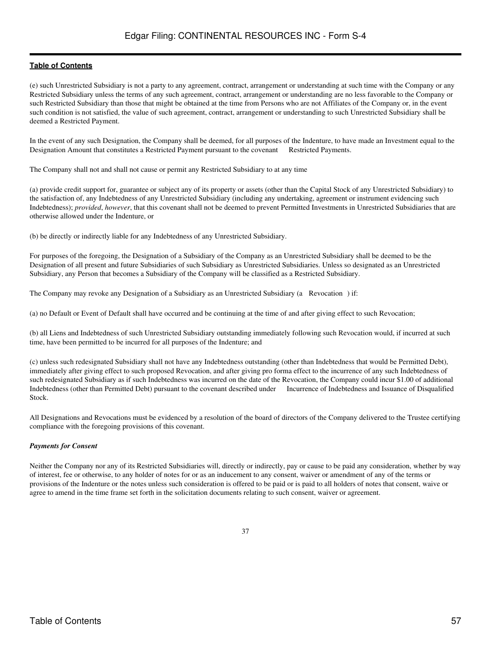(e) such Unrestricted Subsidiary is not a party to any agreement, contract, arrangement or understanding at such time with the Company or any Restricted Subsidiary unless the terms of any such agreement, contract, arrangement or understanding are no less favorable to the Company or such Restricted Subsidiary than those that might be obtained at the time from Persons who are not Affiliates of the Company or, in the event such condition is not satisfied, the value of such agreement, contract, arrangement or understanding to such Unrestricted Subsidiary shall be deemed a Restricted Payment.

In the event of any such Designation, the Company shall be deemed, for all purposes of the Indenture, to have made an Investment equal to the Designation Amount that constitutes a Restricted Payment pursuant to the covenant Restricted Payments.

The Company shall not and shall not cause or permit any Restricted Subsidiary to at any time

(a) provide credit support for, guarantee or subject any of its property or assets (other than the Capital Stock of any Unrestricted Subsidiary) to the satisfaction of, any Indebtedness of any Unrestricted Subsidiary (including any undertaking, agreement or instrument evidencing such Indebtedness); *provided*, *however*, that this covenant shall not be deemed to prevent Permitted Investments in Unrestricted Subsidiaries that are otherwise allowed under the Indenture, or

(b) be directly or indirectly liable for any Indebtedness of any Unrestricted Subsidiary.

For purposes of the foregoing, the Designation of a Subsidiary of the Company as an Unrestricted Subsidiary shall be deemed to be the Designation of all present and future Subsidiaries of such Subsidiary as Unrestricted Subsidiaries. Unless so designated as an Unrestricted Subsidiary, any Person that becomes a Subsidiary of the Company will be classified as a Restricted Subsidiary.

The Company may revoke any Designation of a Subsidiary as an Unrestricted Subsidiary (a Revocation) if:

(a) no Default or Event of Default shall have occurred and be continuing at the time of and after giving effect to such Revocation;

(b) all Liens and Indebtedness of such Unrestricted Subsidiary outstanding immediately following such Revocation would, if incurred at such time, have been permitted to be incurred for all purposes of the Indenture; and

(c) unless such redesignated Subsidiary shall not have any Indebtedness outstanding (other than Indebtedness that would be Permitted Debt), immediately after giving effect to such proposed Revocation, and after giving pro forma effect to the incurrence of any such Indebtedness of such redesignated Subsidiary as if such Indebtedness was incurred on the date of the Revocation, the Company could incur \$1.00 of additional Indebtedness (other than Permitted Debt) pursuant to the covenant described under Incurrence of Indebtedness and Issuance of Disqualified Stock.

All Designations and Revocations must be evidenced by a resolution of the board of directors of the Company delivered to the Trustee certifying compliance with the foregoing provisions of this covenant.

## *Payments for Consent*

Neither the Company nor any of its Restricted Subsidiaries will, directly or indirectly, pay or cause to be paid any consideration, whether by way of interest, fee or otherwise, to any holder of notes for or as an inducement to any consent, waiver or amendment of any of the terms or provisions of the Indenture or the notes unless such consideration is offered to be paid or is paid to all holders of notes that consent, waive or agree to amend in the time frame set forth in the solicitation documents relating to such consent, waiver or agreement.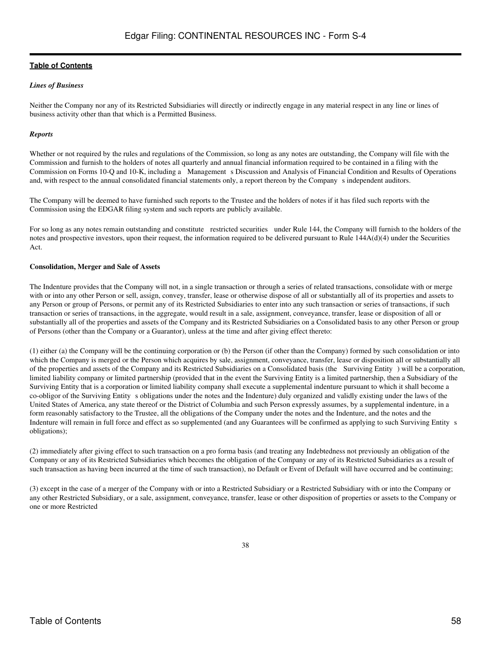### *Lines of Business*

Neither the Company nor any of its Restricted Subsidiaries will directly or indirectly engage in any material respect in any line or lines of business activity other than that which is a Permitted Business.

### *Reports*

Whether or not required by the rules and regulations of the Commission, so long as any notes are outstanding, the Company will file with the Commission and furnish to the holders of notes all quarterly and annual financial information required to be contained in a filing with the Commission on Forms 10-Q and 10-K, including a Management s Discussion and Analysis of Financial Condition and Results of Operations and, with respect to the annual consolidated financial statements only, a report thereon by the Companys independent auditors.

The Company will be deemed to have furnished such reports to the Trustee and the holders of notes if it has filed such reports with the Commission using the EDGAR filing system and such reports are publicly available.

For so long as any notes remain outstanding and constitute restricted securities under Rule 144, the Company will furnish to the holders of the notes and prospective investors, upon their request, the information required to be delivered pursuant to Rule 144A(d)(4) under the Securities Act.

### **Consolidation, Merger and Sale of Assets**

The Indenture provides that the Company will not, in a single transaction or through a series of related transactions, consolidate with or merge with or into any other Person or sell, assign, convey, transfer, lease or otherwise dispose of all or substantially all of its properties and assets to any Person or group of Persons, or permit any of its Restricted Subsidiaries to enter into any such transaction or series of transactions, if such transaction or series of transactions, in the aggregate, would result in a sale, assignment, conveyance, transfer, lease or disposition of all or substantially all of the properties and assets of the Company and its Restricted Subsidiaries on a Consolidated basis to any other Person or group of Persons (other than the Company or a Guarantor), unless at the time and after giving effect thereto:

(1) either (a) the Company will be the continuing corporation or (b) the Person (if other than the Company) formed by such consolidation or into which the Company is merged or the Person which acquires by sale, assignment, conveyance, transfer, lease or disposition all or substantially all of the properties and assets of the Company and its Restricted Subsidiaries on a Consolidated basis (the Surviving Entity) will be a corporation, limited liability company or limited partnership (provided that in the event the Surviving Entity is a limited partnership, then a Subsidiary of the Surviving Entity that is a corporation or limited liability company shall execute a supplemental indenture pursuant to which it shall become a co-obligor of the Surviving Entity s obligations under the notes and the Indenture) duly organized and validly existing under the laws of the United States of America, any state thereof or the District of Columbia and such Person expressly assumes, by a supplemental indenture, in a form reasonably satisfactory to the Trustee, all the obligations of the Company under the notes and the Indenture, and the notes and the Indenture will remain in full force and effect as so supplemented (and any Guarantees will be confirmed as applying to such Surviving Entitys obligations);

(2) immediately after giving effect to such transaction on a pro forma basis (and treating any Indebtedness not previously an obligation of the Company or any of its Restricted Subsidiaries which becomes the obligation of the Company or any of its Restricted Subsidiaries as a result of such transaction as having been incurred at the time of such transaction), no Default or Event of Default will have occurred and be continuing;

(3) except in the case of a merger of the Company with or into a Restricted Subsidiary or a Restricted Subsidiary with or into the Company or any other Restricted Subsidiary, or a sale, assignment, conveyance, transfer, lease or other disposition of properties or assets to the Company or one or more Restricted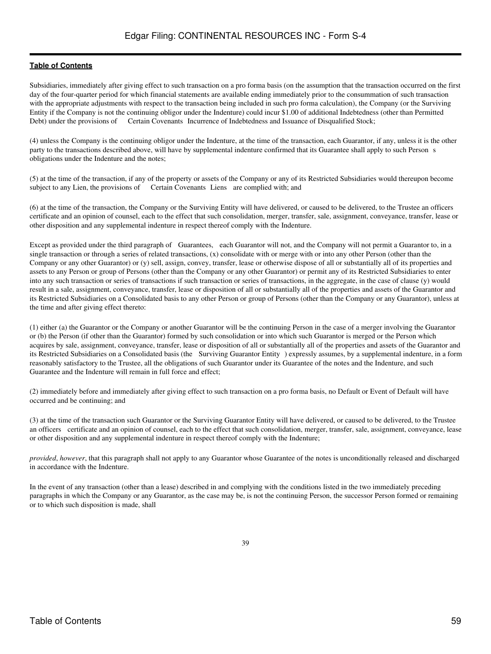Subsidiaries, immediately after giving effect to such transaction on a pro forma basis (on the assumption that the transaction occurred on the first day of the four-quarter period for which financial statements are available ending immediately prior to the consummation of such transaction with the appropriate adjustments with respect to the transaction being included in such pro forma calculation), the Company (or the Surviving Entity if the Company is not the continuing obligor under the Indenture) could incur \$1.00 of additional Indebtedness (other than Permitted Debt) under the provisions of Certain Covenants Incurrence of Indebtedness and Issuance of Disqualified Stock;

(4) unless the Company is the continuing obligor under the Indenture, at the time of the transaction, each Guarantor, if any, unless it is the other party to the transactions described above, will have by supplemental indenture confirmed that its Guarantee shall apply to such Person s obligations under the Indenture and the notes;

(5) at the time of the transaction, if any of the property or assets of the Company or any of its Restricted Subsidiaries would thereupon become subject to any Lien, the provisions of Certain Covenants Liens are complied with; and

(6) at the time of the transaction, the Company or the Surviving Entity will have delivered, or caused to be delivered, to the Trustee an officers certificate and an opinion of counsel, each to the effect that such consolidation, merger, transfer, sale, assignment, conveyance, transfer, lease or other disposition and any supplemental indenture in respect thereof comply with the Indenture.

Except as provided under the third paragraph of Guarantees, each Guarantor will not, and the Company will not permit a Guarantor to, in a single transaction or through a series of related transactions, (x) consolidate with or merge with or into any other Person (other than the Company or any other Guarantor) or (y) sell, assign, convey, transfer, lease or otherwise dispose of all or substantially all of its properties and assets to any Person or group of Persons (other than the Company or any other Guarantor) or permit any of its Restricted Subsidiaries to enter into any such transaction or series of transactions if such transaction or series of transactions, in the aggregate, in the case of clause (y) would result in a sale, assignment, conveyance, transfer, lease or disposition of all or substantially all of the properties and assets of the Guarantor and its Restricted Subsidiaries on a Consolidated basis to any other Person or group of Persons (other than the Company or any Guarantor), unless at the time and after giving effect thereto:

(1) either (a) the Guarantor or the Company or another Guarantor will be the continuing Person in the case of a merger involving the Guarantor or (b) the Person (if other than the Guarantor) formed by such consolidation or into which such Guarantor is merged or the Person which acquires by sale, assignment, conveyance, transfer, lease or disposition of all or substantially all of the properties and assets of the Guarantor and its Restricted Subsidiaries on a Consolidated basis (the Surviving Guarantor Entity) expressly assumes, by a supplemental indenture, in a form reasonably satisfactory to the Trustee, all the obligations of such Guarantor under its Guarantee of the notes and the Indenture, and such Guarantee and the Indenture will remain in full force and effect;

(2) immediately before and immediately after giving effect to such transaction on a pro forma basis, no Default or Event of Default will have occurred and be continuing; and

(3) at the time of the transaction such Guarantor or the Surviving Guarantor Entity will have delivered, or caused to be delivered, to the Trustee an officers certificate and an opinion of counsel, each to the effect that such consolidation, merger, transfer, sale, assignment, conveyance, lease or other disposition and any supplemental indenture in respect thereof comply with the Indenture;

*provided*, *however*, that this paragraph shall not apply to any Guarantor whose Guarantee of the notes is unconditionally released and discharged in accordance with the Indenture.

In the event of any transaction (other than a lease) described in and complying with the conditions listed in the two immediately preceding paragraphs in which the Company or any Guarantor, as the case may be, is not the continuing Person, the successor Person formed or remaining or to which such disposition is made, shall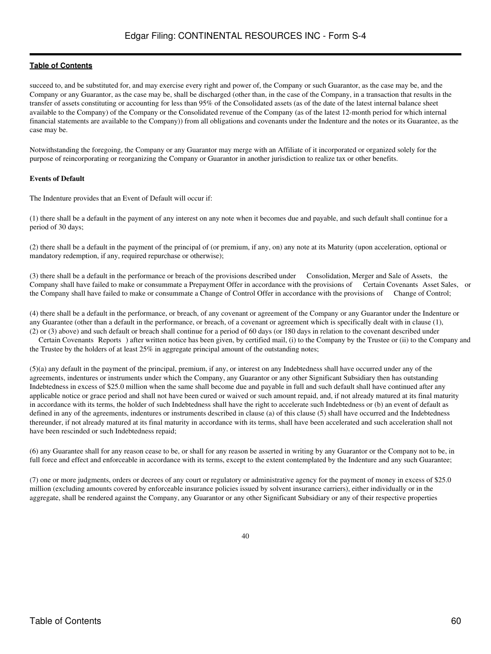succeed to, and be substituted for, and may exercise every right and power of, the Company or such Guarantor, as the case may be, and the Company or any Guarantor, as the case may be, shall be discharged (other than, in the case of the Company, in a transaction that results in the transfer of assets constituting or accounting for less than 95% of the Consolidated assets (as of the date of the latest internal balance sheet available to the Company) of the Company or the Consolidated revenue of the Company (as of the latest 12-month period for which internal financial statements are available to the Company)) from all obligations and covenants under the Indenture and the notes or its Guarantee, as the case may be.

Notwithstanding the foregoing, the Company or any Guarantor may merge with an Affiliate of it incorporated or organized solely for the purpose of reincorporating or reorganizing the Company or Guarantor in another jurisdiction to realize tax or other benefits.

### **Events of Default**

The Indenture provides that an Event of Default will occur if:

(1) there shall be a default in the payment of any interest on any note when it becomes due and payable, and such default shall continue for a period of 30 days;

(2) there shall be a default in the payment of the principal of (or premium, if any, on) any note at its Maturity (upon acceleration, optional or mandatory redemption, if any, required repurchase or otherwise);

(3) there shall be a default in the performance or breach of the provisions described under Consolidation, Merger and Sale of Assets, the Company shall have failed to make or consummate a Prepayment Offer in accordance with the provisions of Certain Covenants Asset Sales, or the Company shall have failed to make or consummate a Change of Control Offer in accordance with the provisions of Change of Control;

(4) there shall be a default in the performance, or breach, of any covenant or agreement of the Company or any Guarantor under the Indenture or any Guarantee (other than a default in the performance, or breach, of a covenant or agreement which is specifically dealt with in clause (1), (2) or (3) above) and such default or breach shall continue for a period of 60 days (or 180 days in relation to the covenant described under

Certain Covenants Reports ) after written notice has been given, by certified mail, (i) to the Company by the Trustee or (ii) to the Company and the Trustee by the holders of at least 25% in aggregate principal amount of the outstanding notes;

(5)(a) any default in the payment of the principal, premium, if any, or interest on any Indebtedness shall have occurred under any of the agreements, indentures or instruments under which the Company, any Guarantor or any other Significant Subsidiary then has outstanding Indebtedness in excess of \$25.0 million when the same shall become due and payable in full and such default shall have continued after any applicable notice or grace period and shall not have been cured or waived or such amount repaid, and, if not already matured at its final maturity in accordance with its terms, the holder of such Indebtedness shall have the right to accelerate such Indebtedness or (b) an event of default as defined in any of the agreements, indentures or instruments described in clause (a) of this clause (5) shall have occurred and the Indebtedness thereunder, if not already matured at its final maturity in accordance with its terms, shall have been accelerated and such acceleration shall not have been rescinded or such Indebtedness repaid;

(6) any Guarantee shall for any reason cease to be, or shall for any reason be asserted in writing by any Guarantor or the Company not to be, in full force and effect and enforceable in accordance with its terms, except to the extent contemplated by the Indenture and any such Guarantee;

(7) one or more judgments, orders or decrees of any court or regulatory or administrative agency for the payment of money in excess of \$25.0 million (excluding amounts covered by enforceable insurance policies issued by solvent insurance carriers), either individually or in the aggregate, shall be rendered against the Company, any Guarantor or any other Significant Subsidiary or any of their respective properties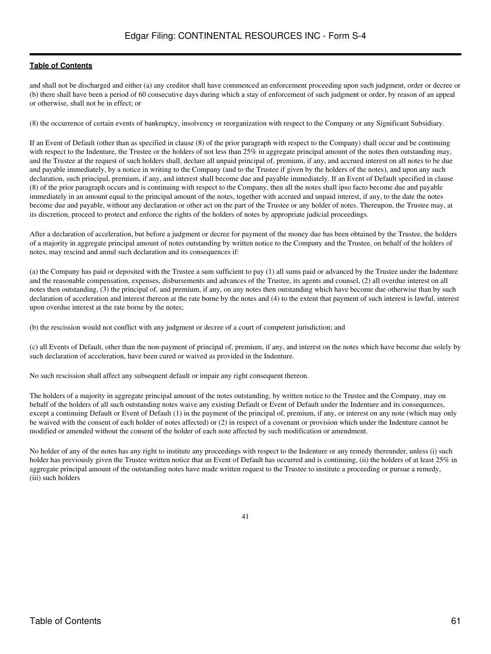and shall not be discharged and either (a) any creditor shall have commenced an enforcement proceeding upon such judgment, order or decree or (b) there shall have been a period of 60 consecutive days during which a stay of enforcement of such judgment or order, by reason of an appeal or otherwise, shall not be in effect; or

(8) the occurrence of certain events of bankruptcy, insolvency or reorganization with respect to the Company or any Significant Subsidiary.

If an Event of Default (other than as specified in clause (8) of the prior paragraph with respect to the Company) shall occur and be continuing with respect to the Indenture, the Trustee or the holders of not less than 25% in aggregate principal amount of the notes then outstanding may, and the Trustee at the request of such holders shall, declare all unpaid principal of, premium, if any, and accrued interest on all notes to be due and payable immediately, by a notice in writing to the Company (and to the Trustee if given by the holders of the notes), and upon any such declaration, such principal, premium, if any, and interest shall become due and payable immediately. If an Event of Default specified in clause (8) of the prior paragraph occurs and is continuing with respect to the Company, then all the notes shall ipso facto become due and payable immediately in an amount equal to the principal amount of the notes, together with accrued and unpaid interest, if any, to the date the notes become due and payable, without any declaration or other act on the part of the Trustee or any holder of notes. Thereupon, the Trustee may, at its discretion, proceed to protect and enforce the rights of the holders of notes by appropriate judicial proceedings.

After a declaration of acceleration, but before a judgment or decree for payment of the money due has been obtained by the Trustee, the holders of a majority in aggregate principal amount of notes outstanding by written notice to the Company and the Trustee, on behalf of the holders of notes, may rescind and annul such declaration and its consequences if:

(a) the Company has paid or deposited with the Trustee a sum sufficient to pay (1) all sums paid or advanced by the Trustee under the Indenture and the reasonable compensation, expenses, disbursements and advances of the Trustee, its agents and counsel, (2) all overdue interest on all notes then outstanding, (3) the principal of, and premium, if any, on any notes then outstanding which have become due otherwise than by such declaration of acceleration and interest thereon at the rate borne by the notes and (4) to the extent that payment of such interest is lawful, interest upon overdue interest at the rate borne by the notes;

(b) the rescission would not conflict with any judgment or decree of a court of competent jurisdiction; and

(c) all Events of Default, other than the non-payment of principal of, premium, if any, and interest on the notes which have become due solely by such declaration of acceleration, have been cured or waived as provided in the Indenture.

No such rescission shall affect any subsequent default or impair any right consequent thereon.

The holders of a majority in aggregate principal amount of the notes outstanding, by written notice to the Trustee and the Company, may on behalf of the holders of all such outstanding notes waive any existing Default or Event of Default under the Indenture and its consequences, except a continuing Default or Event of Default (1) in the payment of the principal of, premium, if any, or interest on any note (which may only be waived with the consent of each holder of notes affected) or (2) in respect of a covenant or provision which under the Indenture cannot be modified or amended without the consent of the holder of each note affected by such modification or amendment.

No holder of any of the notes has any right to institute any proceedings with respect to the Indenture or any remedy thereunder, unless (i) such holder has previously given the Trustee written notice that an Event of Default has occurred and is continuing, (ii) the holders of at least 25% in aggregate principal amount of the outstanding notes have made written request to the Trustee to institute a proceeding or pursue a remedy, (iii) such holders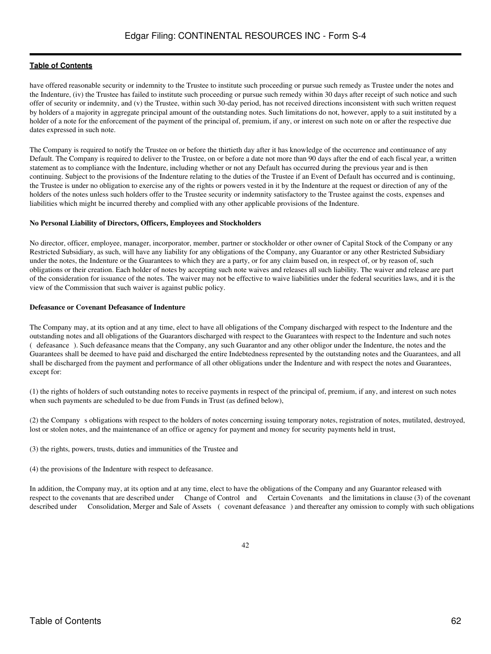have offered reasonable security or indemnity to the Trustee to institute such proceeding or pursue such remedy as Trustee under the notes and the Indenture, (iv) the Trustee has failed to institute such proceeding or pursue such remedy within 30 days after receipt of such notice and such offer of security or indemnity, and (v) the Trustee, within such 30-day period, has not received directions inconsistent with such written request by holders of a majority in aggregate principal amount of the outstanding notes. Such limitations do not, however, apply to a suit instituted by a holder of a note for the enforcement of the payment of the principal of, premium, if any, or interest on such note on or after the respective due dates expressed in such note.

The Company is required to notify the Trustee on or before the thirtieth day after it has knowledge of the occurrence and continuance of any Default. The Company is required to deliver to the Trustee, on or before a date not more than 90 days after the end of each fiscal year, a written statement as to compliance with the Indenture, including whether or not any Default has occurred during the previous year and is then continuing. Subject to the provisions of the Indenture relating to the duties of the Trustee if an Event of Default has occurred and is continuing, the Trustee is under no obligation to exercise any of the rights or powers vested in it by the Indenture at the request or direction of any of the holders of the notes unless such holders offer to the Trustee security or indemnity satisfactory to the Trustee against the costs, expenses and liabilities which might be incurred thereby and complied with any other applicable provisions of the Indenture.

#### **No Personal Liability of Directors, Officers, Employees and Stockholders**

No director, officer, employee, manager, incorporator, member, partner or stockholder or other owner of Capital Stock of the Company or any Restricted Subsidiary, as such, will have any liability for any obligations of the Company, any Guarantor or any other Restricted Subsidiary under the notes, the Indenture or the Guarantees to which they are a party, or for any claim based on, in respect of, or by reason of, such obligations or their creation. Each holder of notes by accepting such note waives and releases all such liability. The waiver and release are part of the consideration for issuance of the notes. The waiver may not be effective to waive liabilities under the federal securities laws, and it is the view of the Commission that such waiver is against public policy.

#### **Defeasance or Covenant Defeasance of Indenture**

The Company may, at its option and at any time, elect to have all obligations of the Company discharged with respect to the Indenture and the outstanding notes and all obligations of the Guarantors discharged with respect to the Guarantees with respect to the Indenture and such notes (defeasance). Such defeasance means that the Company, any such Guarantor and any other obligor under the Indenture, the notes and the Guarantees shall be deemed to have paid and discharged the entire Indebtedness represented by the outstanding notes and the Guarantees, and all shall be discharged from the payment and performance of all other obligations under the Indenture and with respect the notes and Guarantees, except for:

(1) the rights of holders of such outstanding notes to receive payments in respect of the principal of, premium, if any, and interest on such notes when such payments are scheduled to be due from Funds in Trust (as defined below),

(2) the Companys obligations with respect to the holders of notes concerning issuing temporary notes, registration of notes, mutilated, destroyed, lost or stolen notes, and the maintenance of an office or agency for payment and money for security payments held in trust,

(3) the rights, powers, trusts, duties and immunities of the Trustee and

(4) the provisions of the Indenture with respect to defeasance.

In addition, the Company may, at its option and at any time, elect to have the obligations of the Company and any Guarantor released with respect to the covenants that are described under Change of Control and Certain Covenants and the limitations in clause (3) of the covenant described under Consolidation, Merger and Sale of Assets (covenant defeasance) and thereafter any omission to comply with such obligations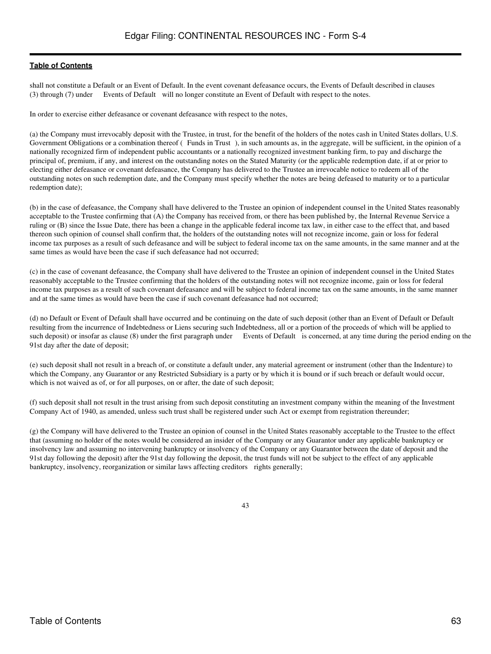shall not constitute a Default or an Event of Default. In the event covenant defeasance occurs, the Events of Default described in clauses (3) through (7) under Events of Default will no longer constitute an Event of Default with respect to the notes.

In order to exercise either defeasance or covenant defeasance with respect to the notes,

(a) the Company must irrevocably deposit with the Trustee, in trust, for the benefit of the holders of the notes cash in United States dollars, U.S. Government Obligations or a combination thereof (Funds in Trust), in such amounts as, in the aggregate, will be sufficient, in the opinion of a nationally recognized firm of independent public accountants or a nationally recognized investment banking firm, to pay and discharge the principal of, premium, if any, and interest on the outstanding notes on the Stated Maturity (or the applicable redemption date, if at or prior to electing either defeasance or covenant defeasance, the Company has delivered to the Trustee an irrevocable notice to redeem all of the outstanding notes on such redemption date, and the Company must specify whether the notes are being defeased to maturity or to a particular redemption date);

(b) in the case of defeasance, the Company shall have delivered to the Trustee an opinion of independent counsel in the United States reasonably acceptable to the Trustee confirming that (A) the Company has received from, or there has been published by, the Internal Revenue Service a ruling or (B) since the Issue Date, there has been a change in the applicable federal income tax law, in either case to the effect that, and based thereon such opinion of counsel shall confirm that, the holders of the outstanding notes will not recognize income, gain or loss for federal income tax purposes as a result of such defeasance and will be subject to federal income tax on the same amounts, in the same manner and at the same times as would have been the case if such defeasance had not occurred;

(c) in the case of covenant defeasance, the Company shall have delivered to the Trustee an opinion of independent counsel in the United States reasonably acceptable to the Trustee confirming that the holders of the outstanding notes will not recognize income, gain or loss for federal income tax purposes as a result of such covenant defeasance and will be subject to federal income tax on the same amounts, in the same manner and at the same times as would have been the case if such covenant defeasance had not occurred;

(d) no Default or Event of Default shall have occurred and be continuing on the date of such deposit (other than an Event of Default or Default resulting from the incurrence of Indebtedness or Liens securing such Indebtedness, all or a portion of the proceeds of which will be applied to such deposit) or insofar as clause (8) under the first paragraph under Events of Default is concerned, at any time during the period ending on the 91st day after the date of deposit;

(e) such deposit shall not result in a breach of, or constitute a default under, any material agreement or instrument (other than the Indenture) to which the Company, any Guarantor or any Restricted Subsidiary is a party or by which it is bound or if such breach or default would occur, which is not waived as of, or for all purposes, on or after, the date of such deposit;

(f) such deposit shall not result in the trust arising from such deposit constituting an investment company within the meaning of the Investment Company Act of 1940, as amended, unless such trust shall be registered under such Act or exempt from registration thereunder;

(g) the Company will have delivered to the Trustee an opinion of counsel in the United States reasonably acceptable to the Trustee to the effect that (assuming no holder of the notes would be considered an insider of the Company or any Guarantor under any applicable bankruptcy or insolvency law and assuming no intervening bankruptcy or insolvency of the Company or any Guarantor between the date of deposit and the 91st day following the deposit) after the 91st day following the deposit, the trust funds will not be subject to the effect of any applicable bankruptcy, insolvency, reorganization or similar laws affecting creditors rights generally;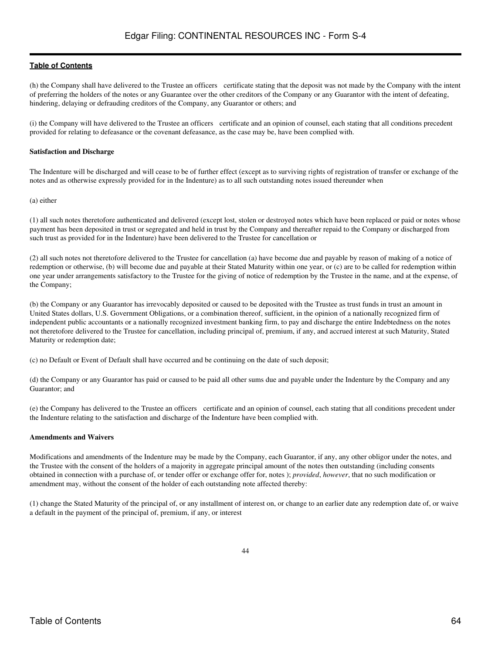(h) the Company shall have delivered to the Trustee an officers certificate stating that the deposit was not made by the Company with the intent of preferring the holders of the notes or any Guarantee over the other creditors of the Company or any Guarantor with the intent of defeating, hindering, delaying or defrauding creditors of the Company, any Guarantor or others; and

(i) the Company will have delivered to the Trustee an officers certificate and an opinion of counsel, each stating that all conditions precedent provided for relating to defeasance or the covenant defeasance, as the case may be, have been complied with.

#### **Satisfaction and Discharge**

The Indenture will be discharged and will cease to be of further effect (except as to surviving rights of registration of transfer or exchange of the notes and as otherwise expressly provided for in the Indenture) as to all such outstanding notes issued thereunder when

(a) either

(1) all such notes theretofore authenticated and delivered (except lost, stolen or destroyed notes which have been replaced or paid or notes whose payment has been deposited in trust or segregated and held in trust by the Company and thereafter repaid to the Company or discharged from such trust as provided for in the Indenture) have been delivered to the Trustee for cancellation or

(2) all such notes not theretofore delivered to the Trustee for cancellation (a) have become due and payable by reason of making of a notice of redemption or otherwise, (b) will become due and payable at their Stated Maturity within one year, or (c) are to be called for redemption within one year under arrangements satisfactory to the Trustee for the giving of notice of redemption by the Trustee in the name, and at the expense, of the Company;

(b) the Company or any Guarantor has irrevocably deposited or caused to be deposited with the Trustee as trust funds in trust an amount in United States dollars, U.S. Government Obligations, or a combination thereof, sufficient, in the opinion of a nationally recognized firm of independent public accountants or a nationally recognized investment banking firm, to pay and discharge the entire Indebtedness on the notes not theretofore delivered to the Trustee for cancellation, including principal of, premium, if any, and accrued interest at such Maturity, Stated Maturity or redemption date;

(c) no Default or Event of Default shall have occurred and be continuing on the date of such deposit;

(d) the Company or any Guarantor has paid or caused to be paid all other sums due and payable under the Indenture by the Company and any Guarantor; and

(e) the Company has delivered to the Trustee an officers certificate and an opinion of counsel, each stating that all conditions precedent under the Indenture relating to the satisfaction and discharge of the Indenture have been complied with.

#### **Amendments and Waivers**

Modifications and amendments of the Indenture may be made by the Company, each Guarantor, if any, any other obligor under the notes, and the Trustee with the consent of the holders of a majority in aggregate principal amount of the notes then outstanding (including consents obtained in connection with a purchase of, or tender offer or exchange offer for, notes ); *provided*, *however*, that no such modification or amendment may, without the consent of the holder of each outstanding note affected thereby:

(1) change the Stated Maturity of the principal of, or any installment of interest on, or change to an earlier date any redemption date of, or waive a default in the payment of the principal of, premium, if any, or interest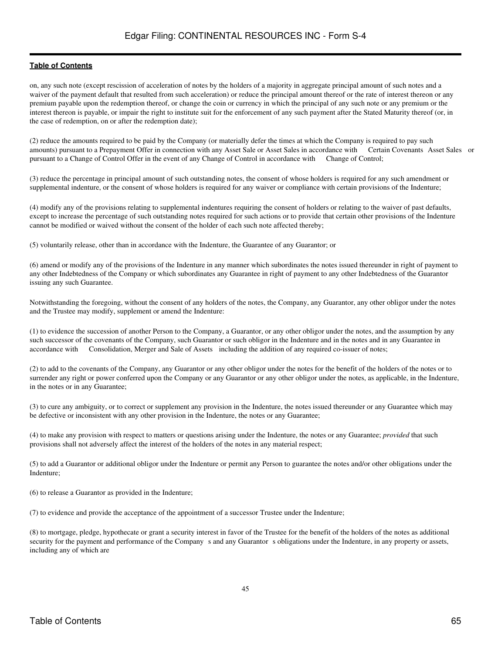on, any such note (except rescission of acceleration of notes by the holders of a majority in aggregate principal amount of such notes and a waiver of the payment default that resulted from such acceleration) or reduce the principal amount thereof or the rate of interest thereon or any premium payable upon the redemption thereof, or change the coin or currency in which the principal of any such note or any premium or the interest thereon is payable, or impair the right to institute suit for the enforcement of any such payment after the Stated Maturity thereof (or, in the case of redemption, on or after the redemption date);

(2) reduce the amounts required to be paid by the Company (or materially defer the times at which the Company is required to pay such amounts) pursuant to a Prepayment Offer in connection with any Asset Sale or Asset Sales in accordance with Certain Covenants Asset Sales or pursuant to a Change of Control Offer in the event of any Change of Control in accordance with Change of Control;

(3) reduce the percentage in principal amount of such outstanding notes, the consent of whose holders is required for any such amendment or supplemental indenture, or the consent of whose holders is required for any waiver or compliance with certain provisions of the Indenture;

(4) modify any of the provisions relating to supplemental indentures requiring the consent of holders or relating to the waiver of past defaults, except to increase the percentage of such outstanding notes required for such actions or to provide that certain other provisions of the Indenture cannot be modified or waived without the consent of the holder of each such note affected thereby;

(5) voluntarily release, other than in accordance with the Indenture, the Guarantee of any Guarantor; or

(6) amend or modify any of the provisions of the Indenture in any manner which subordinates the notes issued thereunder in right of payment to any other Indebtedness of the Company or which subordinates any Guarantee in right of payment to any other Indebtedness of the Guarantor issuing any such Guarantee.

Notwithstanding the foregoing, without the consent of any holders of the notes, the Company, any Guarantor, any other obligor under the notes and the Trustee may modify, supplement or amend the Indenture:

(1) to evidence the succession of another Person to the Company, a Guarantor, or any other obligor under the notes, and the assumption by any such successor of the covenants of the Company, such Guarantor or such obligor in the Indenture and in the notes and in any Guarantee in accordance with Consolidation, Merger and Sale of Assets including the addition of any required co-issuer of notes;

(2) to add to the covenants of the Company, any Guarantor or any other obligor under the notes for the benefit of the holders of the notes or to surrender any right or power conferred upon the Company or any Guarantor or any other obligor under the notes, as applicable, in the Indenture, in the notes or in any Guarantee;

(3) to cure any ambiguity, or to correct or supplement any provision in the Indenture, the notes issued thereunder or any Guarantee which may be defective or inconsistent with any other provision in the Indenture, the notes or any Guarantee;

(4) to make any provision with respect to matters or questions arising under the Indenture, the notes or any Guarantee; *provided* that such provisions shall not adversely affect the interest of the holders of the notes in any material respect;

(5) to add a Guarantor or additional obligor under the Indenture or permit any Person to guarantee the notes and/or other obligations under the Indenture;

(6) to release a Guarantor as provided in the Indenture;

(7) to evidence and provide the acceptance of the appointment of a successor Trustee under the Indenture;

(8) to mortgage, pledge, hypothecate or grant a security interest in favor of the Trustee for the benefit of the holders of the notes as additional security for the payment and performance of the Company s and any Guarantor s obligations under the Indenture, in any property or assets, including any of which are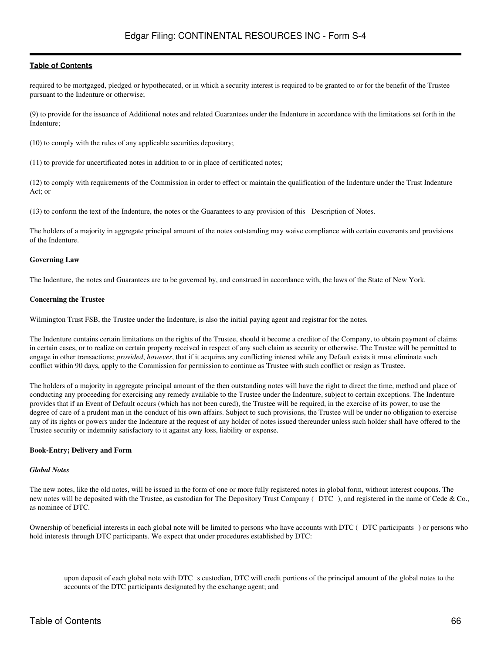required to be mortgaged, pledged or hypothecated, or in which a security interest is required to be granted to or for the benefit of the Trustee pursuant to the Indenture or otherwise;

(9) to provide for the issuance of Additional notes and related Guarantees under the Indenture in accordance with the limitations set forth in the Indenture;

(10) to comply with the rules of any applicable securities depositary;

(11) to provide for uncertificated notes in addition to or in place of certificated notes;

(12) to comply with requirements of the Commission in order to effect or maintain the qualification of the Indenture under the Trust Indenture Act; or

(13) to conform the text of the Indenture, the notes or the Guarantees to any provision of this Description of Notes.

The holders of a majority in aggregate principal amount of the notes outstanding may waive compliance with certain covenants and provisions of the Indenture.

#### **Governing Law**

The Indenture, the notes and Guarantees are to be governed by, and construed in accordance with, the laws of the State of New York.

#### **Concerning the Trustee**

Wilmington Trust FSB, the Trustee under the Indenture, is also the initial paying agent and registrar for the notes.

The Indenture contains certain limitations on the rights of the Trustee, should it become a creditor of the Company, to obtain payment of claims in certain cases, or to realize on certain property received in respect of any such claim as security or otherwise. The Trustee will be permitted to engage in other transactions; *provided*, *however*, that if it acquires any conflicting interest while any Default exists it must eliminate such conflict within 90 days, apply to the Commission for permission to continue as Trustee with such conflict or resign as Trustee.

The holders of a majority in aggregate principal amount of the then outstanding notes will have the right to direct the time, method and place of conducting any proceeding for exercising any remedy available to the Trustee under the Indenture, subject to certain exceptions. The Indenture provides that if an Event of Default occurs (which has not been cured), the Trustee will be required, in the exercise of its power, to use the degree of care of a prudent man in the conduct of his own affairs. Subject to such provisions, the Trustee will be under no obligation to exercise any of its rights or powers under the Indenture at the request of any holder of notes issued thereunder unless such holder shall have offered to the Trustee security or indemnity satisfactory to it against any loss, liability or expense.

### **Book-Entry; Delivery and Form**

#### *Global Notes*

The new notes, like the old notes, will be issued in the form of one or more fully registered notes in global form, without interest coupons. The new notes will be deposited with the Trustee, as custodian for The Depository Trust Company (DTC), and registered in the name of Cede & Co., as nominee of DTC.

Ownership of beneficial interests in each global note will be limited to persons who have accounts with DTC (DTC participants) or persons who hold interests through DTC participants. We expect that under procedures established by DTC:

upon deposit of each global note with DTC s custodian, DTC will credit portions of the principal amount of the global notes to the accounts of the DTC participants designated by the exchange agent; and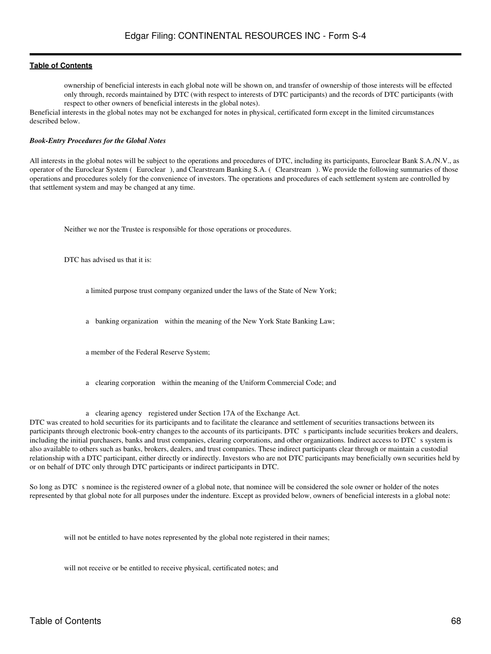ownership of beneficial interests in each global note will be shown on, and transfer of ownership of those interests will be effected only through, records maintained by DTC (with respect to interests of DTC participants) and the records of DTC participants (with respect to other owners of beneficial interests in the global notes).

Beneficial interests in the global notes may not be exchanged for notes in physical, certificated form except in the limited circumstances described below.

#### *Book-Entry Procedures for the Global Notes*

All interests in the global notes will be subject to the operations and procedures of DTC, including its participants, Euroclear Bank S.A./N.V., as operator of the Euroclear System (Euroclear), and Clearstream Banking S.A. (Clearstream). We provide the following summaries of those operations and procedures solely for the convenience of investors. The operations and procedures of each settlement system are controlled by that settlement system and may be changed at any time.

Neither we nor the Trustee is responsible for those operations or procedures.

DTC has advised us that it is:

a limited purpose trust company organized under the laws of the State of New York;

a banking organization within the meaning of the New York State Banking Law;

a member of the Federal Reserve System;

a clearing corporation within the meaning of the Uniform Commercial Code; and

a clearing agency registered under Section 17A of the Exchange Act.

DTC was created to hold securities for its participants and to facilitate the clearance and settlement of securities transactions between its participants through electronic book-entry changes to the accounts of its participants. DTC s participants include securities brokers and dealers, including the initial purchasers, banks and trust companies, clearing corporations, and other organizations. Indirect access to DTC s system is also available to others such as banks, brokers, dealers, and trust companies. These indirect participants clear through or maintain a custodial relationship with a DTC participant, either directly or indirectly. Investors who are not DTC participants may beneficially own securities held by or on behalf of DTC only through DTC participants or indirect participants in DTC.

So long as DTC s nominee is the registered owner of a global note, that nominee will be considered the sole owner or holder of the notes represented by that global note for all purposes under the indenture. Except as provided below, owners of beneficial interests in a global note:

will not be entitled to have notes represented by the global note registered in their names;

will not receive or be entitled to receive physical, certificated notes; and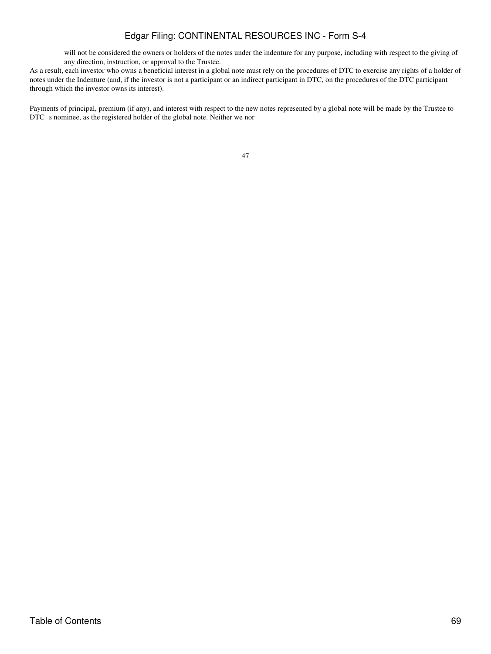# Edgar Filing: CONTINENTAL RESOURCES INC - Form S-4

will not be considered the owners or holders of the notes under the indenture for any purpose, including with respect to the giving of any direction, instruction, or approval to the Trustee.

As a result, each investor who owns a beneficial interest in a global note must rely on the procedures of DTC to exercise any rights of a holder of notes under the Indenture (and, if the investor is not a participant or an indirect participant in DTC, on the procedures of the DTC participant through which the investor owns its interest).

Payments of principal, premium (if any), and interest with respect to the new notes represented by a global note will be made by the Trustee to DTC s nominee, as the registered holder of the global note. Neither we nor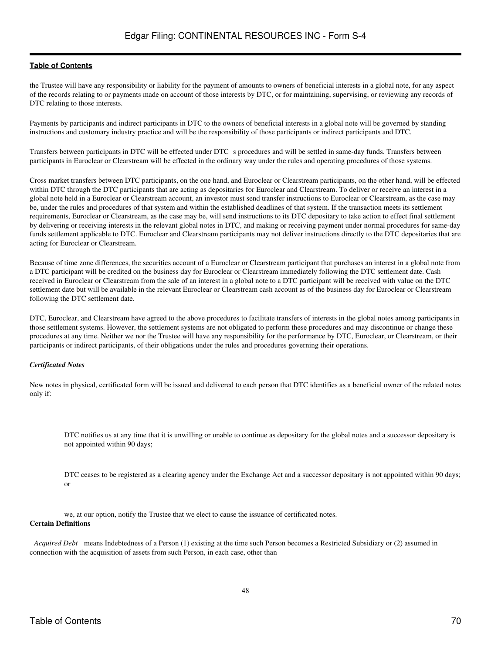the Trustee will have any responsibility or liability for the payment of amounts to owners of beneficial interests in a global note, for any aspect of the records relating to or payments made on account of those interests by DTC, or for maintaining, supervising, or reviewing any records of DTC relating to those interests.

Payments by participants and indirect participants in DTC to the owners of beneficial interests in a global note will be governed by standing instructions and customary industry practice and will be the responsibility of those participants or indirect participants and DTC.

Transfers between participants in DTC will be effected under DTC s procedures and will be settled in same-day funds. Transfers between participants in Euroclear or Clearstream will be effected in the ordinary way under the rules and operating procedures of those systems.

Cross market transfers between DTC participants, on the one hand, and Euroclear or Clearstream participants, on the other hand, will be effected within DTC through the DTC participants that are acting as depositaries for Euroclear and Clearstream. To deliver or receive an interest in a global note held in a Euroclear or Clearstream account, an investor must send transfer instructions to Euroclear or Clearstream, as the case may be, under the rules and procedures of that system and within the established deadlines of that system. If the transaction meets its settlement requirements, Euroclear or Clearstream, as the case may be, will send instructions to its DTC depositary to take action to effect final settlement by delivering or receiving interests in the relevant global notes in DTC, and making or receiving payment under normal procedures for same-day funds settlement applicable to DTC. Euroclear and Clearstream participants may not deliver instructions directly to the DTC depositaries that are acting for Euroclear or Clearstream.

Because of time zone differences, the securities account of a Euroclear or Clearstream participant that purchases an interest in a global note from a DTC participant will be credited on the business day for Euroclear or Clearstream immediately following the DTC settlement date. Cash received in Euroclear or Clearstream from the sale of an interest in a global note to a DTC participant will be received with value on the DTC settlement date but will be available in the relevant Euroclear or Clearstream cash account as of the business day for Euroclear or Clearstream following the DTC settlement date.

DTC, Euroclear, and Clearstream have agreed to the above procedures to facilitate transfers of interests in the global notes among participants in those settlement systems. However, the settlement systems are not obligated to perform these procedures and may discontinue or change these procedures at any time. Neither we nor the Trustee will have any responsibility for the performance by DTC, Euroclear, or Clearstream, or their participants or indirect participants, of their obligations under the rules and procedures governing their operations.

### *Certificated Notes*

New notes in physical, certificated form will be issued and delivered to each person that DTC identifies as a beneficial owner of the related notes only if:

DTC notifies us at any time that it is unwilling or unable to continue as depositary for the global notes and a successor depositary is not appointed within 90 days;

DTC ceases to be registered as a clearing agency under the Exchange Act and a successor depositary is not appointed within 90 days; or

we, at our option, notify the Trustee that we elect to cause the issuance of certificated notes. **Certain Definitions**

*Acquired Debt* means Indebtedness of a Person (1) existing at the time such Person becomes a Restricted Subsidiary or (2) assumed in connection with the acquisition of assets from such Person, in each case, other than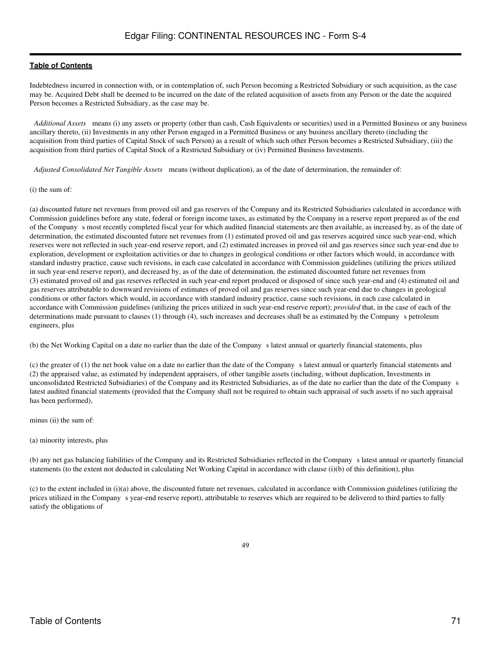Indebtedness incurred in connection with, or in contemplation of, such Person becoming a Restricted Subsidiary or such acquisition, as the case may be. Acquired Debt shall be deemed to be incurred on the date of the related acquisition of assets from any Person or the date the acquired Person becomes a Restricted Subsidiary, as the case may be.

*Additional Assets* means (i) any assets or property (other than cash, Cash Equivalents or securities) used in a Permitted Business or any business ancillary thereto, (ii) Investments in any other Person engaged in a Permitted Business or any business ancillary thereto (including the acquisition from third parties of Capital Stock of such Person) as a result of which such other Person becomes a Restricted Subsidiary, (iii) the acquisition from third parties of Capital Stock of a Restricted Subsidiary or (iv) Permitted Business Investments.

*Adjusted Consolidated Net Tangible Assets* means (without duplication), as of the date of determination, the remainder of:

(i) the sum of:

(a) discounted future net revenues from proved oil and gas reserves of the Company and its Restricted Subsidiaries calculated in accordance with Commission guidelines before any state, federal or foreign income taxes, as estimated by the Company in a reserve report prepared as of the end of the Companys most recently completed fiscal year for which audited financial statements are then available, as increased by, as of the date of determination, the estimated discounted future net revenues from (1) estimated proved oil and gas reserves acquired since such year-end, which reserves were not reflected in such year-end reserve report, and (2) estimated increases in proved oil and gas reserves since such year-end due to exploration, development or exploitation activities or due to changes in geological conditions or other factors which would, in accordance with standard industry practice, cause such revisions, in each case calculated in accordance with Commission guidelines (utilizing the prices utilized in such year-end reserve report), and decreased by, as of the date of determination, the estimated discounted future net revenues from (3) estimated proved oil and gas reserves reflected in such year-end report produced or disposed of since such year-end and (4) estimated oil and gas reserves attributable to downward revisions of estimates of proved oil and gas reserves since such year-end due to changes in geological conditions or other factors which would, in accordance with standard industry practice, cause such revisions, in each case calculated in accordance with Commission guidelines (utilizing the prices utilized in such year-end reserve report); *provided* that, in the case of each of the determinations made pursuant to clauses (1) through (4), such increases and decreases shall be as estimated by the Company s petroleum engineers, plus

(b) the Net Working Capital on a date no earlier than the date of the Companys latest annual or quarterly financial statements, plus

(c) the greater of (1) the net book value on a date no earlier than the date of the Companys latest annual or quarterly financial statements and (2) the appraised value, as estimated by independent appraisers, of other tangible assets (including, without duplication, Investments in unconsolidated Restricted Subsidiaries) of the Company and its Restricted Subsidiaries, as of the date no earlier than the date of the Companys latest audited financial statements (provided that the Company shall not be required to obtain such appraisal of such assets if no such appraisal has been performed),

minus (ii) the sum of:

(a) minority interests, plus

(b) any net gas balancing liabilities of the Company and its Restricted Subsidiaries reflected in the Companys latest annual or quarterly financial statements (to the extent not deducted in calculating Net Working Capital in accordance with clause (i)(b) of this definition), plus

(c) to the extent included in  $(i)(a)$  above, the discounted future net revenues, calculated in accordance with Commission guidelines (utilizing the prices utilized in the Company s year-end reserve report), attributable to reserves which are required to be delivered to third parties to fully satisfy the obligations of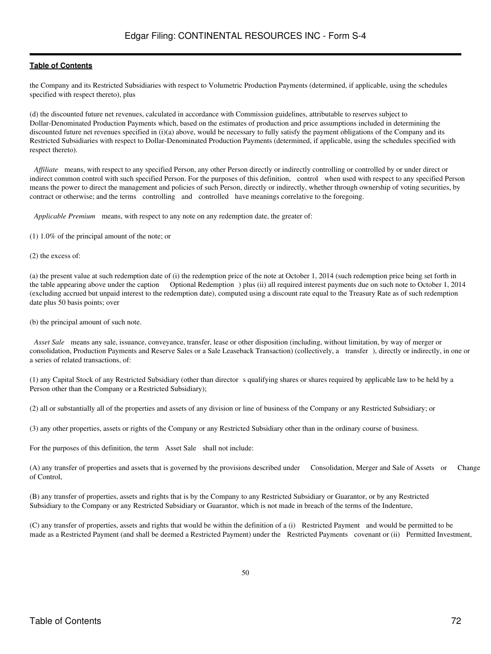the Company and its Restricted Subsidiaries with respect to Volumetric Production Payments (determined, if applicable, using the schedules specified with respect thereto), plus

(d) the discounted future net revenues, calculated in accordance with Commission guidelines, attributable to reserves subject to Dollar-Denominated Production Payments which, based on the estimates of production and price assumptions included in determining the discounted future net revenues specified in (i)(a) above, would be necessary to fully satisfy the payment obligations of the Company and its Restricted Subsidiaries with respect to Dollar-Denominated Production Payments (determined, if applicable, using the schedules specified with respect thereto).

*Affiliate* means, with respect to any specified Person, any other Person directly or indirectly controlling or controlled by or under direct or indirect common control with such specified Person. For the purposes of this definition, control when used with respect to any specified Person means the power to direct the management and policies of such Person, directly or indirectly, whether through ownership of voting securities, by contract or otherwise; and the terms controlling and controlled have meanings correlative to the foregoing.

*Applicable Premium* means, with respect to any note on any redemption date, the greater of:

(1) 1.0% of the principal amount of the note; or

(2) the excess of:

(a) the present value at such redemption date of (i) the redemption price of the note at October 1, 2014 (such redemption price being set forth in the table appearing above under the caption Optional Redemption) plus (ii) all required interest payments due on such note to October 1, 2014 (excluding accrued but unpaid interest to the redemption date), computed using a discount rate equal to the Treasury Rate as of such redemption date plus 50 basis points; over

(b) the principal amount of such note.

*Asset Sale* means any sale, issuance, conveyance, transfer, lease or other disposition (including, without limitation, by way of merger or consolidation, Production Payments and Reserve Sales or a Sale Leaseback Transaction) (collectively, a transfer), directly or indirectly, in one or a series of related transactions, of:

(1) any Capital Stock of any Restricted Subsidiary (other than directors qualifying shares or shares required by applicable law to be held by a Person other than the Company or a Restricted Subsidiary);

(2) all or substantially all of the properties and assets of any division or line of business of the Company or any Restricted Subsidiary; or

(3) any other properties, assets or rights of the Company or any Restricted Subsidiary other than in the ordinary course of business.

For the purposes of this definition, the term Asset Sale shall not include:

(A) any transfer of properties and assets that is governed by the provisions described under Consolidation, Merger and Sale of Assets or Change of Control,

(B) any transfer of properties, assets and rights that is by the Company to any Restricted Subsidiary or Guarantor, or by any Restricted Subsidiary to the Company or any Restricted Subsidiary or Guarantor, which is not made in breach of the terms of the Indenture,

(C) any transfer of properties, assets and rights that would be within the definition of a (i) Restricted Payment and would be permitted to be made as a Restricted Payment (and shall be deemed a Restricted Payment) under the Restricted Payments covenant or (ii) Permitted Investment,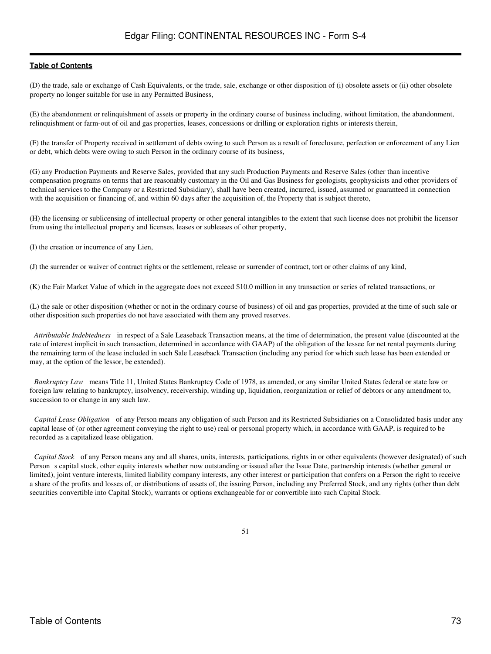(D) the trade, sale or exchange of Cash Equivalents, or the trade, sale, exchange or other disposition of (i) obsolete assets or (ii) other obsolete property no longer suitable for use in any Permitted Business,

(E) the abandonment or relinquishment of assets or property in the ordinary course of business including, without limitation, the abandonment, relinquishment or farm-out of oil and gas properties, leases, concessions or drilling or exploration rights or interests therein,

(F) the transfer of Property received in settlement of debts owing to such Person as a result of foreclosure, perfection or enforcement of any Lien or debt, which debts were owing to such Person in the ordinary course of its business,

(G) any Production Payments and Reserve Sales, provided that any such Production Payments and Reserve Sales (other than incentive compensation programs on terms that are reasonably customary in the Oil and Gas Business for geologists, geophysicists and other providers of technical services to the Company or a Restricted Subsidiary), shall have been created, incurred, issued, assumed or guaranteed in connection with the acquisition or financing of, and within 60 days after the acquisition of, the Property that is subject thereto,

(H) the licensing or sublicensing of intellectual property or other general intangibles to the extent that such license does not prohibit the licensor from using the intellectual property and licenses, leases or subleases of other property,

(I) the creation or incurrence of any Lien,

(J) the surrender or waiver of contract rights or the settlement, release or surrender of contract, tort or other claims of any kind,

(K) the Fair Market Value of which in the aggregate does not exceed \$10.0 million in any transaction or series of related transactions, or

(L) the sale or other disposition (whether or not in the ordinary course of business) of oil and gas properties, provided at the time of such sale or other disposition such properties do not have associated with them any proved reserves.

*Attributable Indebtedness* in respect of a Sale Leaseback Transaction means, at the time of determination, the present value (discounted at the rate of interest implicit in such transaction, determined in accordance with GAAP) of the obligation of the lessee for net rental payments during the remaining term of the lease included in such Sale Leaseback Transaction (including any period for which such lease has been extended or may, at the option of the lessor, be extended).

*Bankruptcy Law* means Title 11, United States Bankruptcy Code of 1978, as amended, or any similar United States federal or state law or foreign law relating to bankruptcy, insolvency, receivership, winding up, liquidation, reorganization or relief of debtors or any amendment to, succession to or change in any such law.

*Capital Lease Obligation* of any Person means any obligation of such Person and its Restricted Subsidiaries on a Consolidated basis under any capital lease of (or other agreement conveying the right to use) real or personal property which, in accordance with GAAP, is required to be recorded as a capitalized lease obligation.

*Capital Stock* of any Person means any and all shares, units, interests, participations, rights in or other equivalents (however designated) of such Person s capital stock, other equity interests whether now outstanding or issued after the Issue Date, partnership interests (whether general or limited), joint venture interests, limited liability company interests, any other interest or participation that confers on a Person the right to receive a share of the profits and losses of, or distributions of assets of, the issuing Person, including any Preferred Stock, and any rights (other than debt securities convertible into Capital Stock), warrants or options exchangeable for or convertible into such Capital Stock.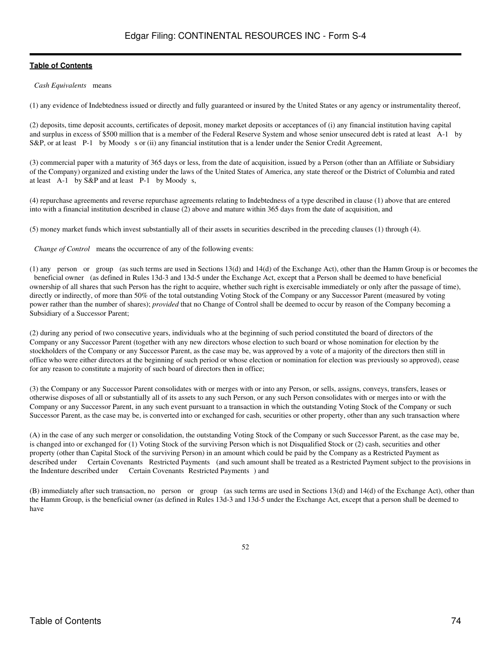#### *Cash Equivalents* means

(1) any evidence of Indebtedness issued or directly and fully guaranteed or insured by the United States or any agency or instrumentality thereof,

(2) deposits, time deposit accounts, certificates of deposit, money market deposits or acceptances of (i) any financial institution having capital and surplus in excess of \$500 million that is a member of the Federal Reserve System and whose senior unsecured debt is rated at least A-1 by S&P, or at least P-1 by Moody s or (ii) any financial institution that is a lender under the Senior Credit Agreement,

(3) commercial paper with a maturity of 365 days or less, from the date of acquisition, issued by a Person (other than an Affiliate or Subsidiary of the Company) organized and existing under the laws of the United States of America, any state thereof or the District of Columbia and rated at least A-1 by S&P and at least P-1 by Moody s,

(4) repurchase agreements and reverse repurchase agreements relating to Indebtedness of a type described in clause (1) above that are entered into with a financial institution described in clause (2) above and mature within 365 days from the date of acquisition, and

(5) money market funds which invest substantially all of their assets in securities described in the preceding clauses (1) through (4).

*Change of Control* means the occurrence of any of the following events:

(1) any person or group (as such terms are used in Sections 13(d) and 14(d) of the Exchange Act), other than the Hamm Group is or becomes the beneficial owner (as defined in Rules 13d-3 and 13d-5 under the Exchange Act, except that a Person shall be deemed to have beneficial ownership of all shares that such Person has the right to acquire, whether such right is exercisable immediately or only after the passage of time), directly or indirectly, of more than 50% of the total outstanding Voting Stock of the Company or any Successor Parent (measured by voting power rather than the number of shares); *provided* that no Change of Control shall be deemed to occur by reason of the Company becoming a Subsidiary of a Successor Parent;

(2) during any period of two consecutive years, individuals who at the beginning of such period constituted the board of directors of the Company or any Successor Parent (together with any new directors whose election to such board or whose nomination for election by the stockholders of the Company or any Successor Parent, as the case may be, was approved by a vote of a majority of the directors then still in office who were either directors at the beginning of such period or whose election or nomination for election was previously so approved), cease for any reason to constitute a majority of such board of directors then in office;

(3) the Company or any Successor Parent consolidates with or merges with or into any Person, or sells, assigns, conveys, transfers, leases or otherwise disposes of all or substantially all of its assets to any such Person, or any such Person consolidates with or merges into or with the Company or any Successor Parent, in any such event pursuant to a transaction in which the outstanding Voting Stock of the Company or such Successor Parent, as the case may be, is converted into or exchanged for cash, securities or other property, other than any such transaction where

(A) in the case of any such merger or consolidation, the outstanding Voting Stock of the Company or such Successor Parent, as the case may be, is changed into or exchanged for (1) Voting Stock of the surviving Person which is not Disqualified Stock or (2) cash, securities and other property (other than Capital Stock of the surviving Person) in an amount which could be paid by the Company as a Restricted Payment as described under Certain Covenants Restricted Payments (and such amount shall be treated as a Restricted Payment subject to the provisions in the Indenture described under Certain Covenants Restricted Payments ) and

(B) immediately after such transaction, no person or group (as such terms are used in Sections 13(d) and 14(d) of the Exchange Act), other than the Hamm Group, is the beneficial owner (as defined in Rules 13d-3 and 13d-5 under the Exchange Act, except that a person shall be deemed to have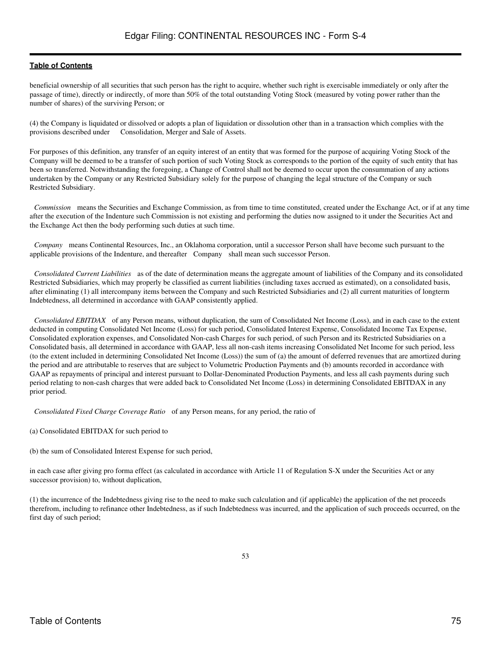beneficial ownership of all securities that such person has the right to acquire, whether such right is exercisable immediately or only after the passage of time), directly or indirectly, of more than 50% of the total outstanding Voting Stock (measured by voting power rather than the number of shares) of the surviving Person; or

(4) the Company is liquidated or dissolved or adopts a plan of liquidation or dissolution other than in a transaction which complies with the provisions described under Consolidation, Merger and Sale of Assets.

For purposes of this definition, any transfer of an equity interest of an entity that was formed for the purpose of acquiring Voting Stock of the Company will be deemed to be a transfer of such portion of such Voting Stock as corresponds to the portion of the equity of such entity that has been so transferred. Notwithstanding the foregoing, a Change of Control shall not be deemed to occur upon the consummation of any actions undertaken by the Company or any Restricted Subsidiary solely for the purpose of changing the legal structure of the Company or such Restricted Subsidiary.

*Commission* means the Securities and Exchange Commission, as from time to time constituted, created under the Exchange Act, or if at any time after the execution of the Indenture such Commission is not existing and performing the duties now assigned to it under the Securities Act and the Exchange Act then the body performing such duties at such time.

*Company* means Continental Resources, Inc., an Oklahoma corporation, until a successor Person shall have become such pursuant to the applicable provisions of the Indenture, and thereafter Company shall mean such successor Person.

*Consolidated Current Liabilities* as of the date of determination means the aggregate amount of liabilities of the Company and its consolidated Restricted Subsidiaries, which may properly be classified as current liabilities (including taxes accrued as estimated), on a consolidated basis, after eliminating (1) all intercompany items between the Company and such Restricted Subsidiaries and (2) all current maturities of longterm Indebtedness, all determined in accordance with GAAP consistently applied.

*Consolidated EBITDAX* of any Person means, without duplication, the sum of Consolidated Net Income (Loss), and in each case to the extent deducted in computing Consolidated Net Income (Loss) for such period, Consolidated Interest Expense, Consolidated Income Tax Expense, Consolidated exploration expenses, and Consolidated Non-cash Charges for such period, of such Person and its Restricted Subsidiaries on a Consolidated basis, all determined in accordance with GAAP, less all non-cash items increasing Consolidated Net Income for such period, less (to the extent included in determining Consolidated Net Income (Loss)) the sum of (a) the amount of deferred revenues that are amortized during the period and are attributable to reserves that are subject to Volumetric Production Payments and (b) amounts recorded in accordance with GAAP as repayments of principal and interest pursuant to Dollar-Denominated Production Payments, and less all cash payments during such period relating to non-cash charges that were added back to Consolidated Net Income (Loss) in determining Consolidated EBITDAX in any prior period.

*Consolidated Fixed Charge Coverage Ratio* of any Person means, for any period, the ratio of

(a) Consolidated EBITDAX for such period to

(b) the sum of Consolidated Interest Expense for such period,

in each case after giving pro forma effect (as calculated in accordance with Article 11 of Regulation S-X under the Securities Act or any successor provision) to, without duplication,

(1) the incurrence of the Indebtedness giving rise to the need to make such calculation and (if applicable) the application of the net proceeds therefrom, including to refinance other Indebtedness, as if such Indebtedness was incurred, and the application of such proceeds occurred, on the first day of such period;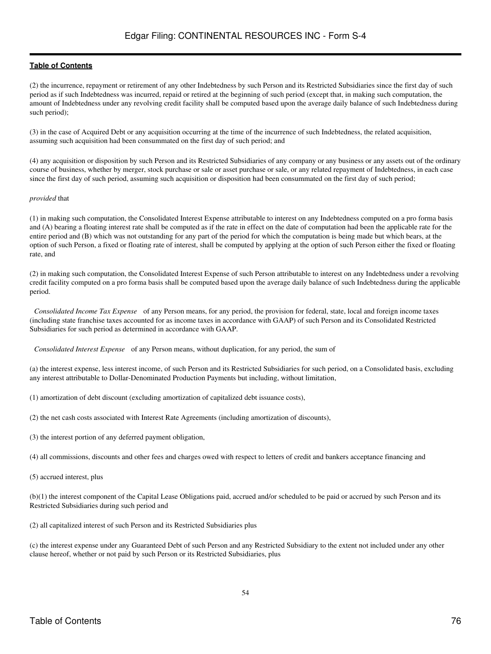(2) the incurrence, repayment or retirement of any other Indebtedness by such Person and its Restricted Subsidiaries since the first day of such period as if such Indebtedness was incurred, repaid or retired at the beginning of such period (except that, in making such computation, the amount of Indebtedness under any revolving credit facility shall be computed based upon the average daily balance of such Indebtedness during such period);

(3) in the case of Acquired Debt or any acquisition occurring at the time of the incurrence of such Indebtedness, the related acquisition, assuming such acquisition had been consummated on the first day of such period; and

(4) any acquisition or disposition by such Person and its Restricted Subsidiaries of any company or any business or any assets out of the ordinary course of business, whether by merger, stock purchase or sale or asset purchase or sale, or any related repayment of Indebtedness, in each case since the first day of such period, assuming such acquisition or disposition had been consummated on the first day of such period;

### *provided* that

(1) in making such computation, the Consolidated Interest Expense attributable to interest on any Indebtedness computed on a pro forma basis and (A) bearing a floating interest rate shall be computed as if the rate in effect on the date of computation had been the applicable rate for the entire period and (B) which was not outstanding for any part of the period for which the computation is being made but which bears, at the option of such Person, a fixed or floating rate of interest, shall be computed by applying at the option of such Person either the fixed or floating rate, and

(2) in making such computation, the Consolidated Interest Expense of such Person attributable to interest on any Indebtedness under a revolving credit facility computed on a pro forma basis shall be computed based upon the average daily balance of such Indebtedness during the applicable period.

*Consolidated Income Tax Expense* of any Person means, for any period, the provision for federal, state, local and foreign income taxes (including state franchise taxes accounted for as income taxes in accordance with GAAP) of such Person and its Consolidated Restricted Subsidiaries for such period as determined in accordance with GAAP.

*Consolidated Interest Expense* of any Person means, without duplication, for any period, the sum of

(a) the interest expense, less interest income, of such Person and its Restricted Subsidiaries for such period, on a Consolidated basis, excluding any interest attributable to Dollar-Denominated Production Payments but including, without limitation,

- (1) amortization of debt discount (excluding amortization of capitalized debt issuance costs),
- (2) the net cash costs associated with Interest Rate Agreements (including amortization of discounts),
- (3) the interest portion of any deferred payment obligation,
- (4) all commissions, discounts and other fees and charges owed with respect to letters of credit and bankers acceptance financing and
- (5) accrued interest, plus

(b)(1) the interest component of the Capital Lease Obligations paid, accrued and/or scheduled to be paid or accrued by such Person and its Restricted Subsidiaries during such period and

(2) all capitalized interest of such Person and its Restricted Subsidiaries plus

(c) the interest expense under any Guaranteed Debt of such Person and any Restricted Subsidiary to the extent not included under any other clause hereof, whether or not paid by such Person or its Restricted Subsidiaries, plus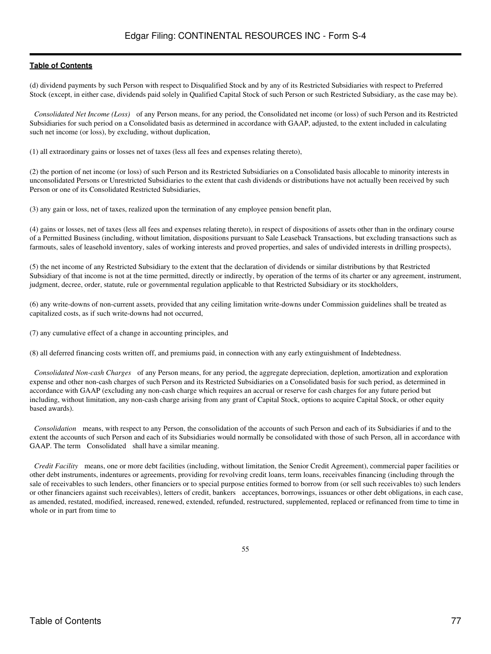(d) dividend payments by such Person with respect to Disqualified Stock and by any of its Restricted Subsidiaries with respect to Preferred Stock (except, in either case, dividends paid solely in Qualified Capital Stock of such Person or such Restricted Subsidiary, as the case may be).

*Consolidated Net Income (Loss)* of any Person means, for any period, the Consolidated net income (or loss) of such Person and its Restricted Subsidiaries for such period on a Consolidated basis as determined in accordance with GAAP, adjusted, to the extent included in calculating such net income (or loss), by excluding, without duplication,

(1) all extraordinary gains or losses net of taxes (less all fees and expenses relating thereto),

(2) the portion of net income (or loss) of such Person and its Restricted Subsidiaries on a Consolidated basis allocable to minority interests in unconsolidated Persons or Unrestricted Subsidiaries to the extent that cash dividends or distributions have not actually been received by such Person or one of its Consolidated Restricted Subsidiaries,

(3) any gain or loss, net of taxes, realized upon the termination of any employee pension benefit plan,

(4) gains or losses, net of taxes (less all fees and expenses relating thereto), in respect of dispositions of assets other than in the ordinary course of a Permitted Business (including, without limitation, dispositions pursuant to Sale Leaseback Transactions, but excluding transactions such as farmouts, sales of leasehold inventory, sales of working interests and proved properties, and sales of undivided interests in drilling prospects),

(5) the net income of any Restricted Subsidiary to the extent that the declaration of dividends or similar distributions by that Restricted Subsidiary of that income is not at the time permitted, directly or indirectly, by operation of the terms of its charter or any agreement, instrument, judgment, decree, order, statute, rule or governmental regulation applicable to that Restricted Subsidiary or its stockholders,

(6) any write-downs of non-current assets, provided that any ceiling limitation write-downs under Commission guidelines shall be treated as capitalized costs, as if such write-downs had not occurred,

(7) any cumulative effect of a change in accounting principles, and

(8) all deferred financing costs written off, and premiums paid, in connection with any early extinguishment of Indebtedness.

*Consolidated Non-cash Charges* of any Person means, for any period, the aggregate depreciation, depletion, amortization and exploration expense and other non-cash charges of such Person and its Restricted Subsidiaries on a Consolidated basis for such period, as determined in accordance with GAAP (excluding any non-cash charge which requires an accrual or reserve for cash charges for any future period but including, without limitation, any non-cash charge arising from any grant of Capital Stock, options to acquire Capital Stock, or other equity based awards).

*Consolidation* means, with respect to any Person, the consolidation of the accounts of such Person and each of its Subsidiaries if and to the extent the accounts of such Person and each of its Subsidiaries would normally be consolidated with those of such Person, all in accordance with GAAP. The term Consolidated shall have a similar meaning.

*Credit Facility* means, one or more debt facilities (including, without limitation, the Senior Credit Agreement), commercial paper facilities or other debt instruments, indentures or agreements, providing for revolving credit loans, term loans, receivables financing (including through the sale of receivables to such lenders, other financiers or to special purpose entities formed to borrow from (or sell such receivables to) such lenders or other financiers against such receivables), letters of credit, bankers acceptances, borrowings, issuances or other debt obligations, in each case, as amended, restated, modified, increased, renewed, extended, refunded, restructured, supplemented, replaced or refinanced from time to time in whole or in part from time to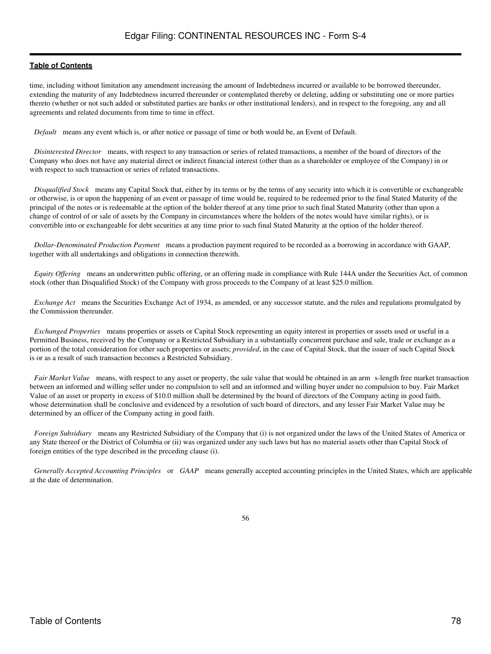time, including without limitation any amendment increasing the amount of Indebtedness incurred or available to be borrowed thereunder, extending the maturity of any Indebtedness incurred thereunder or contemplated thereby or deleting, adding or substituting one or more parties thereto (whether or not such added or substituted parties are banks or other institutional lenders), and in respect to the foregoing, any and all agreements and related documents from time to time in effect.

*Default* means any event which is, or after notice or passage of time or both would be, an Event of Default.

*Disinterested Director* means, with respect to any transaction or series of related transactions, a member of the board of directors of the Company who does not have any material direct or indirect financial interest (other than as a shareholder or employee of the Company) in or with respect to such transaction or series of related transactions.

*Disqualified Stock* means any Capital Stock that, either by its terms or by the terms of any security into which it is convertible or exchangeable or otherwise, is or upon the happening of an event or passage of time would be, required to be redeemed prior to the final Stated Maturity of the principal of the notes or is redeemable at the option of the holder thereof at any time prior to such final Stated Maturity (other than upon a change of control of or sale of assets by the Company in circumstances where the holders of the notes would have similar rights), or is convertible into or exchangeable for debt securities at any time prior to such final Stated Maturity at the option of the holder thereof.

*Dollar-Denominated Production Payment* means a production payment required to be recorded as a borrowing in accordance with GAAP, together with all undertakings and obligations in connection therewith.

*Equity Offering* means an underwritten public offering, or an offering made in compliance with Rule 144A under the Securities Act, of common stock (other than Disqualified Stock) of the Company with gross proceeds to the Company of at least \$25.0 million.

*Exchange Act* means the Securities Exchange Act of 1934, as amended, or any successor statute, and the rules and regulations promulgated by the Commission thereunder.

*Exchanged Properties* means properties or assets or Capital Stock representing an equity interest in properties or assets used or useful in a Permitted Business, received by the Company or a Restricted Subsidiary in a substantially concurrent purchase and sale, trade or exchange as a portion of the total consideration for other such properties or assets; *provided*, in the case of Capital Stock, that the issuer of such Capital Stock is or as a result of such transaction becomes a Restricted Subsidiary.

*Fair Market Value* means, with respect to any asset or property, the sale value that would be obtained in an arm s-length free market transaction between an informed and willing seller under no compulsion to sell and an informed and willing buyer under no compulsion to buy. Fair Market Value of an asset or property in excess of \$10.0 million shall be determined by the board of directors of the Company acting in good faith, whose determination shall be conclusive and evidenced by a resolution of such board of directors, and any lesser Fair Market Value may be determined by an officer of the Company acting in good faith.

*Foreign Subsidiary* means any Restricted Subsidiary of the Company that (i) is not organized under the laws of the United States of America or any State thereof or the District of Columbia or (ii) was organized under any such laws but has no material assets other than Capital Stock of foreign entities of the type described in the preceding clause (i).

*Generally Accepted Accounting Principles* or *GAAP* means generally accepted accounting principles in the United States, which are applicable at the date of determination.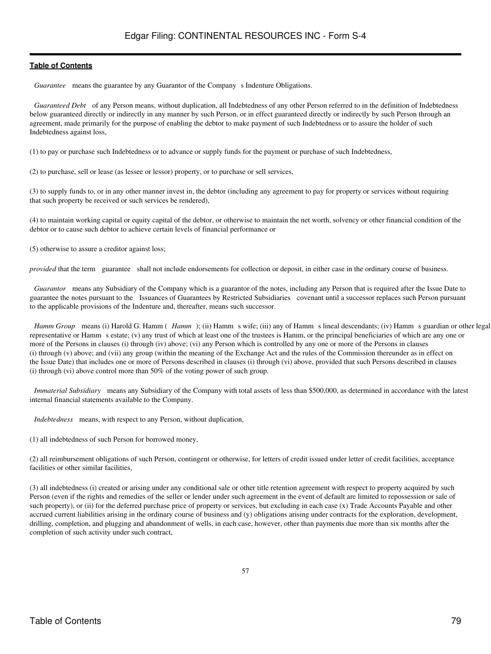Guarantee means the guarantee by any Guarantor of the Company s Indenture Obligations.

*Guaranteed Debt* of any Person means, without duplication, all Indebtedness of any other Person referred to in the definition of Indebtedness below guaranteed directly or indirectly in any manner by such Person, or in effect guaranteed directly or indirectly by such Person through an agreement, made primarily for the purpose of enabling the debtor to make payment of such Indebtedness or to assure the holder of such Indebtedness against loss,

(1) to pay or purchase such Indebtedness or to advance or supply funds for the payment or purchase of such Indebtedness,

(2) to purchase, sell or lease (as lessee or lessor) property, or to purchase or sell services,

(3) to supply funds to, or in any other manner invest in, the debtor (including any agreement to pay for property or services without requiring that such property be received or such services be rendered),

(4) to maintain working capital or equity capital of the debtor, or otherwise to maintain the net worth, solvency or other financial condition of the debtor or to cause such debtor to achieve certain levels of financial performance or

(5) otherwise to assure a creditor against loss;

*provided* that the term guarantee shall not include endorsements for collection or deposit, in either case in the ordinary course of business.

*Guarantor* means any Subsidiary of the Company which is a guarantor of the notes, including any Person that is required after the Issue Date to guarantee the notes pursuant to the Issuances of Guarantees by Restricted Subsidiaries covenant until a successor replaces such Person pursuant to the applicable provisions of the Indenture and, thereafter, means such successor.

*Hamm Group* means (i) Harold G. Hamm (*Hamm*); (ii) Hamm s wife; (iii) any of Hamm s lineal descendants; (iv) Hamm s guardian or other legal representative or Hamms estate; (v) any trust of which at least one of the trustees is Hamm, or the principal beneficiaries of which are any one or more of the Persons in clauses (i) through (iv) above; (vi) any Person which is controlled by any one or more of the Persons in clauses (i) through (v) above; and (vii) any group (within the meaning of the Exchange Act and the rules of the Commission thereunder as in effect on the Issue Date) that includes one or more of Persons described in clauses (i) through (vi) above, provided that such Persons described in clauses (i) through (vi) above control more than 50% of the voting power of such group.

*Immaterial Subsidiary* means any Subsidiary of the Company with total assets of less than \$500,000, as determined in accordance with the latest internal financial statements available to the Company.

*Indebtedness* means, with respect to any Person, without duplication,

(1) all indebtedness of such Person for borrowed money,

(2) all reimbursement obligations of such Person, contingent or otherwise, for letters of credit issued under letter of credit facilities, acceptance facilities or other similar facilities,

(3) all indebtedness (i) created or arising under any conditional sale or other title retention agreement with respect to property acquired by such Person (even if the rights and remedies of the seller or lender under such agreement in the event of default are limited to repossession or sale of such property), or (ii) for the deferred purchase price of property or services, but excluding in each case (x) Trade Accounts Payable and other accrued current liabilities arising in the ordinary course of business and (y) obligations arising under contracts for the exploration, development, drilling, completion, and plugging and abandonment of wells, in each case, however, other than payments due more than six months after the completion of such activity under such contract,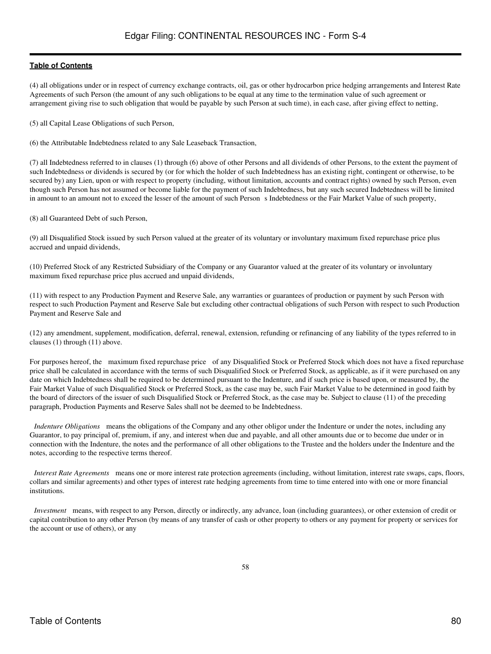(4) all obligations under or in respect of currency exchange contracts, oil, gas or other hydrocarbon price hedging arrangements and Interest Rate Agreements of such Person (the amount of any such obligations to be equal at any time to the termination value of such agreement or arrangement giving rise to such obligation that would be payable by such Person at such time), in each case, after giving effect to netting,

(5) all Capital Lease Obligations of such Person,

(6) the Attributable Indebtedness related to any Sale Leaseback Transaction,

(7) all Indebtedness referred to in clauses (1) through (6) above of other Persons and all dividends of other Persons, to the extent the payment of such Indebtedness or dividends is secured by (or for which the holder of such Indebtedness has an existing right, contingent or otherwise, to be secured by) any Lien, upon or with respect to property (including, without limitation, accounts and contract rights) owned by such Person, even though such Person has not assumed or become liable for the payment of such Indebtedness, but any such secured Indebtedness will be limited in amount to an amount not to exceed the lesser of the amount of such Person s Indebtedness or the Fair Market Value of such property,

(8) all Guaranteed Debt of such Person,

(9) all Disqualified Stock issued by such Person valued at the greater of its voluntary or involuntary maximum fixed repurchase price plus accrued and unpaid dividends,

(10) Preferred Stock of any Restricted Subsidiary of the Company or any Guarantor valued at the greater of its voluntary or involuntary maximum fixed repurchase price plus accrued and unpaid dividends,

(11) with respect to any Production Payment and Reserve Sale, any warranties or guarantees of production or payment by such Person with respect to such Production Payment and Reserve Sale but excluding other contractual obligations of such Person with respect to such Production Payment and Reserve Sale and

(12) any amendment, supplement, modification, deferral, renewal, extension, refunding or refinancing of any liability of the types referred to in clauses (1) through (11) above.

For purposes hereof, the maximum fixed repurchase price of any Disqualified Stock or Preferred Stock which does not have a fixed repurchase price shall be calculated in accordance with the terms of such Disqualified Stock or Preferred Stock, as applicable, as if it were purchased on any date on which Indebtedness shall be required to be determined pursuant to the Indenture, and if such price is based upon, or measured by, the Fair Market Value of such Disqualified Stock or Preferred Stock, as the case may be, such Fair Market Value to be determined in good faith by the board of directors of the issuer of such Disqualified Stock or Preferred Stock, as the case may be. Subject to clause (11) of the preceding paragraph, Production Payments and Reserve Sales shall not be deemed to be Indebtedness.

*Indenture Obligations* means the obligations of the Company and any other obligor under the Indenture or under the notes, including any Guarantor, to pay principal of, premium, if any, and interest when due and payable, and all other amounts due or to become due under or in connection with the Indenture, the notes and the performance of all other obligations to the Trustee and the holders under the Indenture and the notes, according to the respective terms thereof.

*Interest Rate Agreements* means one or more interest rate protection agreements (including, without limitation, interest rate swaps, caps, floors, collars and similar agreements) and other types of interest rate hedging agreements from time to time entered into with one or more financial institutions.

*Investment* means, with respect to any Person, directly or indirectly, any advance, loan (including guarantees), or other extension of credit or capital contribution to any other Person (by means of any transfer of cash or other property to others or any payment for property or services for the account or use of others), or any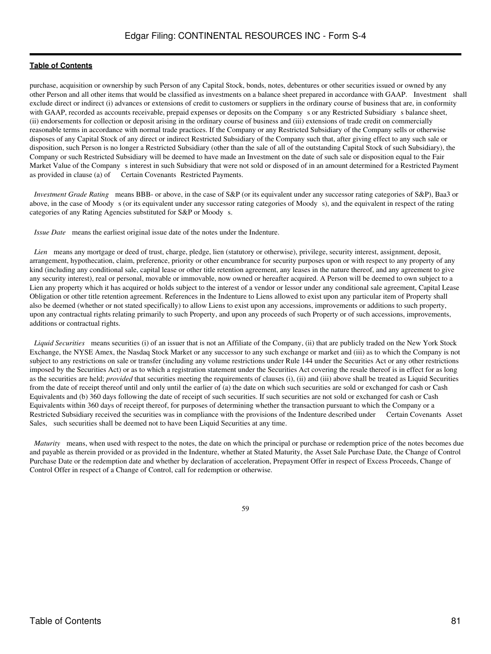purchase, acquisition or ownership by such Person of any Capital Stock, bonds, notes, debentures or other securities issued or owned by any other Person and all other items that would be classified as investments on a balance sheet prepared in accordance with GAAP. Investment shall exclude direct or indirect (i) advances or extensions of credit to customers or suppliers in the ordinary course of business that are, in conformity with GAAP, recorded as accounts receivable, prepaid expenses or deposits on the Company s or any Restricted Subsidiary s balance sheet, (ii) endorsements for collection or deposit arising in the ordinary course of business and (iii) extensions of trade credit on commercially reasonable terms in accordance with normal trade practices. If the Company or any Restricted Subsidiary of the Company sells or otherwise disposes of any Capital Stock of any direct or indirect Restricted Subsidiary of the Company such that, after giving effect to any such sale or disposition, such Person is no longer a Restricted Subsidiary (other than the sale of all of the outstanding Capital Stock of such Subsidiary), the Company or such Restricted Subsidiary will be deemed to have made an Investment on the date of such sale or disposition equal to the Fair Market Value of the Companys interest in such Subsidiary that were not sold or disposed of in an amount determined for a Restricted Payment as provided in clause (a) of Certain Covenants Restricted Payments.

*Investment Grade Rating* means BBB- or above, in the case of S&P (or its equivalent under any successor rating categories of S&P), Baa3 or above, in the case of Moody s (or its equivalent under any successor rating categories of Moody s), and the equivalent in respect of the rating categories of any Rating Agencies substituted for S&P or Moody s.

*Issue Date* means the earliest original issue date of the notes under the Indenture.

*Lien* means any mortgage or deed of trust, charge, pledge, lien (statutory or otherwise), privilege, security interest, assignment, deposit, arrangement, hypothecation, claim, preference, priority or other encumbrance for security purposes upon or with respect to any property of any kind (including any conditional sale, capital lease or other title retention agreement, any leases in the nature thereof, and any agreement to give any security interest), real or personal, movable or immovable, now owned or hereafter acquired. A Person will be deemed to own subject to a Lien any property which it has acquired or holds subject to the interest of a vendor or lessor under any conditional sale agreement, Capital Lease Obligation or other title retention agreement. References in the Indenture to Liens allowed to exist upon any particular item of Property shall also be deemed (whether or not stated specifically) to allow Liens to exist upon any accessions, improvements or additions to such property, upon any contractual rights relating primarily to such Property, and upon any proceeds of such Property or of such accessions, improvements, additions or contractual rights.

*Liquid Securities* means securities (i) of an issuer that is not an Affiliate of the Company, (ii) that are publicly traded on the New York Stock Exchange, the NYSE Amex, the Nasdaq Stock Market or any successor to any such exchange or market and (iii) as to which the Company is not subject to any restrictions on sale or transfer (including any volume restrictions under Rule 144 under the Securities Act or any other restrictions imposed by the Securities Act) or as to which a registration statement under the Securities Act covering the resale thereof is in effect for as long as the securities are held; *provided* that securities meeting the requirements of clauses (i), (ii) and (iii) above shall be treated as Liquid Securities from the date of receipt thereof until and only until the earlier of (a) the date on which such securities are sold or exchanged for cash or Cash Equivalents and (b) 360 days following the date of receipt of such securities. If such securities are not sold or exchanged for cash or Cash Equivalents within 360 days of receipt thereof, for purposes of determining whether the transaction pursuant to which the Company or a Restricted Subsidiary received the securities was in compliance with the provisions of the Indenture described under Certain Covenants Asset Sales, such securities shall be deemed not to have been Liquid Securities at any time.

*Maturity* means, when used with respect to the notes, the date on which the principal or purchase or redemption price of the notes becomes due and payable as therein provided or as provided in the Indenture, whether at Stated Maturity, the Asset Sale Purchase Date, the Change of Control Purchase Date or the redemption date and whether by declaration of acceleration, Prepayment Offer in respect of Excess Proceeds, Change of Control Offer in respect of a Change of Control, call for redemption or otherwise.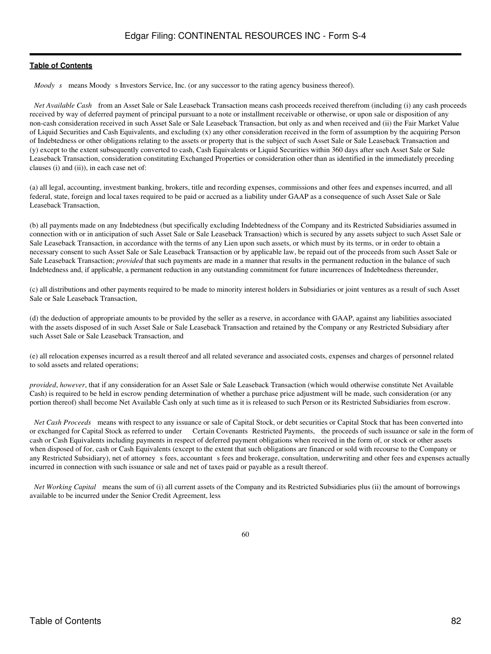*Moody s* means Moody *s* Investors Service, Inc. (or any successor to the rating agency business thereof).

*Net Available Cash* from an Asset Sale or Sale Leaseback Transaction means cash proceeds received therefrom (including (i) any cash proceeds received by way of deferred payment of principal pursuant to a note or installment receivable or otherwise, or upon sale or disposition of any non-cash consideration received in such Asset Sale or Sale Leaseback Transaction, but only as and when received and (ii) the Fair Market Value of Liquid Securities and Cash Equivalents, and excluding (x) any other consideration received in the form of assumption by the acquiring Person of Indebtedness or other obligations relating to the assets or property that is the subject of such Asset Sale or Sale Leaseback Transaction and (y) except to the extent subsequently converted to cash, Cash Equivalents or Liquid Securities within 360 days after such Asset Sale or Sale Leaseback Transaction, consideration constituting Exchanged Properties or consideration other than as identified in the immediately preceding clauses (i) and (ii)), in each case net of:

(a) all legal, accounting, investment banking, brokers, title and recording expenses, commissions and other fees and expenses incurred, and all federal, state, foreign and local taxes required to be paid or accrued as a liability under GAAP as a consequence of such Asset Sale or Sale Leaseback Transaction,

(b) all payments made on any Indebtedness (but specifically excluding Indebtedness of the Company and its Restricted Subsidiaries assumed in connection with or in anticipation of such Asset Sale or Sale Leaseback Transaction) which is secured by any assets subject to such Asset Sale or Sale Leaseback Transaction, in accordance with the terms of any Lien upon such assets, or which must by its terms, or in order to obtain a necessary consent to such Asset Sale or Sale Leaseback Transaction or by applicable law, be repaid out of the proceeds from such Asset Sale or Sale Leaseback Transaction; *provided* that such payments are made in a manner that results in the permanent reduction in the balance of such Indebtedness and, if applicable, a permanent reduction in any outstanding commitment for future incurrences of Indebtedness thereunder,

(c) all distributions and other payments required to be made to minority interest holders in Subsidiaries or joint ventures as a result of such Asset Sale or Sale Leaseback Transaction,

(d) the deduction of appropriate amounts to be provided by the seller as a reserve, in accordance with GAAP, against any liabilities associated with the assets disposed of in such Asset Sale or Sale Leaseback Transaction and retained by the Company or any Restricted Subsidiary after such Asset Sale or Sale Leaseback Transaction, and

(e) all relocation expenses incurred as a result thereof and all related severance and associated costs, expenses and charges of personnel related to sold assets and related operations;

*provided*, *however*, that if any consideration for an Asset Sale or Sale Leaseback Transaction (which would otherwise constitute Net Available Cash) is required to be held in escrow pending determination of whether a purchase price adjustment will be made, such consideration (or any portion thereof) shall become Net Available Cash only at such time as it is released to such Person or its Restricted Subsidiaries from escrow.

*Net Cash Proceeds* means with respect to any issuance or sale of Capital Stock, or debt securities or Capital Stock that has been converted into or exchanged for Capital Stock as referred to under Certain Covenants Restricted Payments, the proceeds of such issuance or sale in the form of cash or Cash Equivalents including payments in respect of deferred payment obligations when received in the form of, or stock or other assets when disposed of for, cash or Cash Equivalents (except to the extent that such obligations are financed or sold with recourse to the Company or any Restricted Subsidiary), net of attorney s fees, accountant s fees and brokerage, consultation, underwriting and other fees and expenses actually incurred in connection with such issuance or sale and net of taxes paid or payable as a result thereof.

*Net Working Capital* means the sum of (i) all current assets of the Company and its Restricted Subsidiaries plus (ii) the amount of borrowings available to be incurred under the Senior Credit Agreement, less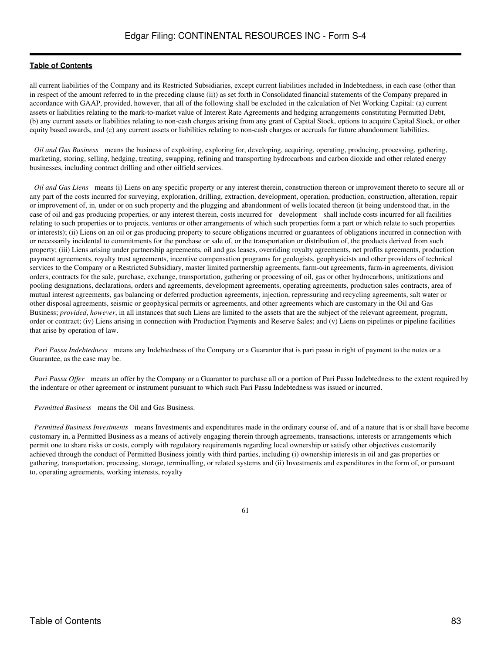all current liabilities of the Company and its Restricted Subsidiaries, except current liabilities included in Indebtedness, in each case (other than in respect of the amount referred to in the preceding clause (ii)) as set forth in Consolidated financial statements of the Company prepared in accordance with GAAP, provided, however, that all of the following shall be excluded in the calculation of Net Working Capital: (a) current assets or liabilities relating to the mark-to-market value of Interest Rate Agreements and hedging arrangements constituting Permitted Debt, (b) any current assets or liabilities relating to non-cash charges arising from any grant of Capital Stock, options to acquire Capital Stock, or other equity based awards, and (c) any current assets or liabilities relating to non-cash charges or accruals for future abandonment liabilities.

*Oil and Gas Business* means the business of exploiting, exploring for, developing, acquiring, operating, producing, processing, gathering, marketing, storing, selling, hedging, treating, swapping, refining and transporting hydrocarbons and carbon dioxide and other related energy businesses, including contract drilling and other oilfield services.

*Oil and Gas Liens* means (i) Liens on any specific property or any interest therein, construction thereon or improvement thereto to secure all or any part of the costs incurred for surveying, exploration, drilling, extraction, development, operation, production, construction, alteration, repair or improvement of, in, under or on such property and the plugging and abandonment of wells located thereon (it being understood that, in the case of oil and gas producing properties, or any interest therein, costs incurred for development shall include costs incurred for all facilities relating to such properties or to projects, ventures or other arrangements of which such properties form a part or which relate to such properties or interests); (ii) Liens on an oil or gas producing property to secure obligations incurred or guarantees of obligations incurred in connection with or necessarily incidental to commitments for the purchase or sale of, or the transportation or distribution of, the products derived from such property; (iii) Liens arising under partnership agreements, oil and gas leases, overriding royalty agreements, net profits agreements, production payment agreements, royalty trust agreements, incentive compensation programs for geologists, geophysicists and other providers of technical services to the Company or a Restricted Subsidiary, master limited partnership agreements, farm-out agreements, farm-in agreements, division orders, contracts for the sale, purchase, exchange, transportation, gathering or processing of oil, gas or other hydrocarbons, unitizations and pooling designations, declarations, orders and agreements, development agreements, operating agreements, production sales contracts, area of mutual interest agreements, gas balancing or deferred production agreements, injection, repressuring and recycling agreements, salt water or other disposal agreements, seismic or geophysical permits or agreements, and other agreements which are customary in the Oil and Gas Business; *provided*, *however*, in all instances that such Liens are limited to the assets that are the subject of the relevant agreement, program, order or contract; (iv) Liens arising in connection with Production Payments and Reserve Sales; and (v) Liens on pipelines or pipeline facilities that arise by operation of law.

*Pari Passu Indebtedness* means any Indebtedness of the Company or a Guarantor that is pari passu in right of payment to the notes or a Guarantee, as the case may be.

*Pari Passu Offer* means an offer by the Company or a Guarantor to purchase all or a portion of Pari Passu Indebtedness to the extent required by the indenture or other agreement or instrument pursuant to which such Pari Passu Indebtedness was issued or incurred.

*Permitted Business* means the Oil and Gas Business.

*Permitted Business Investments* means Investments and expenditures made in the ordinary course of, and of a nature that is or shall have become customary in, a Permitted Business as a means of actively engaging therein through agreements, transactions, interests or arrangements which permit one to share risks or costs, comply with regulatory requirements regarding local ownership or satisfy other objectives customarily achieved through the conduct of Permitted Business jointly with third parties, including (i) ownership interests in oil and gas properties or gathering, transportation, processing, storage, terminalling, or related systems and (ii) Investments and expenditures in the form of, or pursuant to, operating agreements, working interests, royalty

<sup>61</sup>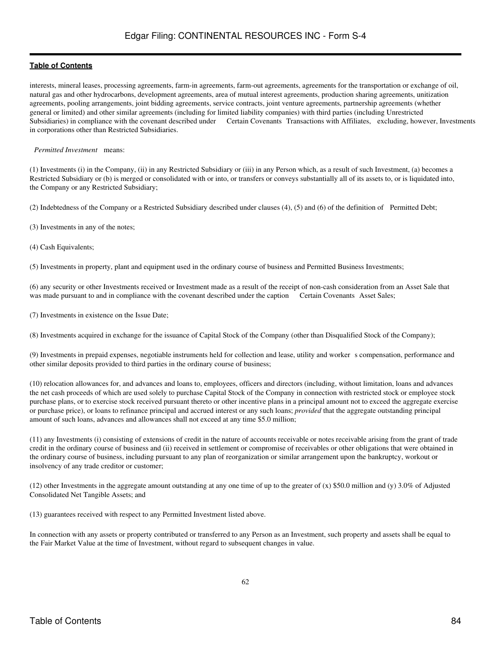interests, mineral leases, processing agreements, farm-in agreements, farm-out agreements, agreements for the transportation or exchange of oil, natural gas and other hydrocarbons, development agreements, area of mutual interest agreements, production sharing agreements, unitization agreements, pooling arrangements, joint bidding agreements, service contracts, joint venture agreements, partnership agreements (whether general or limited) and other similar agreements (including for limited liability companies) with third parties (including Unrestricted Subsidiaries) in compliance with the covenant described under Certain Covenants Transactions with Affiliates, excluding, however, Investments in corporations other than Restricted Subsidiaries.

*Permitted Investment* means:

(1) Investments (i) in the Company, (ii) in any Restricted Subsidiary or (iii) in any Person which, as a result of such Investment, (a) becomes a Restricted Subsidiary or (b) is merged or consolidated with or into, or transfers or conveys substantially all of its assets to, or is liquidated into, the Company or any Restricted Subsidiary;

(2) Indebtedness of the Company or a Restricted Subsidiary described under clauses (4), (5) and (6) of the definition of Permitted Debt;

(3) Investments in any of the notes;

(4) Cash Equivalents;

(5) Investments in property, plant and equipment used in the ordinary course of business and Permitted Business Investments;

(6) any security or other Investments received or Investment made as a result of the receipt of non-cash consideration from an Asset Sale that was made pursuant to and in compliance with the covenant described under the caption Certain Covenants Asset Sales;

(7) Investments in existence on the Issue Date;

(8) Investments acquired in exchange for the issuance of Capital Stock of the Company (other than Disqualified Stock of the Company);

(9) Investments in prepaid expenses, negotiable instruments held for collection and lease, utility and worker s compensation, performance and other similar deposits provided to third parties in the ordinary course of business;

(10) relocation allowances for, and advances and loans to, employees, officers and directors (including, without limitation, loans and advances the net cash proceeds of which are used solely to purchase Capital Stock of the Company in connection with restricted stock or employee stock purchase plans, or to exercise stock received pursuant thereto or other incentive plans in a principal amount not to exceed the aggregate exercise or purchase price), or loans to refinance principal and accrued interest or any such loans; *provided* that the aggregate outstanding principal amount of such loans, advances and allowances shall not exceed at any time \$5.0 million;

(11) any Investments (i) consisting of extensions of credit in the nature of accounts receivable or notes receivable arising from the grant of trade credit in the ordinary course of business and (ii) received in settlement or compromise of receivables or other obligations that were obtained in the ordinary course of business, including pursuant to any plan of reorganization or similar arrangement upon the bankruptcy, workout or insolvency of any trade creditor or customer;

(12) other Investments in the aggregate amount outstanding at any one time of up to the greater of (x) \$50.0 million and (y) 3.0% of Adjusted Consolidated Net Tangible Assets; and

(13) guarantees received with respect to any Permitted Investment listed above.

In connection with any assets or property contributed or transferred to any Person as an Investment, such property and assets shall be equal to the Fair Market Value at the time of Investment, without regard to subsequent changes in value.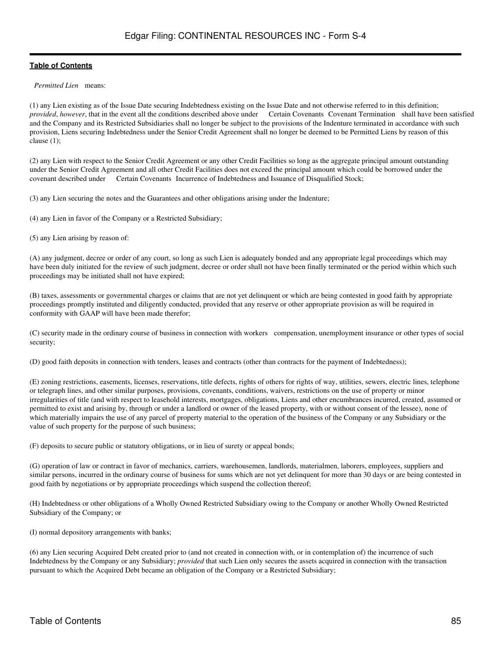#### *Permitted Lien* means:

(1) any Lien existing as of the Issue Date securing Indebtedness existing on the Issue Date and not otherwise referred to in this definition; *provided, however,* that in the event all the conditions described above under Certain Covenants Covenant Termination shall have been satisfied and the Company and its Restricted Subsidiaries shall no longer be subject to the provisions of the Indenture terminated in accordance with such provision, Liens securing Indebtedness under the Senior Credit Agreement shall no longer be deemed to be Permitted Liens by reason of this clause (1);

(2) any Lien with respect to the Senior Credit Agreement or any other Credit Facilities so long as the aggregate principal amount outstanding under the Senior Credit Agreement and all other Credit Facilities does not exceed the principal amount which could be borrowed under the covenant described under Certain Covenants Incurrence of Indebtedness and Issuance of Disqualified Stock;

(3) any Lien securing the notes and the Guarantees and other obligations arising under the Indenture;

(4) any Lien in favor of the Company or a Restricted Subsidiary;

(5) any Lien arising by reason of:

(A) any judgment, decree or order of any court, so long as such Lien is adequately bonded and any appropriate legal proceedings which may have been duly initiated for the review of such judgment, decree or order shall not have been finally terminated or the period within which such proceedings may be initiated shall not have expired;

(B) taxes, assessments or governmental charges or claims that are not yet delinquent or which are being contested in good faith by appropriate proceedings promptly instituted and diligently conducted, provided that any reserve or other appropriate provision as will be required in conformity with GAAP will have been made therefor;

(C) security made in the ordinary course of business in connection with workers compensation, unemployment insurance or other types of social security;

(D) good faith deposits in connection with tenders, leases and contracts (other than contracts for the payment of Indebtedness);

(E) zoning restrictions, easements, licenses, reservations, title defects, rights of others for rights of way, utilities, sewers, electric lines, telephone or telegraph lines, and other similar purposes, provisions, covenants, conditions, waivers, restrictions on the use of property or minor irregularities of title (and with respect to leasehold interests, mortgages, obligations, Liens and other encumbrances incurred, created, assumed or permitted to exist and arising by, through or under a landlord or owner of the leased property, with or without consent of the lessee), none of which materially impairs the use of any parcel of property material to the operation of the business of the Company or any Subsidiary or the value of such property for the purpose of such business;

(F) deposits to secure public or statutory obligations, or in lieu of surety or appeal bonds;

(G) operation of law or contract in favor of mechanics, carriers, warehousemen, landlords, materialmen, laborers, employees, suppliers and similar persons, incurred in the ordinary course of business for sums which are not yet delinquent for more than 30 days or are being contested in good faith by negotiations or by appropriate proceedings which suspend the collection thereof;

(H) Indebtedness or other obligations of a Wholly Owned Restricted Subsidiary owing to the Company or another Wholly Owned Restricted Subsidiary of the Company; or

(I) normal depository arrangements with banks;

(6) any Lien securing Acquired Debt created prior to (and not created in connection with, or in contemplation of) the incurrence of such Indebtedness by the Company or any Subsidiary; *provided* that such Lien only secures the assets acquired in connection with the transaction pursuant to which the Acquired Debt became an obligation of the Company or a Restricted Subsidiary;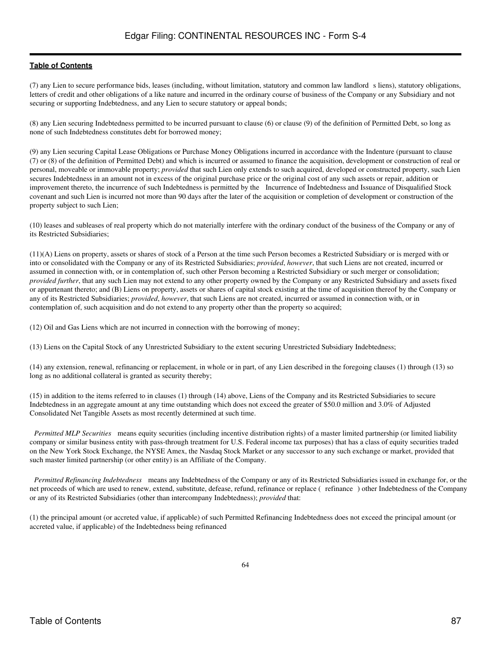(7) any Lien to secure performance bids, leases (including, without limitation, statutory and common law landlords liens), statutory obligations, letters of credit and other obligations of a like nature and incurred in the ordinary course of business of the Company or any Subsidiary and not securing or supporting Indebtedness, and any Lien to secure statutory or appeal bonds;

(8) any Lien securing Indebtedness permitted to be incurred pursuant to clause (6) or clause (9) of the definition of Permitted Debt, so long as none of such Indebtedness constitutes debt for borrowed money;

(9) any Lien securing Capital Lease Obligations or Purchase Money Obligations incurred in accordance with the Indenture (pursuant to clause (7) or (8) of the definition of Permitted Debt) and which is incurred or assumed to finance the acquisition, development or construction of real or personal, moveable or immovable property; *provided* that such Lien only extends to such acquired, developed or constructed property, such Lien secures Indebtedness in an amount not in excess of the original purchase price or the original cost of any such assets or repair, addition or improvement thereto, the incurrence of such Indebtedness is permitted by the Incurrence of Indebtedness and Issuance of Disqualified Stock covenant and such Lien is incurred not more than 90 days after the later of the acquisition or completion of development or construction of the property subject to such Lien;

(10) leases and subleases of real property which do not materially interfere with the ordinary conduct of the business of the Company or any of its Restricted Subsidiaries;

(11)(A) Liens on property, assets or shares of stock of a Person at the time such Person becomes a Restricted Subsidiary or is merged with or into or consolidated with the Company or any of its Restricted Subsidiaries; *provided*, *however*, that such Liens are not created, incurred or assumed in connection with, or in contemplation of, such other Person becoming a Restricted Subsidiary or such merger or consolidation; *provided further*, that any such Lien may not extend to any other property owned by the Company or any Restricted Subsidiary and assets fixed or appurtenant thereto; and (B) Liens on property, assets or shares of capital stock existing at the time of acquisition thereof by the Company or any of its Restricted Subsidiaries; *provided*, *however*, that such Liens are not created, incurred or assumed in connection with, or in contemplation of, such acquisition and do not extend to any property other than the property so acquired;

(12) Oil and Gas Liens which are not incurred in connection with the borrowing of money;

(13) Liens on the Capital Stock of any Unrestricted Subsidiary to the extent securing Unrestricted Subsidiary Indebtedness;

(14) any extension, renewal, refinancing or replacement, in whole or in part, of any Lien described in the foregoing clauses (1) through (13) so long as no additional collateral is granted as security thereby;

(15) in addition to the items referred to in clauses (1) through (14) above, Liens of the Company and its Restricted Subsidiaries to secure Indebtedness in an aggregate amount at any time outstanding which does not exceed the greater of \$50.0 million and 3.0% of Adjusted Consolidated Net Tangible Assets as most recently determined at such time.

*Permitted MLP Securities* means equity securities (including incentive distribution rights) of a master limited partnership (or limited liability company or similar business entity with pass-through treatment for U.S. Federal income tax purposes) that has a class of equity securities traded on the New York Stock Exchange, the NYSE Amex, the Nasdaq Stock Market or any successor to any such exchange or market, provided that such master limited partnership (or other entity) is an Affiliate of the Company.

*Permitted Refinancing Indebtedness* means any Indebtedness of the Company or any of its Restricted Subsidiaries issued in exchange for, or the net proceeds of which are used to renew, extend, substitute, defease, refund, refinance or replace (refinance) other Indebtedness of the Company or any of its Restricted Subsidiaries (other than intercompany Indebtedness); *provided* that:

(1) the principal amount (or accreted value, if applicable) of such Permitted Refinancing Indebtedness does not exceed the principal amount (or accreted value, if applicable) of the Indebtedness being refinanced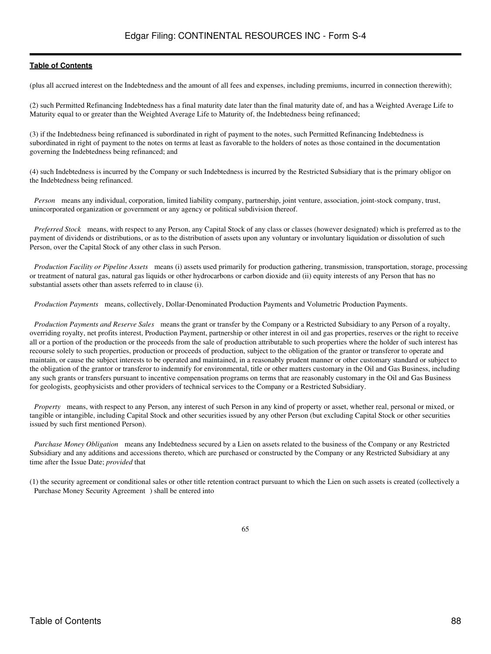(plus all accrued interest on the Indebtedness and the amount of all fees and expenses, including premiums, incurred in connection therewith);

(2) such Permitted Refinancing Indebtedness has a final maturity date later than the final maturity date of, and has a Weighted Average Life to Maturity equal to or greater than the Weighted Average Life to Maturity of, the Indebtedness being refinanced;

(3) if the Indebtedness being refinanced is subordinated in right of payment to the notes, such Permitted Refinancing Indebtedness is subordinated in right of payment to the notes on terms at least as favorable to the holders of notes as those contained in the documentation governing the Indebtedness being refinanced; and

(4) such Indebtedness is incurred by the Company or such Indebtedness is incurred by the Restricted Subsidiary that is the primary obligor on the Indebtedness being refinanced.

*Person* means any individual, corporation, limited liability company, partnership, joint venture, association, joint-stock company, trust, unincorporated organization or government or any agency or political subdivision thereof.

*Preferred Stock* means, with respect to any Person, any Capital Stock of any class or classes (however designated) which is preferred as to the payment of dividends or distributions, or as to the distribution of assets upon any voluntary or involuntary liquidation or dissolution of such Person, over the Capital Stock of any other class in such Person.

*Production Facility or Pipeline Assets* means (i) assets used primarily for production gathering, transmission, transportation, storage, processing or treatment of natural gas, natural gas liquids or other hydrocarbons or carbon dioxide and (ii) equity interests of any Person that has no substantial assets other than assets referred to in clause (i).

*Production Payments* means, collectively, Dollar-Denominated Production Payments and Volumetric Production Payments.

*Production Payments and Reserve Sales* means the grant or transfer by the Company or a Restricted Subsidiary to any Person of a royalty, overriding royalty, net profits interest, Production Payment, partnership or other interest in oil and gas properties, reserves or the right to receive all or a portion of the production or the proceeds from the sale of production attributable to such properties where the holder of such interest has recourse solely to such properties, production or proceeds of production, subject to the obligation of the grantor or transferor to operate and maintain, or cause the subject interests to be operated and maintained, in a reasonably prudent manner or other customary standard or subject to the obligation of the grantor or transferor to indemnify for environmental, title or other matters customary in the Oil and Gas Business, including any such grants or transfers pursuant to incentive compensation programs on terms that are reasonably customary in the Oil and Gas Business for geologists, geophysicists and other providers of technical services to the Company or a Restricted Subsidiary.

*Property* means, with respect to any Person, any interest of such Person in any kind of property or asset, whether real, personal or mixed, or tangible or intangible, including Capital Stock and other securities issued by any other Person (but excluding Capital Stock or other securities issued by such first mentioned Person).

*Purchase Money Obligation* means any Indebtedness secured by a Lien on assets related to the business of the Company or any Restricted Subsidiary and any additions and accessions thereto, which are purchased or constructed by the Company or any Restricted Subsidiary at any time after the Issue Date; *provided* that

(1) the security agreement or conditional sales or other title retention contract pursuant to which the Lien on such assets is created (collectively a Purchase Money Security Agreement ) shall be entered into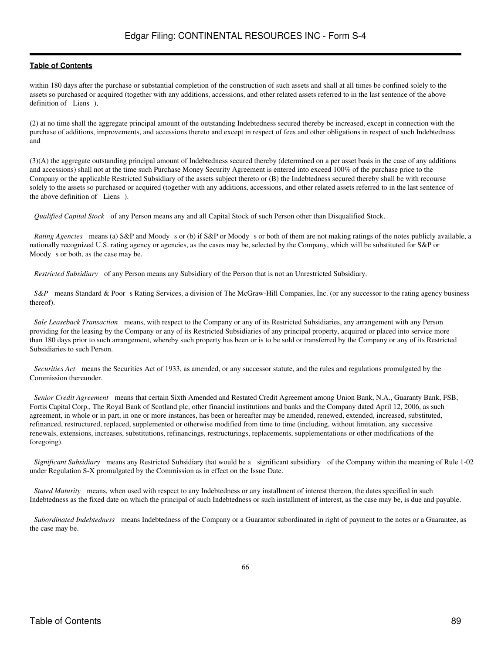within 180 days after the purchase or substantial completion of the construction of such assets and shall at all times be confined solely to the assets so purchased or acquired (together with any additions, accessions, and other related assets referred to in the last sentence of the above definition of Liens ),

(2) at no time shall the aggregate principal amount of the outstanding Indebtedness secured thereby be increased, except in connection with the purchase of additions, improvements, and accessions thereto and except in respect of fees and other obligations in respect of such Indebtedness and

(3)(A) the aggregate outstanding principal amount of Indebtedness secured thereby (determined on a per asset basis in the case of any additions and accessions) shall not at the time such Purchase Money Security Agreement is entered into exceed 100% of the purchase price to the Company or the applicable Restricted Subsidiary of the assets subject thereto or (B) the Indebtedness secured thereby shall be with recourse solely to the assets so purchased or acquired (together with any additions, accessions, and other related assets referred to in the last sentence of the above definition of Liens).

*Qualified Capital Stock* of any Person means any and all Capital Stock of such Person other than Disqualified Stock.

*Rating Agencies* means (a) S&P and Moody s or (b) if S&P or Moody s or both of them are not making ratings of the notes publicly available, a nationally recognized U.S. rating agency or agencies, as the cases may be, selected by the Company, which will be substituted for S&P or Moody s or both, as the case may be.

*Restricted Subsidiary* of any Person means any Subsidiary of the Person that is not an Unrestricted Subsidiary.

*S&P* means Standard & Poor s Rating Services, a division of The McGraw-Hill Companies, Inc. (or any successor to the rating agency business thereof).

*Sale Leaseback Transaction* means, with respect to the Company or any of its Restricted Subsidiaries, any arrangement with any Person providing for the leasing by the Company or any of its Restricted Subsidiaries of any principal property, acquired or placed into service more than 180 days prior to such arrangement, whereby such property has been or is to be sold or transferred by the Company or any of its Restricted Subsidiaries to such Person.

*Securities Act* means the Securities Act of 1933, as amended, or any successor statute, and the rules and regulations promulgated by the Commission thereunder.

*Senior Credit Agreement* means that certain Sixth Amended and Restated Credit Agreement among Union Bank, N.A., Guaranty Bank, FSB, Fortis Capital Corp., The Royal Bank of Scotland plc, other financial institutions and banks and the Company dated April 12, 2006, as such agreement, in whole or in part, in one or more instances, has been or hereafter may be amended, renewed, extended, increased, substituted, refinanced, restructured, replaced, supplemented or otherwise modified from time to time (including, without limitation, any successive renewals, extensions, increases, substitutions, refinancings, restructurings, replacements, supplementations or other modifications of the foregoing).

*Significant Subsidiary* means any Restricted Subsidiary that would be a significant subsidiary of the Company within the meaning of Rule 1-02 under Regulation S-X promulgated by the Commission as in effect on the Issue Date.

*Stated Maturity* means, when used with respect to any Indebtedness or any installment of interest thereon, the dates specified in such Indebtedness as the fixed date on which the principal of such Indebtedness or such installment of interest, as the case may be, is due and payable.

*Subordinated Indebtedness* means Indebtedness of the Company or a Guarantor subordinated in right of payment to the notes or a Guarantee, as the case may be.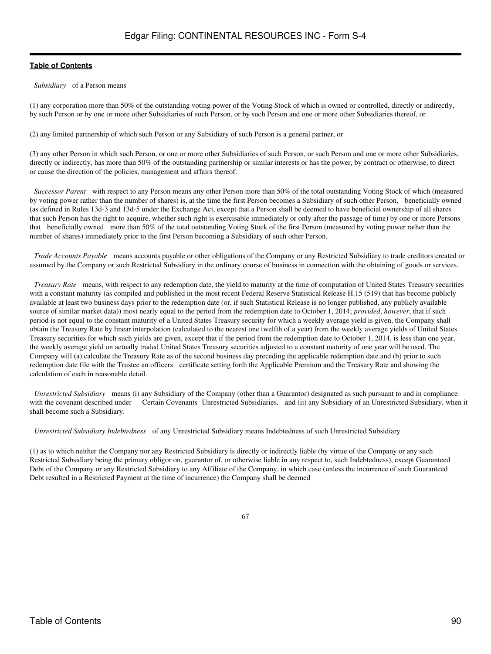#### *Subsidiary* of a Person means

(1) any corporation more than 50% of the outstanding voting power of the Voting Stock of which is owned or controlled, directly or indirectly, by such Person or by one or more other Subsidiaries of such Person, or by such Person and one or more other Subsidiaries thereof, or

(2) any limited partnership of which such Person or any Subsidiary of such Person is a general partner, or

(3) any other Person in which such Person, or one or more other Subsidiaries of such Person, or such Person and one or more other Subsidiaries, directly or indirectly, has more than 50% of the outstanding partnership or similar interests or has the power, by contract or otherwise, to direct or cause the direction of the policies, management and affairs thereof.

*Successor Parent* with respect to any Person means any other Person more than 50% of the total outstanding Voting Stock of which (measured by voting power rather than the number of shares) is, at the time the first Person becomes a Subsidiary of such other Person, beneficially owned (as defined in Rules 13d-3 and 13d-5 under the Exchange Act, except that a Person shall be deemed to have beneficial ownership of all shares that such Person has the right to acquire, whether such right is exercisable immediately or only after the passage of time) by one or more Persons that beneficially owned more than 50% of the total outstanding Voting Stock of the first Person (measured by voting power rather than the number of shares) immediately prior to the first Person becoming a Subsidiary of such other Person.

*Trade Accounts Payable* means accounts payable or other obligations of the Company or any Restricted Subsidiary to trade creditors created or assumed by the Company or such Restricted Subsidiary in the ordinary course of business in connection with the obtaining of goods or services.

*Treasury Rate* means, with respect to any redemption date, the yield to maturity at the time of computation of United States Treasury securities with a constant maturity (as compiled and published in the most recent Federal Reserve Statistical Release H.15 (519) that has become publicly available at least two business days prior to the redemption date (or, if such Statistical Release is no longer published, any publicly available source of similar market data)) most nearly equal to the period from the redemption date to October 1, 2014; *provided*, *however*, that if such period is not equal to the constant maturity of a United States Treasury security for which a weekly average yield is given, the Company shall obtain the Treasury Rate by linear interpolation (calculated to the nearest one twelfth of a year) from the weekly average yields of United States Treasury securities for which such yields are given, except that if the period from the redemption date to October 1, 2014, is less than one year, the weekly average yield on actually traded United States Treasury securities adjusted to a constant maturity of one year will be used. The Company will (a) calculate the Treasury Rate as of the second business day preceding the applicable redemption date and (b) prior to such redemption date file with the Trustee an officers certificate setting forth the Applicable Premium and the Treasury Rate and showing the calculation of each in reasonable detail.

*Unrestricted Subsidiary* means (i) any Subsidiary of the Company (other than a Guarantor) designated as such pursuant to and in compliance with the covenant described under Certain Covenants Unrestricted Subsidiaries, and (ii) any Subsidiary of an Unrestricted Subsidiary, when it shall become such a Subsidiary.

*Unrestricted Subsidiary Indebtedness* of any Unrestricted Subsidiary means Indebtedness of such Unrestricted Subsidiary

(1) as to which neither the Company nor any Restricted Subsidiary is directly or indirectly liable (by virtue of the Company or any such Restricted Subsidiary being the primary obligor on, guarantor of, or otherwise liable in any respect to, such Indebtedness), except Guaranteed Debt of the Company or any Restricted Subsidiary to any Affiliate of the Company, in which case (unless the incurrence of such Guaranteed Debt resulted in a Restricted Payment at the time of incurrence) the Company shall be deemed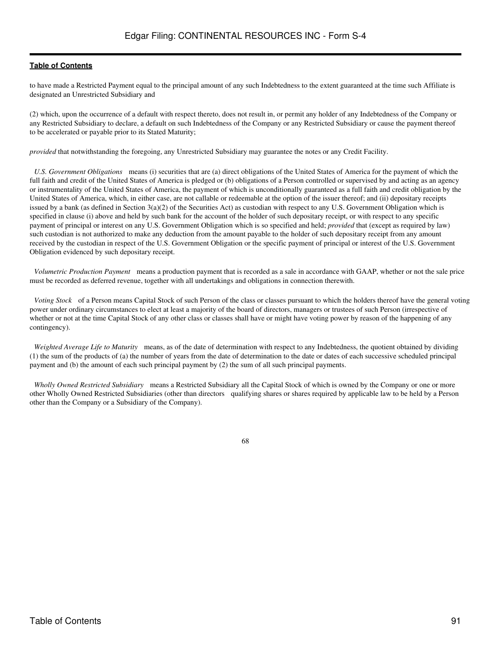to have made a Restricted Payment equal to the principal amount of any such Indebtedness to the extent guaranteed at the time such Affiliate is designated an Unrestricted Subsidiary and

(2) which, upon the occurrence of a default with respect thereto, does not result in, or permit any holder of any Indebtedness of the Company or any Restricted Subsidiary to declare, a default on such Indebtedness of the Company or any Restricted Subsidiary or cause the payment thereof to be accelerated or payable prior to its Stated Maturity;

*provided* that notwithstanding the foregoing, any Unrestricted Subsidiary may guarantee the notes or any Credit Facility.

*U.S. Government Obligations* means (i) securities that are (a) direct obligations of the United States of America for the payment of which the full faith and credit of the United States of America is pledged or (b) obligations of a Person controlled or supervised by and acting as an agency or instrumentality of the United States of America, the payment of which is unconditionally guaranteed as a full faith and credit obligation by the United States of America, which, in either case, are not callable or redeemable at the option of the issuer thereof; and (ii) depositary receipts issued by a bank (as defined in Section  $3(a)(2)$  of the Securities Act) as custodian with respect to any U.S. Government Obligation which is specified in clause (i) above and held by such bank for the account of the holder of such depositary receipt, or with respect to any specific payment of principal or interest on any U.S. Government Obligation which is so specified and held; *provided* that (except as required by law) such custodian is not authorized to make any deduction from the amount payable to the holder of such depositary receipt from any amount received by the custodian in respect of the U.S. Government Obligation or the specific payment of principal or interest of the U.S. Government Obligation evidenced by such depositary receipt.

*Volumetric Production Payment* means a production payment that is recorded as a sale in accordance with GAAP, whether or not the sale price must be recorded as deferred revenue, together with all undertakings and obligations in connection therewith.

*Voting Stock* of a Person means Capital Stock of such Person of the class or classes pursuant to which the holders thereof have the general voting power under ordinary circumstances to elect at least a majority of the board of directors, managers or trustees of such Person (irrespective of whether or not at the time Capital Stock of any other class or classes shall have or might have voting power by reason of the happening of any contingency).

*Weighted Average Life to Maturity* means, as of the date of determination with respect to any Indebtedness, the quotient obtained by dividing (1) the sum of the products of (a) the number of years from the date of determination to the date or dates of each successive scheduled principal payment and (b) the amount of each such principal payment by (2) the sum of all such principal payments.

*Wholly Owned Restricted Subsidiary* means a Restricted Subsidiary all the Capital Stock of which is owned by the Company or one or more other Wholly Owned Restricted Subsidiaries (other than directors qualifying shares or shares required by applicable law to be held by a Person other than the Company or a Subsidiary of the Company).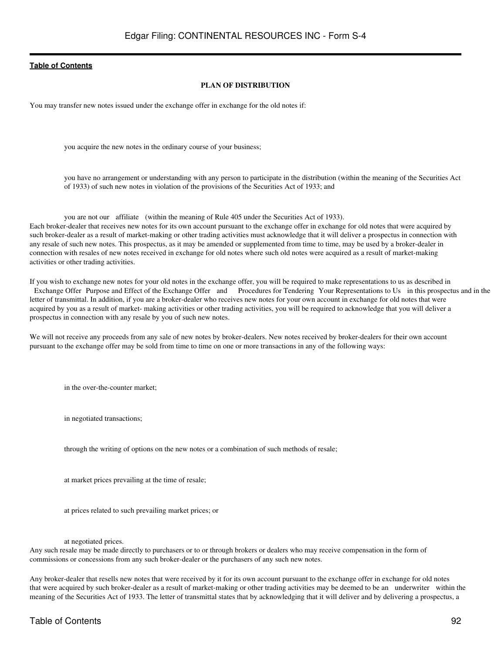### **PLAN OF DISTRIBUTION**

You may transfer new notes issued under the exchange offer in exchange for the old notes if:

you acquire the new notes in the ordinary course of your business;

you have no arrangement or understanding with any person to participate in the distribution (within the meaning of the Securities Act of 1933) of such new notes in violation of the provisions of the Securities Act of 1933; and

you are not our affiliate (within the meaning of Rule 405 under the Securities Act of 1933). Each broker-dealer that receives new notes for its own account pursuant to the exchange offer in exchange for old notes that were acquired by such broker-dealer as a result of market-making or other trading activities must acknowledge that it will deliver a prospectus in connection with any resale of such new notes. This prospectus, as it may be amended or supplemented from time to time, may be used by a broker-dealer in connection with resales of new notes received in exchange for old notes where such old notes were acquired as a result of market-making activities or other trading activities.

If you wish to exchange new notes for your old notes in the exchange offer, you will be required to make representations to us as described in Exchange Offer Purpose and Effect of the Exchange Offer and Procedures for TenderingYour Representations to Us in this prospectus and in the letter of transmittal. In addition, if you are a broker-dealer who receives new notes for your own account in exchange for old notes that were acquired by you as a result of market- making activities or other trading activities, you will be required to acknowledge that you will deliver a prospectus in connection with any resale by you of such new notes.

We will not receive any proceeds from any sale of new notes by broker-dealers. New notes received by broker-dealers for their own account pursuant to the exchange offer may be sold from time to time on one or more transactions in any of the following ways:

in the over-the-counter market;

in negotiated transactions;

through the writing of options on the new notes or a combination of such methods of resale;

at market prices prevailing at the time of resale;

at prices related to such prevailing market prices; or

at negotiated prices.

Any such resale may be made directly to purchasers or to or through brokers or dealers who may receive compensation in the form of commissions or concessions from any such broker-dealer or the purchasers of any such new notes.

Any broker-dealer that resells new notes that were received by it for its own account pursuant to the exchange offer in exchange for old notes that were acquired by such broker-dealer as a result of market-making or other trading activities may be deemed to be an underwriter within the meaning of the Securities Act of 1933. The letter of transmittal states that by acknowledging that it will deliver and by delivering a prospectus, a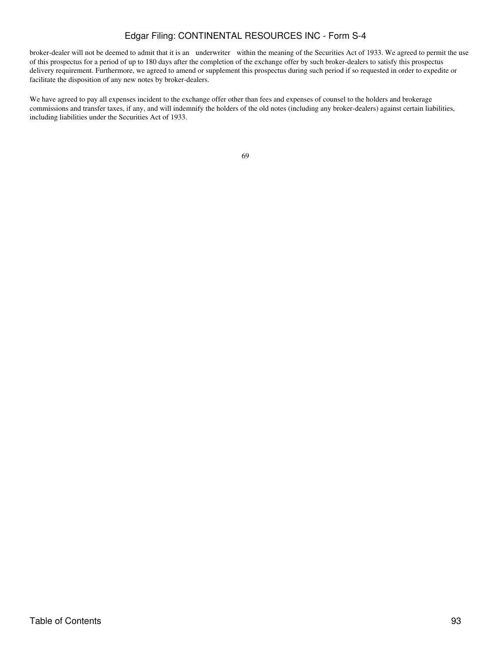# Edgar Filing: CONTINENTAL RESOURCES INC - Form S-4

broker-dealer will not be deemed to admit that it is an underwriter within the meaning of the Securities Act of 1933. We agreed to permit the use of this prospectus for a period of up to 180 days after the completion of the exchange offer by such broker-dealers to satisfy this prospectus delivery requirement. Furthermore, we agreed to amend or supplement this prospectus during such period if so requested in order to expedite or facilitate the disposition of any new notes by broker-dealers.

We have agreed to pay all expenses incident to the exchange offer other than fees and expenses of counsel to the holders and brokerage commissions and transfer taxes, if any, and will indemnify the holders of the old notes (including any broker-dealers) against certain liabilities, including liabilities under the Securities Act of 1933.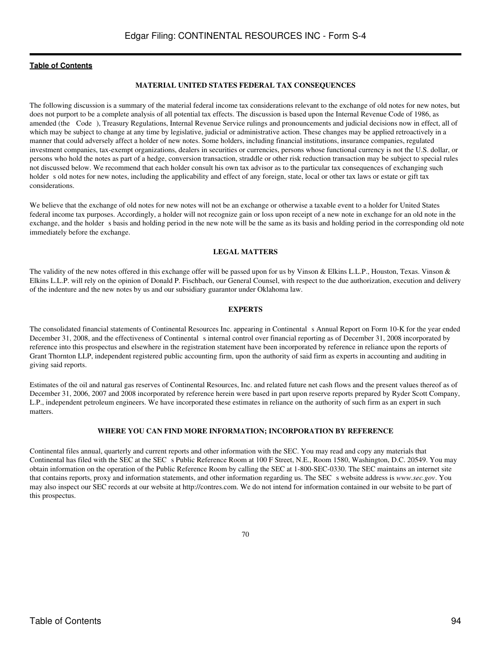#### **MATERIAL UNITED STATES FEDERAL TAX CONSEQUENCES**

The following discussion is a summary of the material federal income tax considerations relevant to the exchange of old notes for new notes, but does not purport to be a complete analysis of all potential tax effects. The discussion is based upon the Internal Revenue Code of 1986, as amended (the Code), Treasury Regulations, Internal Revenue Service rulings and pronouncements and judicial decisions now in effect, all of which may be subject to change at any time by legislative, judicial or administrative action. These changes may be applied retroactively in a manner that could adversely affect a holder of new notes. Some holders, including financial institutions, insurance companies, regulated investment companies, tax-exempt organizations, dealers in securities or currencies, persons whose functional currency is not the U.S. dollar, or persons who hold the notes as part of a hedge, conversion transaction, straddle or other risk reduction transaction may be subject to special rules not discussed below. We recommend that each holder consult his own tax advisor as to the particular tax consequences of exchanging such holder s old notes for new notes, including the applicability and effect of any foreign, state, local or other tax laws or estate or gift tax considerations.

We believe that the exchange of old notes for new notes will not be an exchange or otherwise a taxable event to a holder for United States federal income tax purposes. Accordingly, a holder will not recognize gain or loss upon receipt of a new note in exchange for an old note in the exchange, and the holder s basis and holding period in the new note will be the same as its basis and holding period in the corresponding old note immediately before the exchange.

#### **LEGAL MATTERS**

The validity of the new notes offered in this exchange offer will be passed upon for us by Vinson & Elkins L.L.P., Houston, Texas. Vinson & Elkins L.L.P. will rely on the opinion of Donald P. Fischbach, our General Counsel, with respect to the due authorization, execution and delivery of the indenture and the new notes by us and our subsidiary guarantor under Oklahoma law.

#### **EXPERTS**

The consolidated financial statements of Continental Resources Inc. appearing in Continentals Annual Report on Form 10-K for the year ended December 31, 2008, and the effectiveness of Continental sinternal control over financial reporting as of December 31, 2008 incorporated by reference into this prospectus and elsewhere in the registration statement have been incorporated by reference in reliance upon the reports of Grant Thornton LLP, independent registered public accounting firm, upon the authority of said firm as experts in accounting and auditing in giving said reports.

Estimates of the oil and natural gas reserves of Continental Resources, Inc. and related future net cash flows and the present values thereof as of December 31, 2006, 2007 and 2008 incorporated by reference herein were based in part upon reserve reports prepared by Ryder Scott Company, L.P., independent petroleum engineers. We have incorporated these estimates in reliance on the authority of such firm as an expert in such matters.

### **WHERE YOU CAN FIND MORE INFORMATION; INCORPORATION BY REFERENCE**

Continental files annual, quarterly and current reports and other information with the SEC. You may read and copy any materials that Continental has filed with the SEC at the SEC s Public Reference Room at 100 F Street, N.E., Room 1580, Washington, D.C. 20549. You may obtain information on the operation of the Public Reference Room by calling the SEC at 1-800-SEC-0330. The SEC maintains an internet site that contains reports, proxy and information statements, and other information regarding us. The SEC s website address is *www.sec.gov*. You may also inspect our SEC records at our website at http://contres.com. We do not intend for information contained in our website to be part of this prospectus.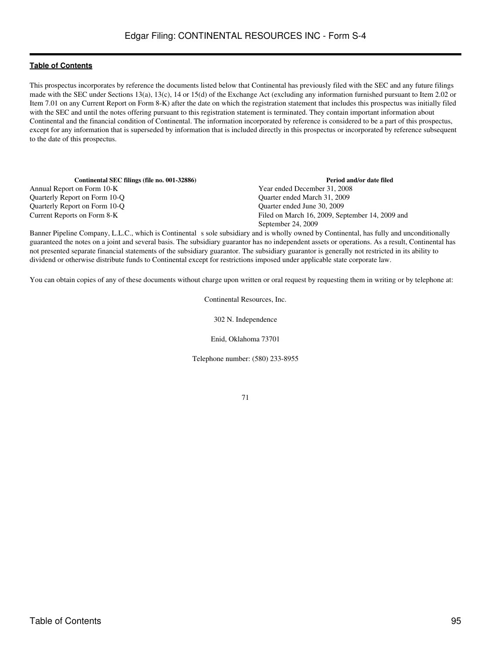This prospectus incorporates by reference the documents listed below that Continental has previously filed with the SEC and any future filings made with the SEC under Sections 13(a), 13(c), 14 or 15(d) of the Exchange Act (excluding any information furnished pursuant to Item 2.02 or Item 7.01 on any Current Report on Form 8-K) after the date on which the registration statement that includes this prospectus was initially filed with the SEC and until the notes offering pursuant to this registration statement is terminated. They contain important information about Continental and the financial condition of Continental. The information incorporated by reference is considered to be a part of this prospectus, except for any information that is superseded by information that is included directly in this prospectus or incorporated by reference subsequent to the date of this prospectus.

Annual Report on Form 10-K Year ended December 31, 2008 Quarterly Report on Form 10-Q Quarter ended March 31, 2009 Quarterly Report on Form 10-Q Quarter ended June 30, 2009 Current Reports on Form 8-K Filed on March 16, 2009, September 14, 2009 and

**Continental SEC filings (file no. 001-32886) Period and/or date filed** September 24, 2009

Banner Pipeline Company, L.L.C., which is Continental s sole subsidiary and is wholly owned by Continental, has fully and unconditionally guaranteed the notes on a joint and several basis. The subsidiary guarantor has no independent assets or operations. As a result, Continental has not presented separate financial statements of the subsidiary guarantor. The subsidiary guarantor is generally not restricted in its ability to dividend or otherwise distribute funds to Continental except for restrictions imposed under applicable state corporate law.

You can obtain copies of any of these documents without charge upon written or oral request by requesting them in writing or by telephone at:

Continental Resources, Inc.

302 N. Independence

Enid, Oklahoma 73701

Telephone number: (580) 233-8955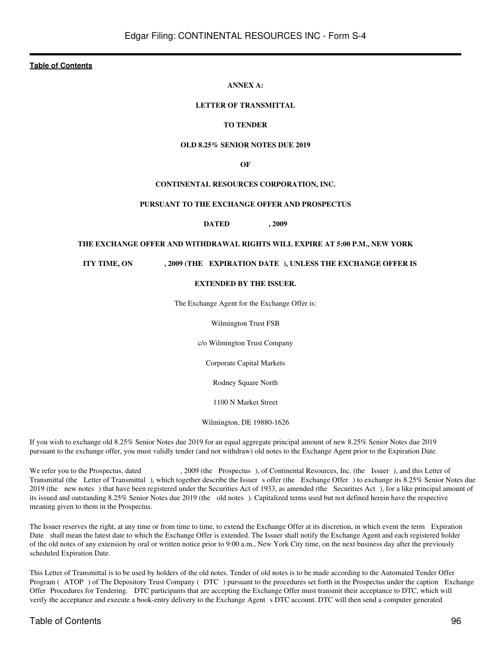## **ANNEX A:**

## **LETTER OF TRANSMITTAL**

## **TO TENDER**

### **OLD 8.25% SENIOR NOTES DUE 2019**

**OF**

### **CONTINENTAL RESOURCES CORPORATION, INC.**

### **PURSUANT TO THE EXCHANGE OFFER AND PROSPECTUS**

**DATED , 2009**

#### **THE EXCHANGE OFFER AND WITHDRAWAL RIGHTS WILL EXPIRE AT 5:00 P.M., NEW YORK**

### **ITY TIME, ON , 2009 (THE EXPIRATION DATE), UNLESS THE EXCHANGE OFFER IS**

#### **EXTENDED BY THE ISSUER.**

The Exchange Agent for the Exchange Offer is:

Wilmington Trust FSB

c/o Wilmington Trust Company

Corporate Capital Markets

Rodney Square North

1100 N Market Street

Wilmington, DE 19880-1626

If you wish to exchange old 8.25% Senior Notes due 2019 for an equal aggregate principal amount of new 8.25% Senior Notes due 2019 pursuant to the exchange offer, you must validly tender (and not withdraw) old notes to the Exchange Agent prior to the Expiration Date.

We refer you to the Prospectus, dated , 2009 (the Prospectus), of Continental Resources, Inc. (the Issuer), and this Letter of Transmittal (the Letter of Transmittal), which together describe the Issuer s offer (the Exchange Offer) to exchange its 8.25% Senior Notes due 2019 (the new notes) that have been registered under the Securities Act of 1933, as amended (the Securities Act), for a like principal amount of its issued and outstanding 8.25% Senior Notes due 2019 (the old notes). Capitalized terms used but not defined herein have the respective meaning given to them in the Prospectus.

The Issuer reserves the right, at any time or from time to time, to extend the Exchange Offer at its discretion, in which event the term Expiration Date shall mean the latest date to which the Exchange Offer is extended. The Issuer shall notify the Exchange Agent and each registered holder of the old notes of any extension by oral or written notice prior to 9:00 a.m., New York City time, on the next business day after the previously scheduled Expiration Date.

This Letter of Transmittal is to be used by holders of the old notes. Tender of old notes is to be made according to the Automated Tender Offer Program (ATOP) of The Depository Trust Company (DTC) pursuant to the procedures set forth in the Prospectus under the caption Exchange Offer Procedures for Tendering. DTC participants that are accepting the Exchange Offer must transmit their acceptance to DTC, which will verify the acceptance and execute a book-entry delivery to the Exchange Agent s DTC account. DTC will then send a computer generated

# Table of Contents 96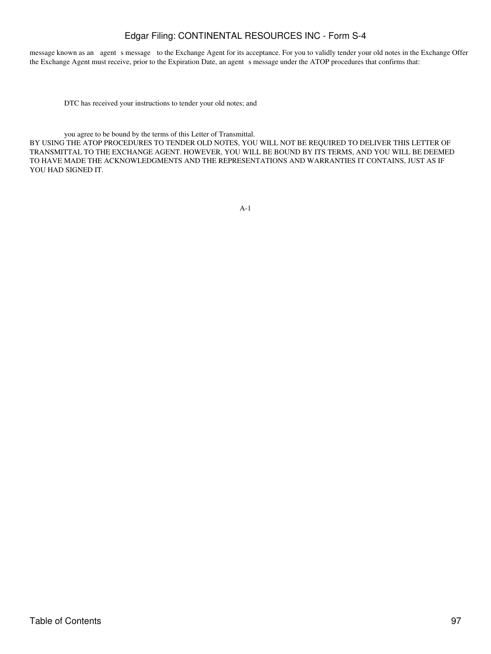# Edgar Filing: CONTINENTAL RESOURCES INC - Form S-4

message known as an agent s message to the Exchange Agent for its acceptance. For you to validly tender your old notes in the Exchange Offer the Exchange Agent must receive, prior to the Expiration Date, an agent s message under the ATOP procedures that confirms that:

DTC has received your instructions to tender your old notes; and

you agree to be bound by the terms of this Letter of Transmittal.

BY USING THE ATOP PROCEDURES TO TENDER OLD NOTES, YOU WILL NOT BE REQUIRED TO DELIVER THIS LETTER OF TRANSMITTAL TO THE EXCHANGE AGENT. HOWEVER, YOU WILL BE BOUND BY ITS TERMS, AND YOU WILL BE DEEMED TO HAVE MADE THE ACKNOWLEDGMENTS AND THE REPRESENTATIONS AND WARRANTIES IT CONTAINS, JUST AS IF YOU HAD SIGNED IT.

A-1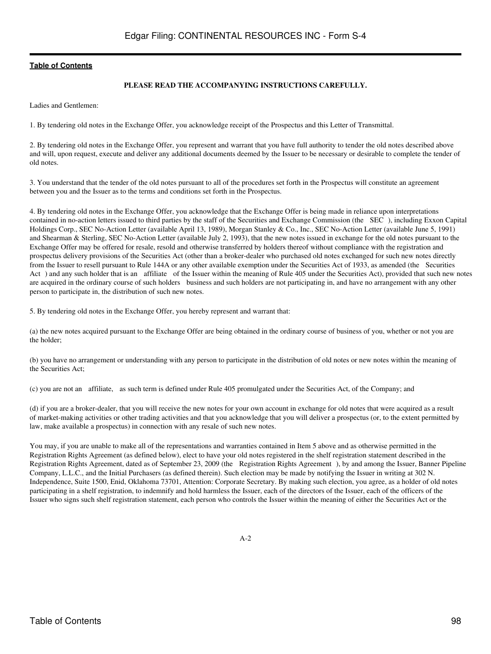## **PLEASE READ THE ACCOMPANYING INSTRUCTIONS CAREFULLY.**

Ladies and Gentlemen:

1. By tendering old notes in the Exchange Offer, you acknowledge receipt of the Prospectus and this Letter of Transmittal.

2. By tendering old notes in the Exchange Offer, you represent and warrant that you have full authority to tender the old notes described above and will, upon request, execute and deliver any additional documents deemed by the Issuer to be necessary or desirable to complete the tender of old notes.

3. You understand that the tender of the old notes pursuant to all of the procedures set forth in the Prospectus will constitute an agreement between you and the Issuer as to the terms and conditions set forth in the Prospectus.

4. By tendering old notes in the Exchange Offer, you acknowledge that the Exchange Offer is being made in reliance upon interpretations contained in no-action letters issued to third parties by the staff of the Securities and Exchange Commission (the SEC), including Exxon Capital Holdings Corp., SEC No-Action Letter (available April 13, 1989), Morgan Stanley & Co., Inc., SEC No-Action Letter (available June 5, 1991) and Shearman & Sterling, SEC No-Action Letter (available July 2, 1993), that the new notes issued in exchange for the old notes pursuant to the Exchange Offer may be offered for resale, resold and otherwise transferred by holders thereof without compliance with the registration and prospectus delivery provisions of the Securities Act (other than a broker-dealer who purchased old notes exchanged for such new notes directly from the Issuer to resell pursuant to Rule 144A or any other available exemption under the Securities Act of 1933, as amended (the Securities Act) and any such holder that is an affiliate of the Issuer within the meaning of Rule 405 under the Securities Act), provided that such new notes are acquired in the ordinary course of such holders business and such holders are not participating in, and have no arrangement with any other person to participate in, the distribution of such new notes.

5. By tendering old notes in the Exchange Offer, you hereby represent and warrant that:

(a) the new notes acquired pursuant to the Exchange Offer are being obtained in the ordinary course of business of you, whether or not you are the holder;

(b) you have no arrangement or understanding with any person to participate in the distribution of old notes or new notes within the meaning of the Securities Act;

(c) you are not an affiliate, as such term is defined under Rule 405 promulgated under the Securities Act, of the Company; and

(d) if you are a broker-dealer, that you will receive the new notes for your own account in exchange for old notes that were acquired as a result of market-making activities or other trading activities and that you acknowledge that you will deliver a prospectus (or, to the extent permitted by law, make available a prospectus) in connection with any resale of such new notes.

You may, if you are unable to make all of the representations and warranties contained in Item 5 above and as otherwise permitted in the Registration Rights Agreement (as defined below), elect to have your old notes registered in the shelf registration statement described in the Registration Rights Agreement, dated as of September 23, 2009 (the Registration Rights Agreement), by and among the Issuer, Banner Pipeline Company, L.L.C., and the Initial Purchasers (as defined therein). Such election may be made by notifying the Issuer in writing at 302 N. Independence, Suite 1500, Enid, Oklahoma 73701, Attention: Corporate Secretary. By making such election, you agree, as a holder of old notes participating in a shelf registration, to indemnify and hold harmless the Issuer, each of the directors of the Issuer, each of the officers of the Issuer who signs such shelf registration statement, each person who controls the Issuer within the meaning of either the Securities Act or the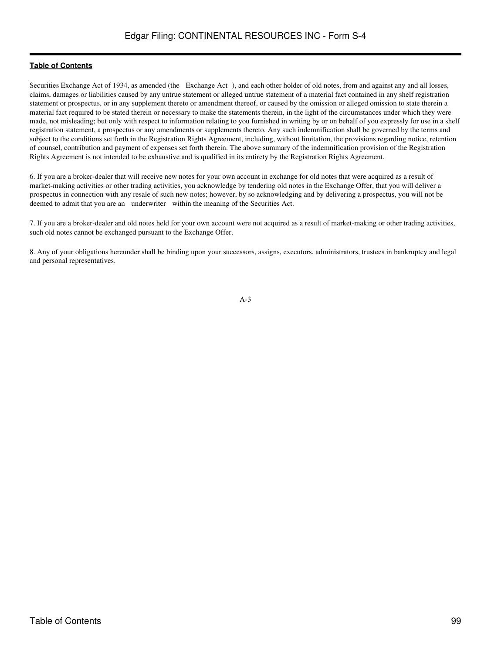Securities Exchange Act of 1934, as amended (the Exchange Act), and each other holder of old notes, from and against any and all losses, claims, damages or liabilities caused by any untrue statement or alleged untrue statement of a material fact contained in any shelf registration statement or prospectus, or in any supplement thereto or amendment thereof, or caused by the omission or alleged omission to state therein a material fact required to be stated therein or necessary to make the statements therein, in the light of the circumstances under which they were made, not misleading; but only with respect to information relating to you furnished in writing by or on behalf of you expressly for use in a shelf registration statement, a prospectus or any amendments or supplements thereto. Any such indemnification shall be governed by the terms and subject to the conditions set forth in the Registration Rights Agreement, including, without limitation, the provisions regarding notice, retention of counsel, contribution and payment of expenses set forth therein. The above summary of the indemnification provision of the Registration Rights Agreement is not intended to be exhaustive and is qualified in its entirety by the Registration Rights Agreement.

6. If you are a broker-dealer that will receive new notes for your own account in exchange for old notes that were acquired as a result of market-making activities or other trading activities, you acknowledge by tendering old notes in the Exchange Offer, that you will deliver a prospectus in connection with any resale of such new notes; however, by so acknowledging and by delivering a prospectus, you will not be deemed to admit that you are an underwriter within the meaning of the Securities Act.

7. If you are a broker-dealer and old notes held for your own account were not acquired as a result of market-making or other trading activities, such old notes cannot be exchanged pursuant to the Exchange Offer.

8. Any of your obligations hereunder shall be binding upon your successors, assigns, executors, administrators, trustees in bankruptcy and legal and personal representatives.

A-3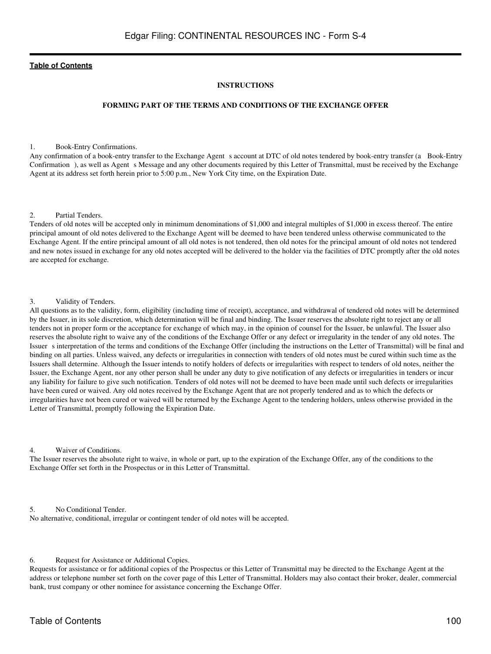### **INSTRUCTIONS**

### **FORMING PART OF THE TERMS AND CONDITIONS OF THE EXCHANGE OFFER**

#### 1. Book-Entry Confirmations.

Any confirmation of a book-entry transfer to the Exchange Agent s account at DTC of old notes tendered by book-entry transfer (a Book-Entry Confirmation), as well as Agent s Message and any other documents required by this Letter of Transmittal, must be received by the Exchange Agent at its address set forth herein prior to 5:00 p.m., New York City time, on the Expiration Date.

#### 2. Partial Tenders.

Tenders of old notes will be accepted only in minimum denominations of \$1,000 and integral multiples of \$1,000 in excess thereof. The entire principal amount of old notes delivered to the Exchange Agent will be deemed to have been tendered unless otherwise communicated to the Exchange Agent. If the entire principal amount of all old notes is not tendered, then old notes for the principal amount of old notes not tendered and new notes issued in exchange for any old notes accepted will be delivered to the holder via the facilities of DTC promptly after the old notes are accepted for exchange.

### 3. Validity of Tenders.

All questions as to the validity, form, eligibility (including time of receipt), acceptance, and withdrawal of tendered old notes will be determined by the Issuer, in its sole discretion, which determination will be final and binding. The Issuer reserves the absolute right to reject any or all tenders not in proper form or the acceptance for exchange of which may, in the opinion of counsel for the Issuer, be unlawful. The Issuer also reserves the absolute right to waive any of the conditions of the Exchange Offer or any defect or irregularity in the tender of any old notes. The Issuer s interpretation of the terms and conditions of the Exchange Offer (including the instructions on the Letter of Transmittal) will be final and binding on all parties. Unless waived, any defects or irregularities in connection with tenders of old notes must be cured within such time as the Issuers shall determine. Although the Issuer intends to notify holders of defects or irregularities with respect to tenders of old notes, neither the Issuer, the Exchange Agent, nor any other person shall be under any duty to give notification of any defects or irregularities in tenders or incur any liability for failure to give such notification. Tenders of old notes will not be deemed to have been made until such defects or irregularities have been cured or waived. Any old notes received by the Exchange Agent that are not properly tendered and as to which the defects or irregularities have not been cured or waived will be returned by the Exchange Agent to the tendering holders, unless otherwise provided in the Letter of Transmittal, promptly following the Expiration Date.

### 4. Waiver of Conditions.

The Issuer reserves the absolute right to waive, in whole or part, up to the expiration of the Exchange Offer, any of the conditions to the Exchange Offer set forth in the Prospectus or in this Letter of Transmittal.

#### 5. No Conditional Tender.

No alternative, conditional, irregular or contingent tender of old notes will be accepted.

### 6. Request for Assistance or Additional Copies.

Requests for assistance or for additional copies of the Prospectus or this Letter of Transmittal may be directed to the Exchange Agent at the address or telephone number set forth on the cover page of this Letter of Transmittal. Holders may also contact their broker, dealer, commercial bank, trust company or other nominee for assistance concerning the Exchange Offer.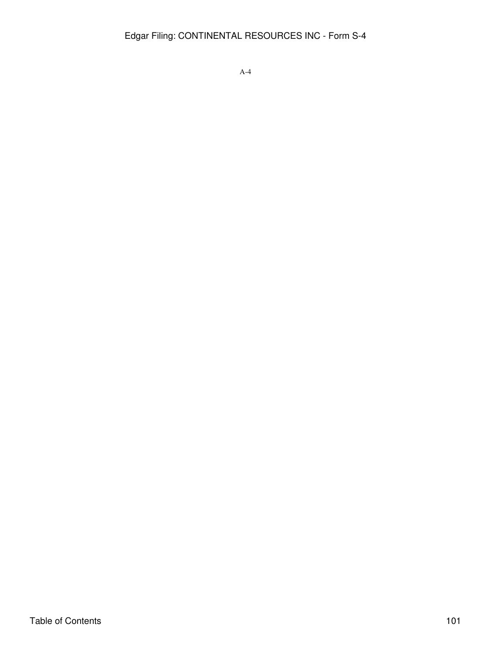A-4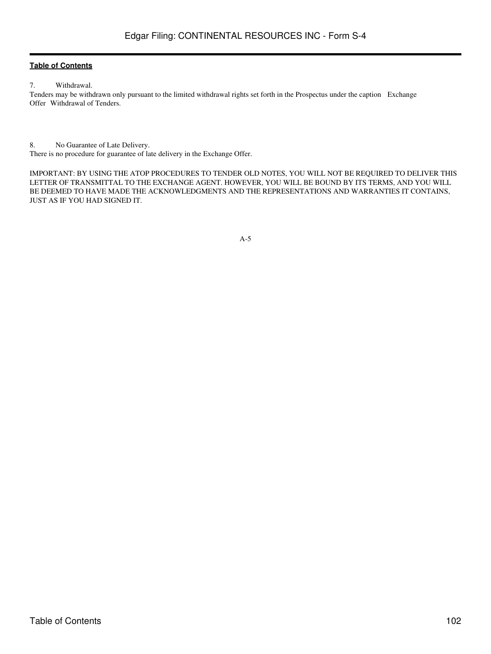7. Withdrawal.

Tenders may be withdrawn only pursuant to the limited withdrawal rights set forth in the Prospectus under the caption Exchange Offer Withdrawal of Tenders.

8. No Guarantee of Late Delivery.

There is no procedure for guarantee of late delivery in the Exchange Offer.

IMPORTANT: BY USING THE ATOP PROCEDURES TO TENDER OLD NOTES, YOU WILL NOT BE REQUIRED TO DELIVER THIS LETTER OF TRANSMITTAL TO THE EXCHANGE AGENT. HOWEVER, YOU WILL BE BOUND BY ITS TERMS, AND YOU WILL BE DEEMED TO HAVE MADE THE ACKNOWLEDGMENTS AND THE REPRESENTATIONS AND WARRANTIES IT CONTAINS, JUST AS IF YOU HAD SIGNED IT.

A-5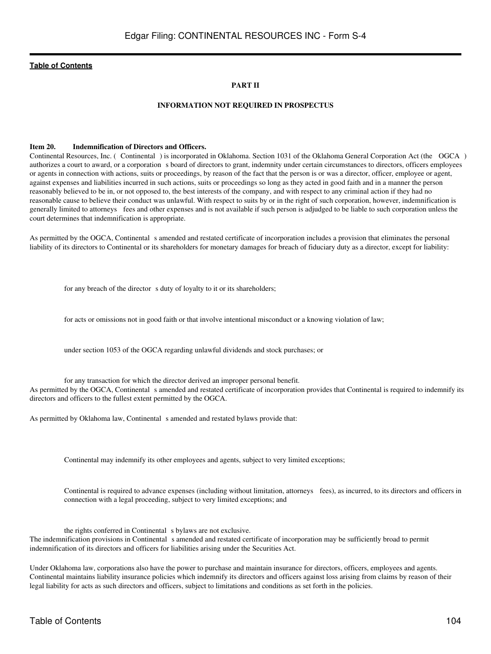## **PART II**

## **INFORMATION NOT REQUIRED IN PROSPECTUS**

#### **Item 20. Indemnification of Directors and Officers.**

Continental Resources, Inc. (Continental) is incorporated in Oklahoma. Section 1031 of the Oklahoma General Corporation Act (the OGCA) authorizes a court to award, or a corporation s board of directors to grant, indemnity under certain circumstances to directors, officers employees or agents in connection with actions, suits or proceedings, by reason of the fact that the person is or was a director, officer, employee or agent, against expenses and liabilities incurred in such actions, suits or proceedings so long as they acted in good faith and in a manner the person reasonably believed to be in, or not opposed to, the best interests of the company, and with respect to any criminal action if they had no reasonable cause to believe their conduct was unlawful. With respect to suits by or in the right of such corporation, however, indemnification is generally limited to attorneys fees and other expenses and is not available if such person is adjudged to be liable to such corporation unless the court determines that indemnification is appropriate.

As permitted by the OGCA, Continental s amended and restated certificate of incorporation includes a provision that eliminates the personal liability of its directors to Continental or its shareholders for monetary damages for breach of fiduciary duty as a director, except for liability:

for any breach of the director s duty of loyalty to it or its shareholders;

for acts or omissions not in good faith or that involve intentional misconduct or a knowing violation of law;

under section 1053 of the OGCA regarding unlawful dividends and stock purchases; or

for any transaction for which the director derived an improper personal benefit. As permitted by the OGCA, Continental s amended and restated certificate of incorporation provides that Continental is required to indemnify its directors and officers to the fullest extent permitted by the OGCA.

As permitted by Oklahoma law, Continental s amended and restated bylaws provide that:

Continental may indemnify its other employees and agents, subject to very limited exceptions;

Continental is required to advance expenses (including without limitation, attorneys fees), as incurred, to its directors and officers in connection with a legal proceeding, subject to very limited exceptions; and

the rights conferred in Continental s bylaws are not exclusive. The indemnification provisions in Continental s amended and restated certificate of incorporation may be sufficiently broad to permit indemnification of its directors and officers for liabilities arising under the Securities Act.

Under Oklahoma law, corporations also have the power to purchase and maintain insurance for directors, officers, employees and agents. Continental maintains liability insurance policies which indemnify its directors and officers against loss arising from claims by reason of their legal liability for acts as such directors and officers, subject to limitations and conditions as set forth in the policies.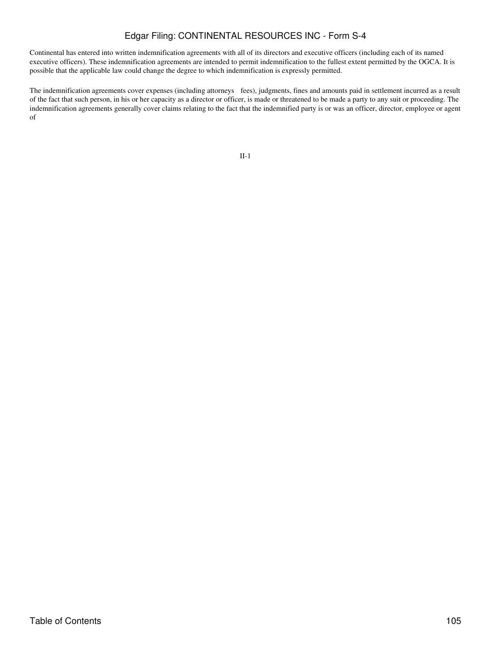# Edgar Filing: CONTINENTAL RESOURCES INC - Form S-4

Continental has entered into written indemnification agreements with all of its directors and executive officers (including each of its named executive officers). These indemnification agreements are intended to permit indemnification to the fullest extent permitted by the OGCA. It is possible that the applicable law could change the degree to which indemnification is expressly permitted.

The indemnification agreements cover expenses (including attorneys fees), judgments, fines and amounts paid in settlement incurred as a result of the fact that such person, in his or her capacity as a director or officer, is made or threatened to be made a party to any suit or proceeding. The indemnification agreements generally cover claims relating to the fact that the indemnified party is or was an officer, director, employee or agent of

II-1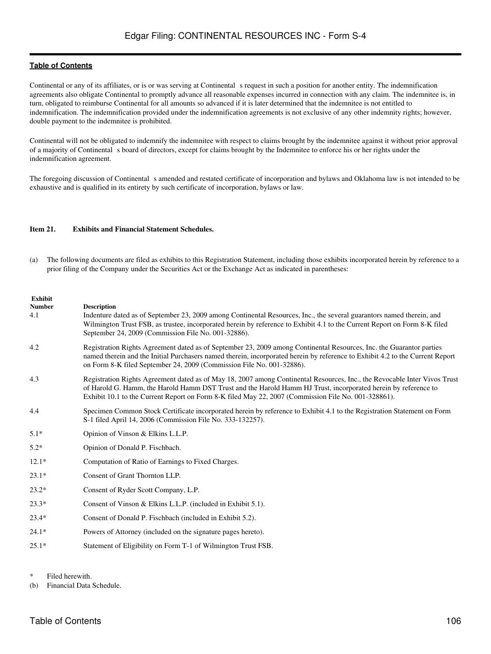Continental or any of its affiliates, or is or was serving at Continental s request in such a position for another entity. The indemnification agreements also obligate Continental to promptly advance all reasonable expenses incurred in connection with any claim. The indemnitee is, in turn, obligated to reimburse Continental for all amounts so advanced if it is later determined that the indemnitee is not entitled to indemnification. The indemnification provided under the indemnification agreements is not exclusive of any other indemnity rights; however, double payment to the indemnitee is prohibited.

Continental will not be obligated to indemnify the indemnitee with respect to claims brought by the indemnitee against it without prior approval of a majority of Continental s board of directors, except for claims brought by the Indemnitee to enforce his or her rights under the indemnification agreement.

The foregoing discussion of Continental s amended and restated certificate of incorporation and bylaws and Oklahoma law is not intended to be exhaustive and is qualified in its entirety by such certificate of incorporation, bylaws or law.

#### **Item 21. Exhibits and Financial Statement Schedules.**

(a) The following documents are filed as exhibits to this Registration Statement, including those exhibits incorporated herein by reference to a prior filing of the Company under the Securities Act or the Exchange Act as indicated in parentheses:

| <b>Exhibit</b><br><b>Number</b><br>4.1 | <b>Description</b><br>Indenture dated as of September 23, 2009 among Continental Resources, Inc., the several guarantors named therein, and<br>Wilmington Trust FSB, as trustee, incorporated herein by reference to Exhibit 4.1 to the Current Report on Form 8-K filed<br>September 24, 2009 (Commission File No. 001-32886).                    |
|----------------------------------------|----------------------------------------------------------------------------------------------------------------------------------------------------------------------------------------------------------------------------------------------------------------------------------------------------------------------------------------------------|
| 4.2                                    | Registration Rights Agreement dated as of September 23, 2009 among Continental Resources, Inc. the Guarantor parties<br>named therein and the Initial Purchasers named therein, incorporated herein by reference to Exhibit 4.2 to the Current Report<br>on Form 8-K filed September 24, 2009 (Commission File No. 001-32886).                     |
| 4.3                                    | Registration Rights Agreement dated as of May 18, 2007 among Continental Resources, Inc., the Revocable Inter Vivos Trust<br>of Harold G. Hamm, the Harold Hamm DST Trust and the Harold Hamm HJ Trust, incorporated herein by reference to<br>Exhibit 10.1 to the Current Report on Form 8-K filed May 22, 2007 (Commission File No. 001-328861). |
| 4.4                                    | Specimen Common Stock Certificate incorporated herein by reference to Exhibit 4.1 to the Registration Statement on Form<br>S-1 filed April 14, 2006 (Commission File No. 333-132257).                                                                                                                                                              |
| $5.1*$                                 | Opinion of Vinson & Elkins L.L.P.                                                                                                                                                                                                                                                                                                                  |
| $5.2*$                                 | Opinion of Donald P. Fischbach.                                                                                                                                                                                                                                                                                                                    |
| $12.1*$                                | Computation of Ratio of Earnings to Fixed Charges.                                                                                                                                                                                                                                                                                                 |
| $23.1*$                                | Consent of Grant Thornton LLP.                                                                                                                                                                                                                                                                                                                     |
| $23.2*$                                | Consent of Ryder Scott Company, L.P.                                                                                                                                                                                                                                                                                                               |
| $23.3*$                                | Consent of Vinson & Elkins L.L.P. (included in Exhibit $5.1$ ).                                                                                                                                                                                                                                                                                    |
| $23.4*$                                | Consent of Donald P. Fischbach (included in Exhibit 5.2).                                                                                                                                                                                                                                                                                          |
| $24.1*$                                | Powers of Attorney (included on the signature pages hereto).                                                                                                                                                                                                                                                                                       |
| $25.1*$                                | Statement of Eligibility on Form T-1 of Wilmington Trust FSB.                                                                                                                                                                                                                                                                                      |

Filed herewith.

(b) Financial Data Schedule.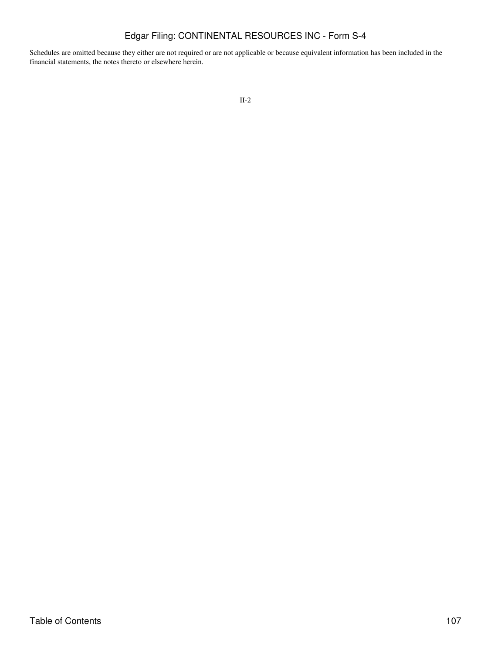# Edgar Filing: CONTINENTAL RESOURCES INC - Form S-4

Schedules are omitted because they either are not required or are not applicable or because equivalent information has been included in the financial statements, the notes thereto or elsewhere herein.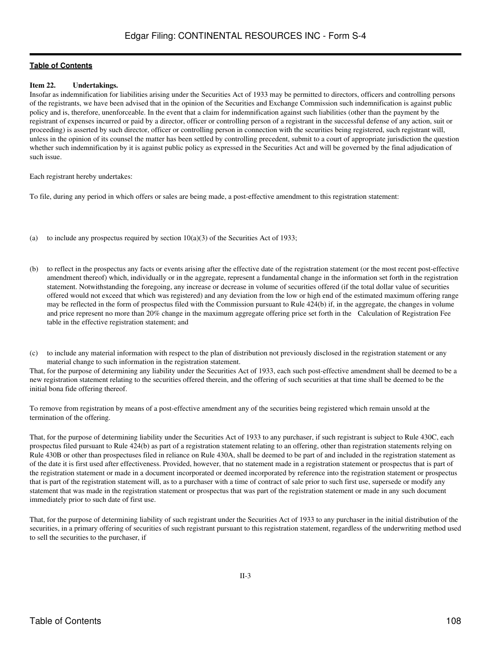### **Item 22. Undertakings.**

Insofar as indemnification for liabilities arising under the Securities Act of 1933 may be permitted to directors, officers and controlling persons of the registrants, we have been advised that in the opinion of the Securities and Exchange Commission such indemnification is against public policy and is, therefore, unenforceable. In the event that a claim for indemnification against such liabilities (other than the payment by the registrant of expenses incurred or paid by a director, officer or controlling person of a registrant in the successful defense of any action, suit or proceeding) is asserted by such director, officer or controlling person in connection with the securities being registered, such registrant will, unless in the opinion of its counsel the matter has been settled by controlling precedent, submit to a court of appropriate jurisdiction the question whether such indemnification by it is against public policy as expressed in the Securities Act and will be governed by the final adjudication of such issue.

Each registrant hereby undertakes:

To file, during any period in which offers or sales are being made, a post-effective amendment to this registration statement:

- (a) to include any prospectus required by section  $10(a)(3)$  of the Securities Act of 1933;
- (b) to reflect in the prospectus any facts or events arising after the effective date of the registration statement (or the most recent post-effective amendment thereof) which, individually or in the aggregate, represent a fundamental change in the information set forth in the registration statement. Notwithstanding the foregoing, any increase or decrease in volume of securities offered (if the total dollar value of securities offered would not exceed that which was registered) and any deviation from the low or high end of the estimated maximum offering range may be reflected in the form of prospectus filed with the Commission pursuant to Rule 424(b) if, in the aggregate, the changes in volume and price represent no more than 20% change in the maximum aggregate offering price set forth in the Calculation of Registration Fee table in the effective registration statement; and
- (c) to include any material information with respect to the plan of distribution not previously disclosed in the registration statement or any material change to such information in the registration statement.

That, for the purpose of determining any liability under the Securities Act of 1933, each such post-effective amendment shall be deemed to be a new registration statement relating to the securities offered therein, and the offering of such securities at that time shall be deemed to be the initial bona fide offering thereof.

To remove from registration by means of a post-effective amendment any of the securities being registered which remain unsold at the termination of the offering.

That, for the purpose of determining liability under the Securities Act of 1933 to any purchaser, if such registrant is subject to Rule 430C, each prospectus filed pursuant to Rule 424(b) as part of a registration statement relating to an offering, other than registration statements relying on Rule 430B or other than prospectuses filed in reliance on Rule 430A, shall be deemed to be part of and included in the registration statement as of the date it is first used after effectiveness. Provided, however, that no statement made in a registration statement or prospectus that is part of the registration statement or made in a document incorporated or deemed incorporated by reference into the registration statement or prospectus that is part of the registration statement will, as to a purchaser with a time of contract of sale prior to such first use, supersede or modify any statement that was made in the registration statement or prospectus that was part of the registration statement or made in any such document immediately prior to such date of first use.

That, for the purpose of determining liability of such registrant under the Securities Act of 1933 to any purchaser in the initial distribution of the securities, in a primary offering of securities of such registrant pursuant to this registration statement, regardless of the underwriting method used to sell the securities to the purchaser, if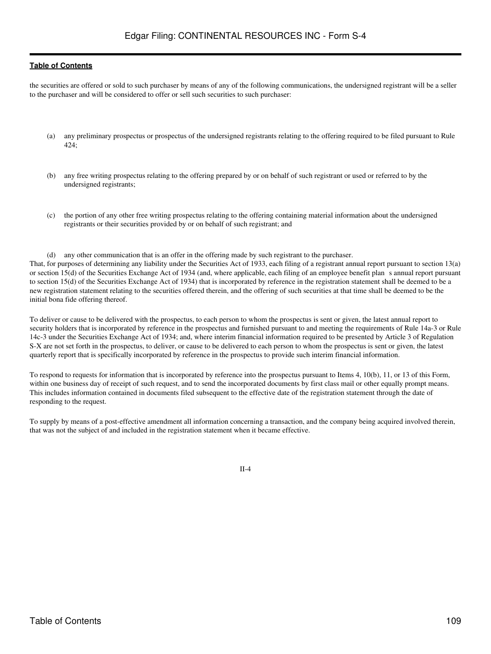the securities are offered or sold to such purchaser by means of any of the following communications, the undersigned registrant will be a seller to the purchaser and will be considered to offer or sell such securities to such purchaser:

- (a) any preliminary prospectus or prospectus of the undersigned registrants relating to the offering required to be filed pursuant to Rule 424;
- (b) any free writing prospectus relating to the offering prepared by or on behalf of such registrant or used or referred to by the undersigned registrants;
- (c) the portion of any other free writing prospectus relating to the offering containing material information about the undersigned registrants or their securities provided by or on behalf of such registrant; and

(d) any other communication that is an offer in the offering made by such registrant to the purchaser. That, for purposes of determining any liability under the Securities Act of 1933, each filing of a registrant annual report pursuant to section 13(a) or section 15(d) of the Securities Exchange Act of 1934 (and, where applicable, each filing of an employee benefit plans annual report pursuant to section 15(d) of the Securities Exchange Act of 1934) that is incorporated by reference in the registration statement shall be deemed to be a new registration statement relating to the securities offered therein, and the offering of such securities at that time shall be deemed to be the initial bona fide offering thereof.

To deliver or cause to be delivered with the prospectus, to each person to whom the prospectus is sent or given, the latest annual report to security holders that is incorporated by reference in the prospectus and furnished pursuant to and meeting the requirements of Rule 14a-3 or Rule 14c-3 under the Securities Exchange Act of 1934; and, where interim financial information required to be presented by Article 3 of Regulation S-X are not set forth in the prospectus, to deliver, or cause to be delivered to each person to whom the prospectus is sent or given, the latest quarterly report that is specifically incorporated by reference in the prospectus to provide such interim financial information.

To respond to requests for information that is incorporated by reference into the prospectus pursuant to Items 4, 10(b), 11, or 13 of this Form, within one business day of receipt of such request, and to send the incorporated documents by first class mail or other equally prompt means. This includes information contained in documents filed subsequent to the effective date of the registration statement through the date of responding to the request.

To supply by means of a post-effective amendment all information concerning a transaction, and the company being acquired involved therein, that was not the subject of and included in the registration statement when it became effective.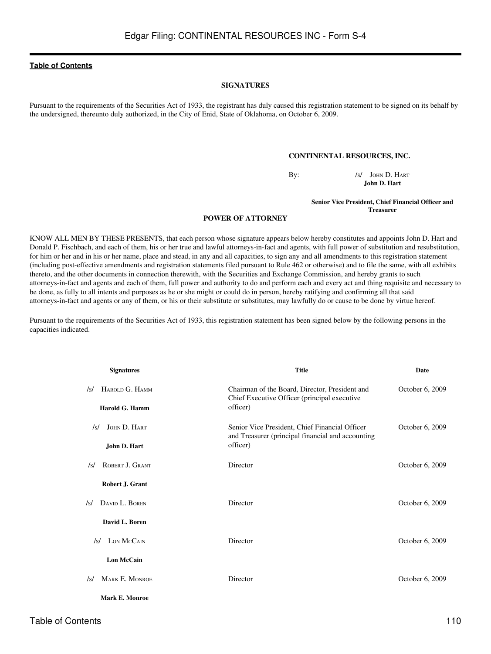# **SIGNATURES**

Pursuant to the requirements of the Securities Act of 1933, the registrant has duly caused this registration statement to be signed on its behalf by the undersigned, thereunto duly authorized, in the City of Enid, State of Oklahoma, on October 6, 2009.

### **CONTINENTAL RESOURCES, INC.**

By:  $\frac{1}{s}$  JOHN D. HART **John D. Hart**

### **Senior Vice President, Chief Financial Officer and Treasurer**

### **POWER OF ATTORNEY**

KNOW ALL MEN BY THESE PRESENTS, that each person whose signature appears below hereby constitutes and appoints John D. Hart and Donald P. Fischbach, and each of them, his or her true and lawful attorneys-in-fact and agents, with full power of substitution and resubstitution, for him or her and in his or her name, place and stead, in any and all capacities, to sign any and all amendments to this registration statement (including post-effective amendments and registration statements filed pursuant to Rule 462 or otherwise) and to file the same, with all exhibits thereto, and the other documents in connection therewith, with the Securities and Exchange Commission, and hereby grants to such attorneys-in-fact and agents and each of them, full power and authority to do and perform each and every act and thing requisite and necessary to be done, as fully to all intents and purposes as he or she might or could do in person, hereby ratifying and confirming all that said attorneys-in-fact and agents or any of them, or his or their substitute or substitutes, may lawfully do or cause to be done by virtue hereof.

Pursuant to the requirements of the Securities Act of 1933, this registration statement has been signed below by the following persons in the capacities indicated.

| <b>Signatures</b>        | <b>Title</b>                                                                                        | Date            |
|--------------------------|-----------------------------------------------------------------------------------------------------|-----------------|
| HAROLD G. HAMM<br>/s/    | Chairman of the Board, Director, President and<br>Chief Executive Officer (principal executive      | October 6, 2009 |
| Harold G. Hamm           | officer)                                                                                            |                 |
| JOHN D. HART<br>/s/      | Senior Vice President, Chief Financial Officer<br>and Treasurer (principal financial and accounting | October 6, 2009 |
| John D. Hart             | officer)                                                                                            |                 |
| ROBERT J. GRANT<br>/s/   | Director                                                                                            | October 6, 2009 |
| Robert J. Grant          |                                                                                                     |                 |
| DAVID L. BOREN<br>/s/    | Director                                                                                            | October 6, 2009 |
| David L. Boren           |                                                                                                     |                 |
| LON MCCAIN<br>$\sqrt{s}$ | Director                                                                                            | October 6, 2009 |
| <b>Lon McCain</b>        |                                                                                                     |                 |
| MARK E. MONROE<br>/s/    | Director                                                                                            | October 6, 2009 |
| <b>Mark E. Monroe</b>    |                                                                                                     |                 |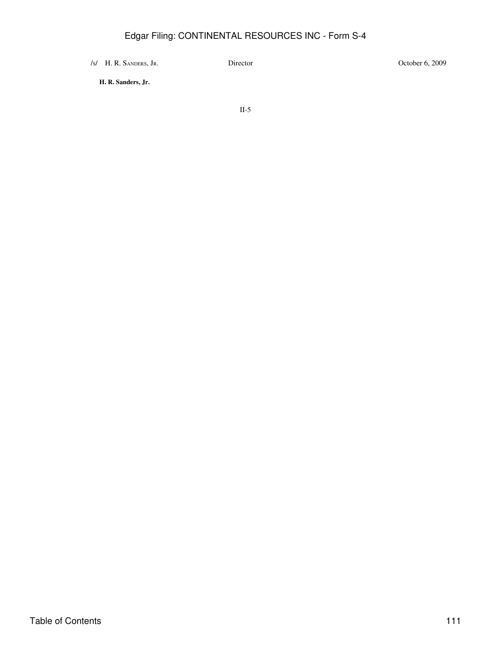# Edgar Filing: CONTINENTAL RESOURCES INC - Form S-4

/S/ H. R. SANDERS, JR.

Director October 6, 2009

**H. R. Sanders, Jr.**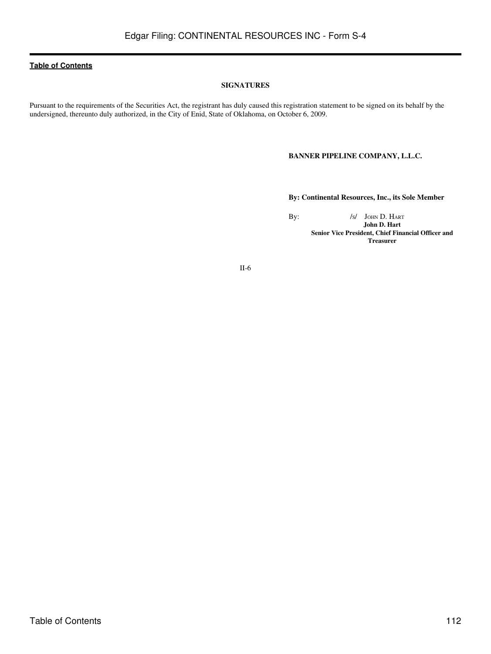### **SIGNATURES**

Pursuant to the requirements of the Securities Act, the registrant has duly caused this registration statement to be signed on its behalf by the undersigned, thereunto duly authorized, in the City of Enid, State of Oklahoma, on October 6, 2009.

### **BANNER PIPELINE COMPANY, L.L.C.**

**By: Continental Resources, Inc., its Sole Member**

By: /s/ JOHN D. HART **John D. Hart Senior Vice President, Chief Financial Officer and Treasurer**